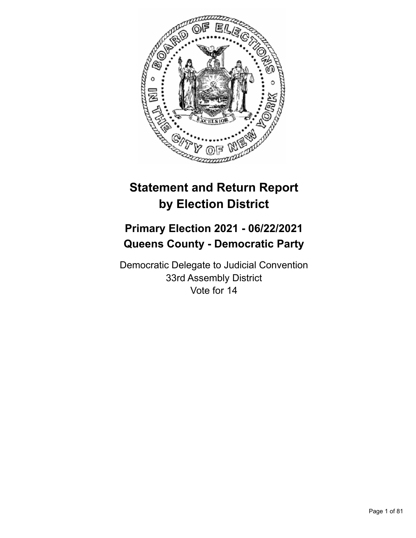

# **Statement and Return Report by Election District**

## **Primary Election 2021 - 06/22/2021 Queens County - Democratic Party**

Democratic Delegate to Judicial Convention 33rd Assembly District Vote for 14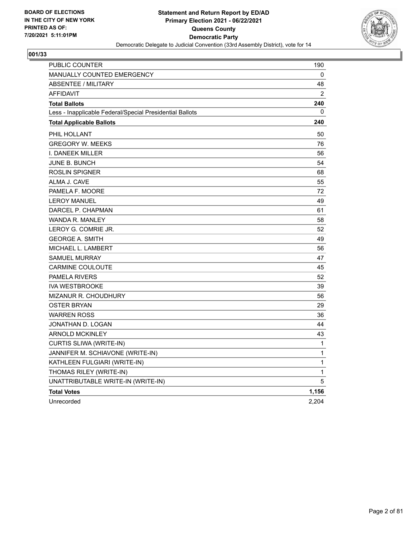

| PUBLIC COUNTER                                           | 190   |
|----------------------------------------------------------|-------|
| MANUALLY COUNTED EMERGENCY                               | 0     |
| <b>ABSENTEE / MILITARY</b>                               | 48    |
| <b>AFFIDAVIT</b>                                         | 2     |
| <b>Total Ballots</b>                                     | 240   |
| Less - Inapplicable Federal/Special Presidential Ballots | 0     |
| <b>Total Applicable Ballots</b>                          | 240   |
| PHIL HOLLANT                                             | 50    |
| <b>GREGORY W. MEEKS</b>                                  | 76    |
| I. DANEEK MILLER                                         | 56    |
| <b>JUNE B. BUNCH</b>                                     | 54    |
| ROSLIN SPIGNER                                           | 68    |
| ALMA J. CAVE                                             | 55    |
| PAMELA F. MOORE                                          | 72    |
| <b>LEROY MANUEL</b>                                      | 49    |
| DARCEL P. CHAPMAN                                        | 61    |
| <b>WANDA R. MANLEY</b>                                   | 58    |
| LEROY G. COMRIE JR.                                      | 52    |
| <b>GEORGE A. SMITH</b>                                   | 49    |
| MICHAEL L. LAMBERT                                       | 56    |
| <b>SAMUEL MURRAY</b>                                     | 47    |
| <b>CARMINE COULOUTE</b>                                  | 45    |
| <b>PAMELA RIVERS</b>                                     | 52    |
| <b>IVA WESTBROOKE</b>                                    | 39    |
| MIZANUR R. CHOUDHURY                                     | 56    |
| <b>OSTER BRYAN</b>                                       | 29    |
| <b>WARREN ROSS</b>                                       | 36    |
| JONATHAN D. LOGAN                                        | 44    |
| <b>ARNOLD MCKINLEY</b>                                   | 43    |
| CURTIS SLIWA (WRITE-IN)                                  | 1     |
| JANNIFER M. SCHIAVONE (WRITE-IN)                         | 1     |
| KATHLEEN FULGIARI (WRITE-IN)                             | 1     |
| THOMAS RILEY (WRITE-IN)                                  | 1     |
| UNATTRIBUTABLE WRITE-IN (WRITE-IN)                       | 5     |
| <b>Total Votes</b>                                       | 1,156 |
| Unrecorded                                               | 2,204 |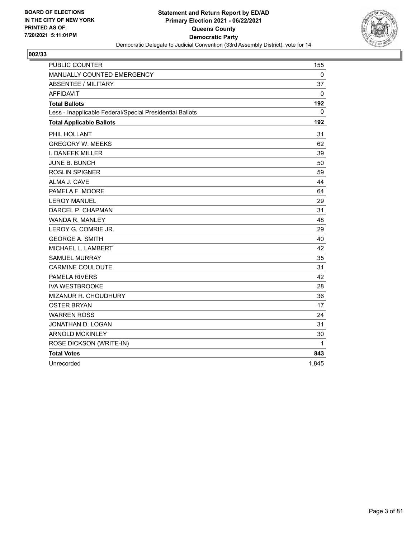

| <b>PUBLIC COUNTER</b>                                    | 155      |
|----------------------------------------------------------|----------|
| MANUALLY COUNTED EMERGENCY                               | 0        |
| <b>ABSENTEE / MILITARY</b>                               | 37       |
| <b>AFFIDAVIT</b>                                         | 0        |
| <b>Total Ballots</b>                                     | 192      |
| Less - Inapplicable Federal/Special Presidential Ballots | $\Omega$ |
| <b>Total Applicable Ballots</b>                          | 192      |
| PHIL HOLLANT                                             | 31       |
| <b>GREGORY W. MEEKS</b>                                  | 62       |
| I. DANEEK MILLER                                         | 39       |
| <b>JUNE B. BUNCH</b>                                     | 50       |
| <b>ROSLIN SPIGNER</b>                                    | 59       |
| ALMA J. CAVE                                             | 44       |
| PAMELA F. MOORE                                          | 64       |
| <b>LEROY MANUEL</b>                                      | 29       |
| DARCEL P. CHAPMAN                                        | 31       |
| <b>WANDA R. MANLEY</b>                                   | 48       |
| LEROY G. COMRIE JR.                                      | 29       |
| <b>GEORGE A. SMITH</b>                                   | 40       |
| MICHAEL L. LAMBERT                                       | 42       |
| <b>SAMUEL MURRAY</b>                                     | 35       |
| <b>CARMINE COULOUTE</b>                                  | 31       |
| PAMELA RIVERS                                            | 42       |
| <b>IVA WESTBROOKE</b>                                    | 28       |
| MIZANUR R. CHOUDHURY                                     | 36       |
| <b>OSTER BRYAN</b>                                       | 17       |
| <b>WARREN ROSS</b>                                       | 24       |
| JONATHAN D. LOGAN                                        | 31       |
| <b>ARNOLD MCKINLEY</b>                                   | 30       |
| ROSE DICKSON (WRITE-IN)                                  | 1        |
| <b>Total Votes</b>                                       | 843      |
| Unrecorded                                               | 1,845    |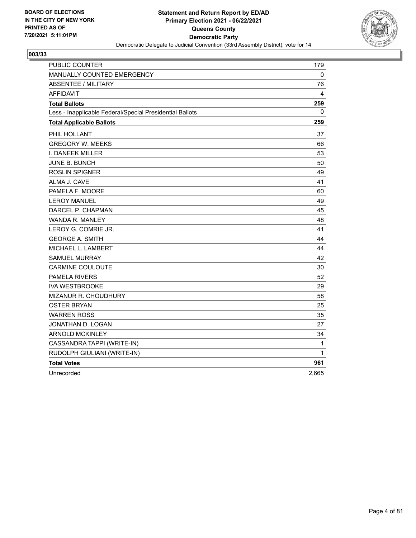

| <b>PUBLIC COUNTER</b>                                    | 179          |
|----------------------------------------------------------|--------------|
| <b>MANUALLY COUNTED EMERGENCY</b>                        | 0            |
| <b>ABSENTEE / MILITARY</b>                               | 76           |
| <b>AFFIDAVIT</b>                                         | 4            |
| <b>Total Ballots</b>                                     | 259          |
| Less - Inapplicable Federal/Special Presidential Ballots | 0            |
| <b>Total Applicable Ballots</b>                          | 259          |
| PHIL HOLLANT                                             | 37           |
| <b>GREGORY W. MEEKS</b>                                  | 66           |
| <b>I. DANEEK MILLER</b>                                  | 53           |
| JUNE B. BUNCH                                            | 50           |
| <b>ROSLIN SPIGNER</b>                                    | 49           |
| ALMA J. CAVE                                             | 41           |
| PAMELA F. MOORE                                          | 60           |
| <b>LEROY MANUEL</b>                                      | 49           |
| DARCEL P. CHAPMAN                                        | 45           |
| WANDA R. MANLEY                                          | 48           |
| LEROY G. COMRIE JR.                                      | 41           |
| <b>GEORGE A. SMITH</b>                                   | 44           |
| MICHAEL L. LAMBERT                                       | 44           |
| <b>SAMUEL MURRAY</b>                                     | 42           |
| <b>CARMINE COULOUTE</b>                                  | 30           |
| <b>PAMELA RIVERS</b>                                     | 52           |
| <b>IVA WESTBROOKE</b>                                    | 29           |
| MIZANUR R. CHOUDHURY                                     | 58           |
| <b>OSTER BRYAN</b>                                       | 25           |
| <b>WARREN ROSS</b>                                       | 35           |
| JONATHAN D. LOGAN                                        | 27           |
| <b>ARNOLD MCKINLEY</b>                                   | 34           |
| CASSANDRA TAPPI (WRITE-IN)                               | $\mathbf{1}$ |
| RUDOLPH GIULIANI (WRITE-IN)                              | 1            |
| <b>Total Votes</b>                                       | 961          |
| Unrecorded                                               | 2,665        |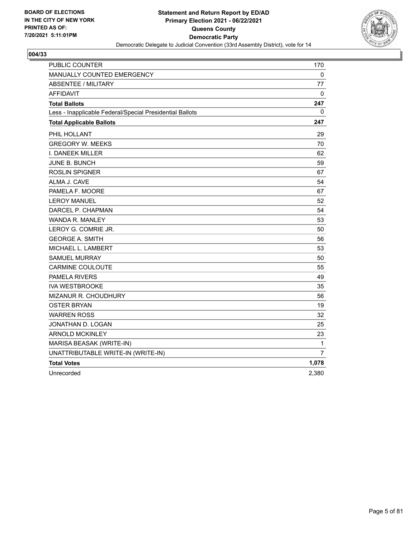

| PUBLIC COUNTER                                           | 170            |
|----------------------------------------------------------|----------------|
| MANUALLY COUNTED EMERGENCY                               | 0              |
| <b>ABSENTEE / MILITARY</b>                               | 77             |
| AFFIDAVIT                                                | 0              |
| <b>Total Ballots</b>                                     | 247            |
| Less - Inapplicable Federal/Special Presidential Ballots | 0              |
| <b>Total Applicable Ballots</b>                          | 247            |
| PHIL HOLLANT                                             | 29             |
| <b>GREGORY W. MEEKS</b>                                  | 70             |
| I. DANEEK MILLER                                         | 62             |
| <b>JUNE B. BUNCH</b>                                     | 59             |
| <b>ROSLIN SPIGNER</b>                                    | 67             |
| ALMA J. CAVE                                             | 54             |
| PAMELA F. MOORE                                          | 67             |
| <b>LEROY MANUEL</b>                                      | 52             |
| DARCEL P. CHAPMAN                                        | 54             |
| WANDA R. MANLEY                                          | 53             |
| LEROY G. COMRIE JR.                                      | 50             |
| <b>GEORGE A. SMITH</b>                                   | 56             |
| MICHAEL L. LAMBERT                                       | 53             |
| <b>SAMUEL MURRAY</b>                                     | 50             |
| <b>CARMINE COULOUTE</b>                                  | 55             |
| <b>PAMELA RIVERS</b>                                     | 49             |
| <b>IVA WESTBROOKE</b>                                    | 35             |
| MIZANUR R. CHOUDHURY                                     | 56             |
| <b>OSTER BRYAN</b>                                       | 19             |
| <b>WARREN ROSS</b>                                       | 32             |
| JONATHAN D. LOGAN                                        | 25             |
| <b>ARNOLD MCKINLEY</b>                                   | 23             |
| MARISA BEASAK (WRITE-IN)                                 | 1              |
| UNATTRIBUTABLE WRITE-IN (WRITE-IN)                       | $\overline{7}$ |
| <b>Total Votes</b>                                       | 1,078          |
| Unrecorded                                               | 2,380          |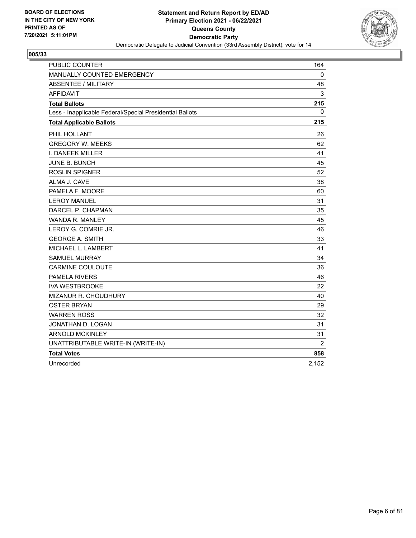

| <b>PUBLIC COUNTER</b>                                    | 164   |
|----------------------------------------------------------|-------|
| MANUALLY COUNTED EMERGENCY                               | 0     |
| <b>ABSENTEE / MILITARY</b>                               | 48    |
| <b>AFFIDAVIT</b>                                         | 3     |
| <b>Total Ballots</b>                                     | 215   |
| Less - Inapplicable Federal/Special Presidential Ballots | 0     |
| <b>Total Applicable Ballots</b>                          | 215   |
| PHIL HOLLANT                                             | 26    |
| <b>GREGORY W. MEEKS</b>                                  | 62    |
| I. DANEEK MILLER                                         | 41    |
| <b>JUNE B. BUNCH</b>                                     | 45    |
| <b>ROSLIN SPIGNER</b>                                    | 52    |
| ALMA J. CAVE                                             | 38    |
| PAMELA F. MOORE                                          | 60    |
| <b>LEROY MANUEL</b>                                      | 31    |
| DARCEL P. CHAPMAN                                        | 35    |
| <b>WANDA R. MANLEY</b>                                   | 45    |
| LEROY G. COMRIE JR.                                      | 46    |
| <b>GEORGE A. SMITH</b>                                   | 33    |
| MICHAEL L. LAMBERT                                       | 41    |
| <b>SAMUEL MURRAY</b>                                     | 34    |
| <b>CARMINE COULOUTE</b>                                  | 36    |
| <b>PAMELA RIVERS</b>                                     | 46    |
| <b>IVA WESTBROOKE</b>                                    | 22    |
| <b>MIZANUR R. CHOUDHURY</b>                              | 40    |
| OSTER BRYAN                                              | 29    |
| <b>WARREN ROSS</b>                                       | 32    |
| JONATHAN D. LOGAN                                        | 31    |
| <b>ARNOLD MCKINLEY</b>                                   | 31    |
| UNATTRIBUTABLE WRITE-IN (WRITE-IN)                       | 2     |
| <b>Total Votes</b>                                       | 858   |
| Unrecorded                                               | 2,152 |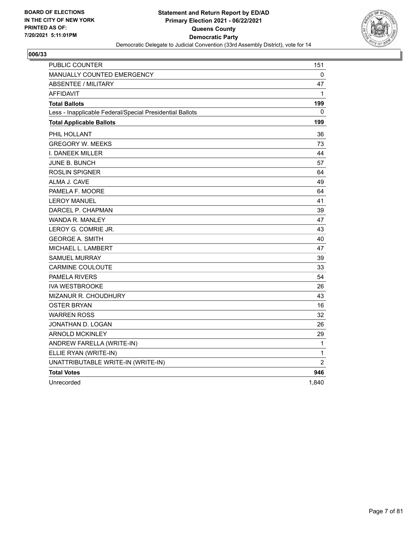

| <b>PUBLIC COUNTER</b>                                    | 151            |
|----------------------------------------------------------|----------------|
| MANUALLY COUNTED EMERGENCY                               | 0              |
| <b>ABSENTEE / MILITARY</b>                               | 47             |
| <b>AFFIDAVIT</b>                                         | 1              |
| <b>Total Ballots</b>                                     | 199            |
| Less - Inapplicable Federal/Special Presidential Ballots | 0              |
| <b>Total Applicable Ballots</b>                          | 199            |
| PHIL HOLLANT                                             | 36             |
| <b>GREGORY W. MEEKS</b>                                  | 73             |
| I. DANEEK MILLER                                         | 44             |
| <b>JUNE B. BUNCH</b>                                     | 57             |
| <b>ROSLIN SPIGNER</b>                                    | 64             |
| ALMA J. CAVE                                             | 49             |
| PAMELA F. MOORE                                          | 64             |
| <b>LEROY MANUEL</b>                                      | 41             |
| DARCEL P. CHAPMAN                                        | 39             |
| WANDA R. MANLEY                                          | 47             |
| LEROY G. COMRIE JR.                                      | 43             |
| <b>GEORGE A. SMITH</b>                                   | 40             |
| MICHAEL L. LAMBERT                                       | 47             |
| <b>SAMUEL MURRAY</b>                                     | 39             |
| <b>CARMINE COULOUTE</b>                                  | 33             |
| <b>PAMELA RIVERS</b>                                     | 54             |
| <b>IVA WESTBROOKE</b>                                    | 26             |
| MIZANUR R. CHOUDHURY                                     | 43             |
| <b>OSTER BRYAN</b>                                       | 16             |
| <b>WARREN ROSS</b>                                       | 32             |
| JONATHAN D. LOGAN                                        | 26             |
| <b>ARNOLD MCKINLEY</b>                                   | 29             |
| ANDREW FARELLA (WRITE-IN)                                | $\mathbf{1}$   |
| ELLIE RYAN (WRITE-IN)                                    | 1              |
| UNATTRIBUTABLE WRITE-IN (WRITE-IN)                       | $\overline{c}$ |
| <b>Total Votes</b>                                       | 946            |
| Unrecorded                                               | 1,840          |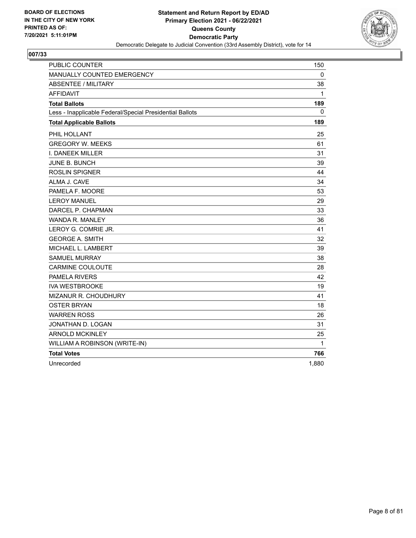

| <b>PUBLIC COUNTER</b>                                    | 150          |
|----------------------------------------------------------|--------------|
| MANUALLY COUNTED EMERGENCY                               | $\mathbf{0}$ |
| ABSENTEE / MILITARY                                      | 38           |
| <b>AFFIDAVIT</b>                                         | 1            |
| <b>Total Ballots</b>                                     | 189          |
| Less - Inapplicable Federal/Special Presidential Ballots | 0            |
| <b>Total Applicable Ballots</b>                          | 189          |
| PHIL HOLLANT                                             | 25           |
| <b>GREGORY W. MEEKS</b>                                  | 61           |
| I. DANEEK MILLER                                         | 31           |
| <b>JUNE B. BUNCH</b>                                     | 39           |
| <b>ROSLIN SPIGNER</b>                                    | 44           |
| ALMA J. CAVE                                             | 34           |
| PAMELA F. MOORE                                          | 53           |
| <b>LEROY MANUEL</b>                                      | 29           |
| DARCEL P. CHAPMAN                                        | 33           |
| <b>WANDA R. MANLEY</b>                                   | 36           |
| LEROY G. COMRIE JR.                                      | 41           |
| <b>GEORGE A. SMITH</b>                                   | 32           |
| MICHAEL L. LAMBERT                                       | 39           |
| <b>SAMUEL MURRAY</b>                                     | 38           |
| <b>CARMINE COULOUTE</b>                                  | 28           |
| <b>PAMELA RIVERS</b>                                     | 42           |
| <b>IVA WESTBROOKE</b>                                    | 19           |
| MIZANUR R. CHOUDHURY                                     | 41           |
| OSTER BRYAN                                              | 18           |
| <b>WARREN ROSS</b>                                       | 26           |
| JONATHAN D. LOGAN                                        | 31           |
| <b>ARNOLD MCKINLEY</b>                                   | 25           |
| WILLIAM A ROBINSON (WRITE-IN)                            | 1            |
| <b>Total Votes</b>                                       | 766          |
| Unrecorded                                               | 1,880        |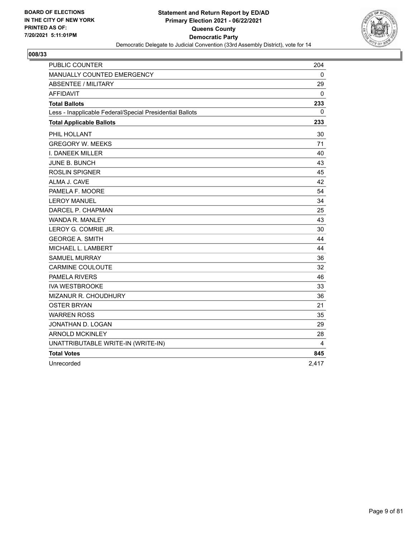

| <b>PUBLIC COUNTER</b>                                    | 204         |
|----------------------------------------------------------|-------------|
| MANUALLY COUNTED EMERGENCY                               | $\mathbf 0$ |
| <b>ABSENTEE / MILITARY</b>                               | 29          |
| <b>AFFIDAVIT</b>                                         | 0           |
| <b>Total Ballots</b>                                     | 233         |
| Less - Inapplicable Federal/Special Presidential Ballots | 0           |
| <b>Total Applicable Ballots</b>                          | 233         |
| PHIL HOLLANT                                             | 30          |
| <b>GREGORY W. MEEKS</b>                                  | 71          |
| I. DANEEK MILLER                                         | 40          |
| <b>JUNE B. BUNCH</b>                                     | 43          |
| <b>ROSLIN SPIGNER</b>                                    | 45          |
| ALMA J. CAVE                                             | 42          |
| PAMELA F. MOORE                                          | 54          |
| <b>LEROY MANUEL</b>                                      | 34          |
| DARCEL P. CHAPMAN                                        | 25          |
| <b>WANDA R. MANLEY</b>                                   | 43          |
| LEROY G. COMRIE JR.                                      | 30          |
| <b>GEORGE A. SMITH</b>                                   | 44          |
| MICHAEL L. LAMBERT                                       | 44          |
| <b>SAMUEL MURRAY</b>                                     | 36          |
| <b>CARMINE COULOUTE</b>                                  | 32          |
| <b>PAMELA RIVERS</b>                                     | 46          |
| <b>IVA WESTBROOKE</b>                                    | 33          |
| <b>MIZANUR R. CHOUDHURY</b>                              | 36          |
| OSTER BRYAN                                              | 21          |
| <b>WARREN ROSS</b>                                       | 35          |
| JONATHAN D. LOGAN                                        | 29          |
| <b>ARNOLD MCKINLEY</b>                                   | 28          |
| UNATTRIBUTABLE WRITE-IN (WRITE-IN)                       | 4           |
| <b>Total Votes</b>                                       | 845         |
| Unrecorded                                               | 2,417       |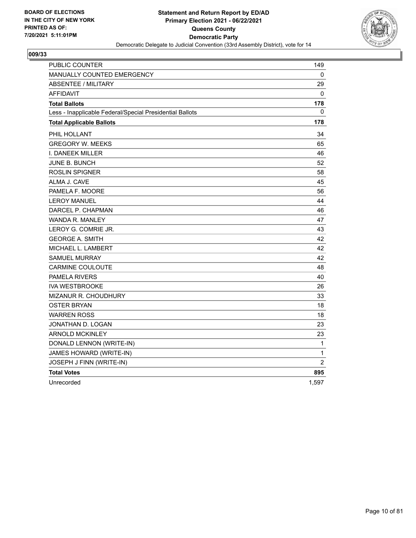

| PUBLIC COUNTER                                           | 149            |
|----------------------------------------------------------|----------------|
| <b>MANUALLY COUNTED EMERGENCY</b>                        | 0              |
| <b>ABSENTEE / MILITARY</b>                               | 29             |
| <b>AFFIDAVIT</b>                                         | 0              |
| <b>Total Ballots</b>                                     | 178            |
| Less - Inapplicable Federal/Special Presidential Ballots | 0              |
| <b>Total Applicable Ballots</b>                          | 178            |
| PHIL HOLLANT                                             | 34             |
| <b>GREGORY W. MEEKS</b>                                  | 65             |
| I. DANEEK MILLER                                         | 46             |
| JUNE B. BUNCH                                            | 52             |
| <b>ROSLIN SPIGNER</b>                                    | 58             |
| ALMA J. CAVE                                             | 45             |
| PAMELA F. MOORE                                          | 56             |
| <b>LEROY MANUEL</b>                                      | 44             |
| DARCEL P. CHAPMAN                                        | 46             |
| WANDA R. MANLEY                                          | 47             |
| LEROY G. COMRIE JR.                                      | 43             |
| <b>GEORGE A. SMITH</b>                                   | 42             |
| MICHAEL L. LAMBERT                                       | 42             |
| <b>SAMUEL MURRAY</b>                                     | 42             |
| <b>CARMINE COULOUTE</b>                                  | 48             |
| <b>PAMELA RIVERS</b>                                     | 40             |
| <b>IVA WESTBROOKE</b>                                    | 26             |
| MIZANUR R. CHOUDHURY                                     | 33             |
| <b>OSTER BRYAN</b>                                       | 18             |
| <b>WARREN ROSS</b>                                       | 18             |
| JONATHAN D. LOGAN                                        | 23             |
| <b>ARNOLD MCKINLEY</b>                                   | 23             |
| DONALD LENNON (WRITE-IN)                                 | $\mathbf{1}$   |
| JAMES HOWARD (WRITE-IN)                                  | 1              |
| JOSEPH J FINN (WRITE-IN)                                 | $\overline{2}$ |
| <b>Total Votes</b>                                       | 895            |
| Unrecorded                                               | 1.597          |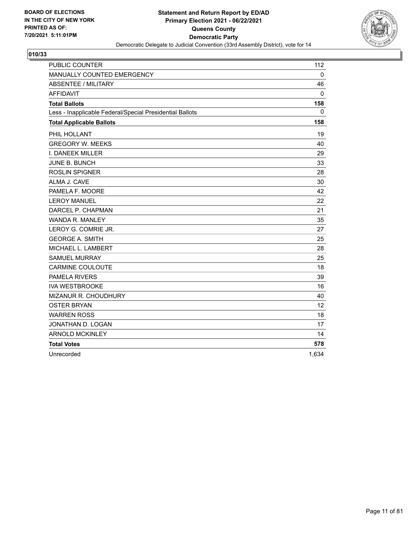

| <b>PUBLIC COUNTER</b>                                    | 112         |
|----------------------------------------------------------|-------------|
| MANUALLY COUNTED EMERGENCY                               | $\mathbf 0$ |
| <b>ABSENTEE / MILITARY</b>                               | 46          |
| <b>AFFIDAVIT</b>                                         | $\Omega$    |
| <b>Total Ballots</b>                                     | 158         |
| Less - Inapplicable Federal/Special Presidential Ballots | 0           |
| <b>Total Applicable Ballots</b>                          | 158         |
| PHIL HOLLANT                                             | 19          |
| <b>GREGORY W. MEEKS</b>                                  | 40          |
| I. DANEEK MILLER                                         | 29          |
| JUNE B. BUNCH                                            | 33          |
| <b>ROSLIN SPIGNER</b>                                    | 28          |
| ALMA J. CAVE                                             | 30          |
| PAMELA F. MOORE                                          | 42          |
| <b>LEROY MANUEL</b>                                      | 22          |
| DARCEL P. CHAPMAN                                        | 21          |
| <b>WANDA R. MANLEY</b>                                   | 35          |
| LEROY G. COMRIE JR.                                      | 27          |
| <b>GEORGE A. SMITH</b>                                   | 25          |
| MICHAEL L. LAMBERT                                       | 28          |
| <b>SAMUEL MURRAY</b>                                     | 25          |
| CARMINE COULOUTE                                         | 18          |
| PAMELA RIVERS                                            | 39          |
| <b>IVA WESTBROOKE</b>                                    | 16          |
| MIZANUR R. CHOUDHURY                                     | 40          |
| <b>OSTER BRYAN</b>                                       | 12          |
| <b>WARREN ROSS</b>                                       | 18          |
| JONATHAN D. LOGAN                                        | 17          |
| <b>ARNOLD MCKINLEY</b>                                   | 14          |
| <b>Total Votes</b>                                       | 578         |
| Unrecorded                                               | 1,634       |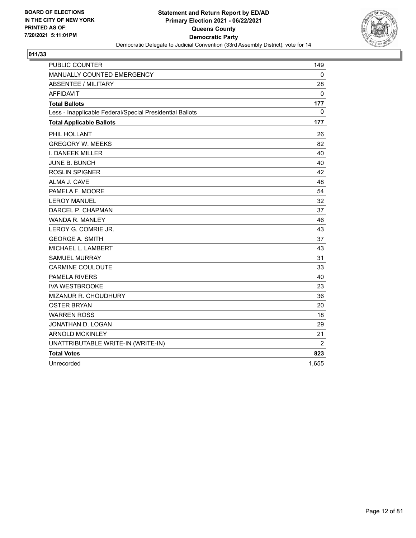

| <b>PUBLIC COUNTER</b>                                    | 149          |
|----------------------------------------------------------|--------------|
| MANUALLY COUNTED EMERGENCY                               | 0            |
| <b>ABSENTEE / MILITARY</b>                               | 28           |
| <b>AFFIDAVIT</b>                                         | $\mathbf{0}$ |
| <b>Total Ballots</b>                                     | 177          |
| Less - Inapplicable Federal/Special Presidential Ballots | $\mathbf{0}$ |
| <b>Total Applicable Ballots</b>                          | 177          |
| PHIL HOLLANT                                             | 26           |
| <b>GREGORY W. MEEKS</b>                                  | 82           |
| I. DANEEK MILLER                                         | 40           |
| <b>JUNE B. BUNCH</b>                                     | 40           |
| <b>ROSLIN SPIGNER</b>                                    | 42           |
| ALMA J. CAVE                                             | 48           |
| PAMELA F. MOORE                                          | 54           |
| <b>LEROY MANUEL</b>                                      | 32           |
| DARCEL P. CHAPMAN                                        | 37           |
| WANDA R. MANLEY                                          | 46           |
| LEROY G. COMRIE JR.                                      | 43           |
| <b>GEORGE A. SMITH</b>                                   | 37           |
| MICHAEL L. LAMBERT                                       | 43           |
| <b>SAMUEL MURRAY</b>                                     | 31           |
| <b>CARMINE COULOUTE</b>                                  | 33           |
| <b>PAMELA RIVERS</b>                                     | 40           |
| <b>IVA WESTBROOKE</b>                                    | 23           |
| MIZANUR R. CHOUDHURY                                     | 36           |
| <b>OSTER BRYAN</b>                                       | 20           |
| <b>WARREN ROSS</b>                                       | 18           |
| JONATHAN D. LOGAN                                        | 29           |
| <b>ARNOLD MCKINLEY</b>                                   | 21           |
| UNATTRIBUTABLE WRITE-IN (WRITE-IN)                       | 2            |
| <b>Total Votes</b>                                       | 823          |
| Unrecorded                                               | 1.655        |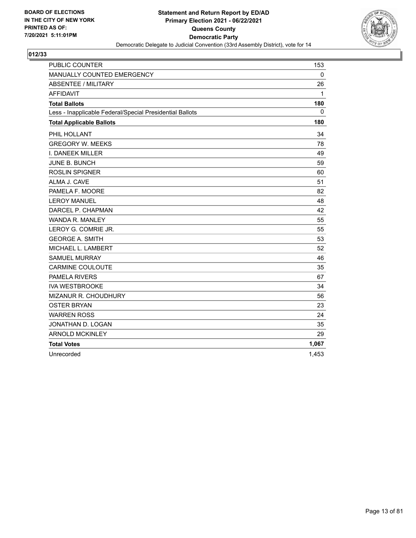

| <b>PUBLIC COUNTER</b>                                    | 153   |
|----------------------------------------------------------|-------|
| MANUALLY COUNTED EMERGENCY                               | 0     |
| <b>ABSENTEE / MILITARY</b>                               | 26    |
| <b>AFFIDAVIT</b>                                         | 1     |
| <b>Total Ballots</b>                                     | 180   |
| Less - Inapplicable Federal/Special Presidential Ballots | 0     |
| <b>Total Applicable Ballots</b>                          | 180   |
| PHIL HOLLANT                                             | 34    |
| <b>GREGORY W. MEEKS</b>                                  | 78    |
| <b>I. DANEEK MILLER</b>                                  | 49    |
| JUNE B. BUNCH                                            | 59    |
| <b>ROSLIN SPIGNER</b>                                    | 60    |
| ALMA J. CAVE                                             | 51    |
| PAMELA F. MOORE                                          | 82    |
| <b>LEROY MANUEL</b>                                      | 48    |
| DARCEL P. CHAPMAN                                        | 42    |
| WANDA R. MANLEY                                          | 55    |
| LEROY G. COMRIE JR.                                      | 55    |
| <b>GEORGE A. SMITH</b>                                   | 53    |
| MICHAEL L. LAMBERT                                       | 52    |
| <b>SAMUEL MURRAY</b>                                     | 46    |
| <b>CARMINE COULOUTE</b>                                  | 35    |
| <b>PAMELA RIVERS</b>                                     | 67    |
| <b>IVA WESTBROOKE</b>                                    | 34    |
| MIZANUR R. CHOUDHURY                                     | 56    |
| <b>OSTER BRYAN</b>                                       | 23    |
| <b>WARREN ROSS</b>                                       | 24    |
| JONATHAN D. LOGAN                                        | 35    |
| <b>ARNOLD MCKINLEY</b>                                   | 29    |
| <b>Total Votes</b>                                       | 1,067 |
| Unrecorded                                               | 1,453 |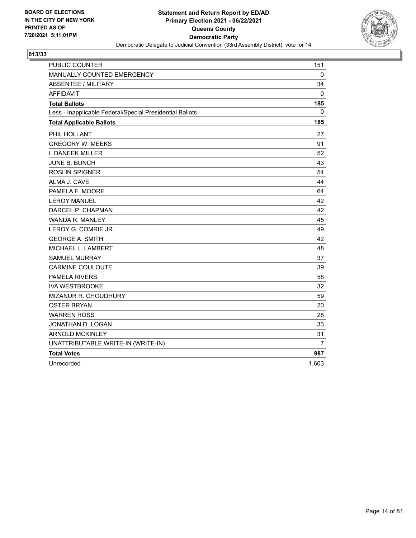

| <b>PUBLIC COUNTER</b>                                    | 151          |
|----------------------------------------------------------|--------------|
| MANUALLY COUNTED EMERGENCY                               | 0            |
| <b>ABSENTEE / MILITARY</b>                               | 34           |
| <b>AFFIDAVIT</b>                                         | $\mathbf{0}$ |
| <b>Total Ballots</b>                                     | 185          |
| Less - Inapplicable Federal/Special Presidential Ballots | $\mathbf{0}$ |
| <b>Total Applicable Ballots</b>                          | 185          |
| PHIL HOLLANT                                             | 27           |
| <b>GREGORY W. MEEKS</b>                                  | 91           |
| I. DANEEK MILLER                                         | 52           |
| <b>JUNE B. BUNCH</b>                                     | 43           |
| <b>ROSLIN SPIGNER</b>                                    | 54           |
| ALMA J. CAVE                                             | 44           |
| PAMELA F. MOORE                                          | 64           |
| <b>LEROY MANUEL</b>                                      | 42           |
| DARCEL P. CHAPMAN                                        | 42           |
| WANDA R. MANLEY                                          | 45           |
| LEROY G. COMRIE JR.                                      | 49           |
| <b>GEORGE A. SMITH</b>                                   | 42           |
| MICHAEL L. LAMBERT                                       | 48           |
| <b>SAMUEL MURRAY</b>                                     | 37           |
| <b>CARMINE COULOUTE</b>                                  | 39           |
| <b>PAMELA RIVERS</b>                                     | 58           |
| <b>IVA WESTBROOKE</b>                                    | 32           |
| MIZANUR R. CHOUDHURY                                     | 59           |
| <b>OSTER BRYAN</b>                                       | 20           |
| <b>WARREN ROSS</b>                                       | 28           |
| JONATHAN D. LOGAN                                        | 33           |
| <b>ARNOLD MCKINLEY</b>                                   | 31           |
| UNATTRIBUTABLE WRITE-IN (WRITE-IN)                       | 7            |
| <b>Total Votes</b>                                       | 987          |
| Unrecorded                                               | 1.603        |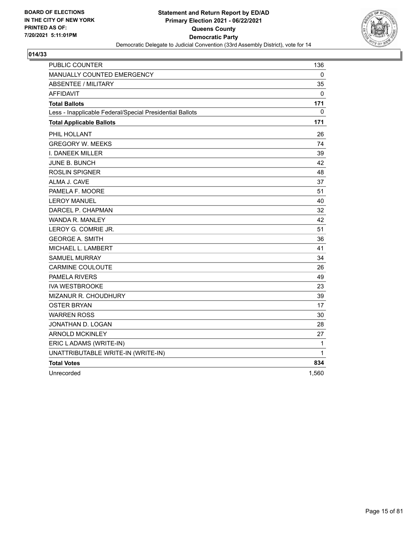

| PUBLIC COUNTER                                           | 136   |
|----------------------------------------------------------|-------|
| MANUALLY COUNTED EMERGENCY                               | 0     |
| <b>ABSENTEE / MILITARY</b>                               | 35    |
| <b>AFFIDAVIT</b>                                         | 0     |
| <b>Total Ballots</b>                                     | 171   |
| Less - Inapplicable Federal/Special Presidential Ballots | 0     |
| <b>Total Applicable Ballots</b>                          | 171   |
| PHIL HOLLANT                                             | 26    |
| <b>GREGORY W. MEEKS</b>                                  | 74    |
| I. DANEEK MILLER                                         | 39    |
| JUNE B. BUNCH                                            | 42    |
| <b>ROSLIN SPIGNER</b>                                    | 48    |
| ALMA J. CAVE                                             | 37    |
| PAMELA F. MOORE                                          | 51    |
| <b>LEROY MANUEL</b>                                      | 40    |
| DARCEL P. CHAPMAN                                        | 32    |
| WANDA R. MANLEY                                          | 42    |
| LEROY G. COMRIE JR.                                      | 51    |
| <b>GEORGE A. SMITH</b>                                   | 36    |
| MICHAEL L. LAMBERT                                       | 41    |
| <b>SAMUEL MURRAY</b>                                     | 34    |
| <b>CARMINE COULOUTE</b>                                  | 26    |
| <b>PAMELA RIVERS</b>                                     | 49    |
| <b>IVA WESTBROOKE</b>                                    | 23    |
| MIZANUR R. CHOUDHURY                                     | 39    |
| <b>OSTER BRYAN</b>                                       | 17    |
| <b>WARREN ROSS</b>                                       | 30    |
| JONATHAN D. LOGAN                                        | 28    |
| <b>ARNOLD MCKINLEY</b>                                   | 27    |
| ERIC LADAMS (WRITE-IN)                                   | 1     |
| UNATTRIBUTABLE WRITE-IN (WRITE-IN)                       | 1     |
| <b>Total Votes</b>                                       | 834   |
| Unrecorded                                               | 1,560 |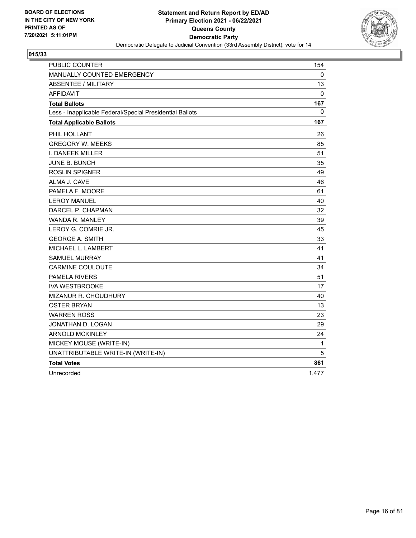

| PUBLIC COUNTER                                           | 154   |
|----------------------------------------------------------|-------|
| MANUALLY COUNTED EMERGENCY                               | 0     |
| <b>ABSENTEE / MILITARY</b>                               | 13    |
| <b>AFFIDAVIT</b>                                         | 0     |
| <b>Total Ballots</b>                                     | 167   |
| Less - Inapplicable Federal/Special Presidential Ballots | 0     |
| <b>Total Applicable Ballots</b>                          | 167   |
| PHIL HOLLANT                                             | 26    |
| <b>GREGORY W. MEEKS</b>                                  | 85    |
| I. DANEEK MILLER                                         | 51    |
| JUNE B. BUNCH                                            | 35    |
| <b>ROSLIN SPIGNER</b>                                    | 49    |
| ALMA J. CAVE                                             | 46    |
| PAMELA F. MOORE                                          | 61    |
| <b>LEROY MANUEL</b>                                      | 40    |
| DARCEL P. CHAPMAN                                        | 32    |
| WANDA R. MANLEY                                          | 39    |
| LEROY G. COMRIE JR.                                      | 45    |
| <b>GEORGE A. SMITH</b>                                   | 33    |
| MICHAEL L. LAMBERT                                       | 41    |
| <b>SAMUEL MURRAY</b>                                     | 41    |
| <b>CARMINE COULOUTE</b>                                  | 34    |
| <b>PAMELA RIVERS</b>                                     | 51    |
| <b>IVA WESTBROOKE</b>                                    | 17    |
| MIZANUR R. CHOUDHURY                                     | 40    |
| <b>OSTER BRYAN</b>                                       | 13    |
| <b>WARREN ROSS</b>                                       | 23    |
| JONATHAN D. LOGAN                                        | 29    |
| <b>ARNOLD MCKINLEY</b>                                   | 24    |
| MICKEY MOUSE (WRITE-IN)                                  | 1     |
| UNATTRIBUTABLE WRITE-IN (WRITE-IN)                       | 5     |
| <b>Total Votes</b>                                       | 861   |
| Unrecorded                                               | 1,477 |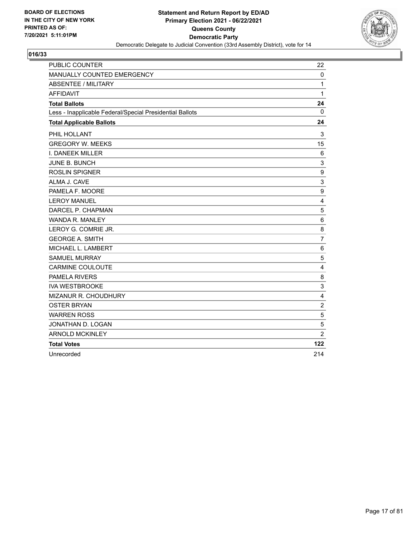

| <b>PUBLIC COUNTER</b>                                    | 22             |
|----------------------------------------------------------|----------------|
| MANUALLY COUNTED EMERGENCY                               | 0              |
| <b>ABSENTEE / MILITARY</b>                               | $\mathbf{1}$   |
| <b>AFFIDAVIT</b>                                         | 1              |
| <b>Total Ballots</b>                                     | 24             |
| Less - Inapplicable Federal/Special Presidential Ballots | $\mathbf 0$    |
| <b>Total Applicable Ballots</b>                          | 24             |
| PHIL HOLLANT                                             | 3              |
| <b>GREGORY W. MEEKS</b>                                  | 15             |
| I. DANEEK MILLER                                         | 6              |
| JUNE B. BUNCH                                            | 3              |
| <b>ROSLIN SPIGNER</b>                                    | 9              |
| ALMA J. CAVE                                             | 3              |
| PAMELA F. MOORE                                          | 9              |
| <b>LEROY MANUEL</b>                                      | $\overline{4}$ |
| DARCEL P. CHAPMAN                                        | 5              |
| WANDA R. MANLEY                                          | $\,6$          |
| LEROY G. COMRIE JR.                                      | 8              |
| <b>GEORGE A. SMITH</b>                                   | $\overline{7}$ |
| MICHAEL L. LAMBERT                                       | 6              |
| <b>SAMUEL MURRAY</b>                                     | 5              |
| <b>CARMINE COULOUTE</b>                                  | 4              |
| <b>PAMELA RIVERS</b>                                     | 8              |
| <b>IVA WESTBROOKE</b>                                    | 3              |
| MIZANUR R. CHOUDHURY                                     | 4              |
| <b>OSTER BRYAN</b>                                       | $\overline{c}$ |
| <b>WARREN ROSS</b>                                       | 5              |
| JONATHAN D. LOGAN                                        | 5              |
| <b>ARNOLD MCKINLEY</b>                                   | $\overline{2}$ |
| <b>Total Votes</b>                                       | 122            |
| Unrecorded                                               | 214            |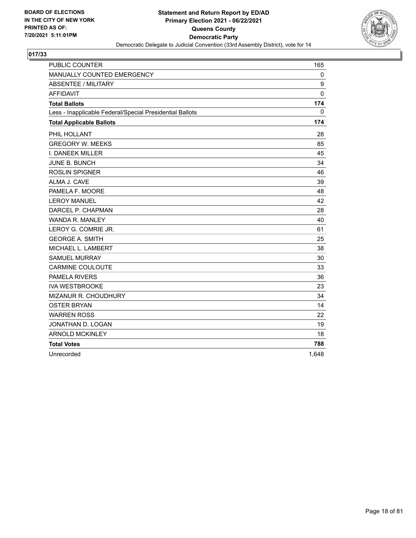

| <b>PUBLIC COUNTER</b>                                    | 165   |
|----------------------------------------------------------|-------|
| MANUALLY COUNTED EMERGENCY                               | 0     |
| ABSENTEE / MILITARY                                      | 9     |
| <b>AFFIDAVIT</b>                                         | 0     |
| <b>Total Ballots</b>                                     | 174   |
| Less - Inapplicable Federal/Special Presidential Ballots | 0     |
| <b>Total Applicable Ballots</b>                          | 174   |
| PHIL HOLLANT                                             | 28    |
| <b>GREGORY W. MEEKS</b>                                  | 85    |
| <b>I. DANEEK MILLER</b>                                  | 45    |
| JUNE B. BUNCH                                            | 34    |
| <b>ROSLIN SPIGNER</b>                                    | 46    |
| ALMA J. CAVE                                             | 39    |
| PAMELA F. MOORE                                          | 48    |
| <b>LEROY MANUEL</b>                                      | 42    |
| DARCEL P. CHAPMAN                                        | 28    |
| <b>WANDA R. MANLEY</b>                                   | 40    |
| LEROY G. COMRIE JR.                                      | 61    |
| <b>GEORGE A. SMITH</b>                                   | 25    |
| MICHAEL L. LAMBERT                                       | 38    |
| <b>SAMUEL MURRAY</b>                                     | 30    |
| <b>CARMINE COULOUTE</b>                                  | 33    |
| <b>PAMELA RIVERS</b>                                     | 36    |
| <b>IVA WESTBROOKE</b>                                    | 23    |
| <b>MIZANUR R. CHOUDHURY</b>                              | 34    |
| <b>OSTER BRYAN</b>                                       | 14    |
| <b>WARREN ROSS</b>                                       | 22    |
| JONATHAN D. LOGAN                                        | 19    |
| <b>ARNOLD MCKINLEY</b>                                   | 18    |
| <b>Total Votes</b>                                       | 788   |
| Unrecorded                                               | 1,648 |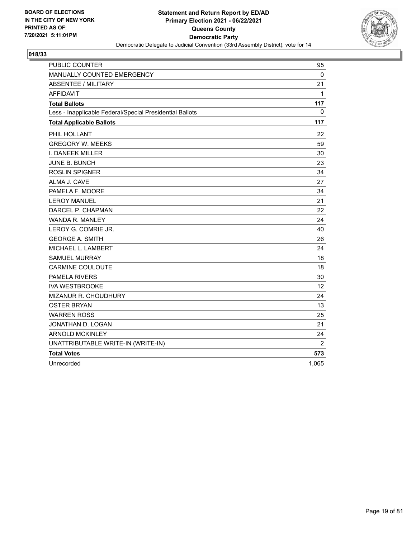

| <b>PUBLIC COUNTER</b>                                    | 95           |
|----------------------------------------------------------|--------------|
| MANUALLY COUNTED EMERGENCY                               | $\mathbf{0}$ |
| ABSENTEE / MILITARY                                      | 21           |
| <b>AFFIDAVIT</b>                                         | $\mathbf{1}$ |
| <b>Total Ballots</b>                                     | 117          |
| Less - Inapplicable Federal/Special Presidential Ballots | $\mathbf{0}$ |
| <b>Total Applicable Ballots</b>                          | 117          |
| PHIL HOLLANT                                             | 22           |
| <b>GREGORY W. MEEKS</b>                                  | 59           |
| I. DANEEK MILLER                                         | 30           |
| <b>JUNE B. BUNCH</b>                                     | 23           |
| <b>ROSLIN SPIGNER</b>                                    | 34           |
| ALMA J. CAVE                                             | 27           |
| PAMELA F. MOORE                                          | 34           |
| <b>LEROY MANUEL</b>                                      | 21           |
| DARCEL P. CHAPMAN                                        | 22           |
| <b>WANDA R. MANLEY</b>                                   | 24           |
| LEROY G. COMRIE JR.                                      | 40           |
| <b>GEORGE A. SMITH</b>                                   | 26           |
| MICHAEL L. LAMBERT                                       | 24           |
| <b>SAMUEL MURRAY</b>                                     | 18           |
| <b>CARMINE COULOUTE</b>                                  | 18           |
| <b>PAMELA RIVERS</b>                                     | 30           |
| <b>IVA WESTBROOKE</b>                                    | 12           |
| MIZANUR R. CHOUDHURY                                     | 24           |
| <b>OSTER BRYAN</b>                                       | 13           |
| <b>WARREN ROSS</b>                                       | 25           |
| JONATHAN D. LOGAN                                        | 21           |
| <b>ARNOLD MCKINLEY</b>                                   | 24           |
| UNATTRIBUTABLE WRITE-IN (WRITE-IN)                       | 2            |
| <b>Total Votes</b>                                       | 573          |
| Unrecorded                                               | 1.065        |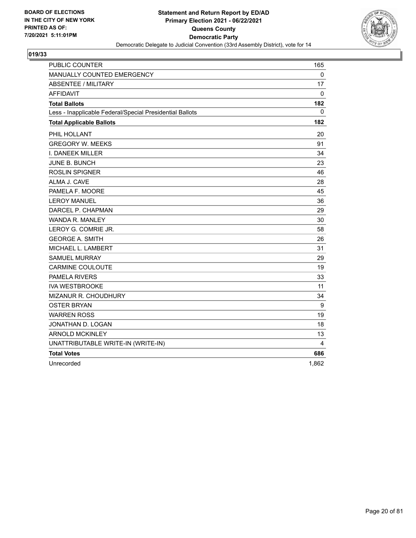

| <b>PUBLIC COUNTER</b>                                    | 165         |
|----------------------------------------------------------|-------------|
| MANUALLY COUNTED EMERGENCY                               | $\mathbf 0$ |
| ABSENTEE / MILITARY                                      | 17          |
| <b>AFFIDAVIT</b>                                         | 0           |
| <b>Total Ballots</b>                                     | 182         |
| Less - Inapplicable Federal/Special Presidential Ballots | 0           |
| <b>Total Applicable Ballots</b>                          | 182         |
| PHIL HOLLANT                                             | 20          |
| <b>GREGORY W. MEEKS</b>                                  | 91          |
| I. DANEEK MILLER                                         | 34          |
| JUNE B. BUNCH                                            | 23          |
| <b>ROSLIN SPIGNER</b>                                    | 46          |
| ALMA J. CAVE                                             | 28          |
| PAMELA F. MOORE                                          | 45          |
| <b>LEROY MANUEL</b>                                      | 36          |
| DARCEL P. CHAPMAN                                        | 29          |
| <b>WANDA R. MANLEY</b>                                   | 30          |
| LEROY G. COMRIE JR.                                      | 58          |
| <b>GEORGE A. SMITH</b>                                   | 26          |
| MICHAEL L. LAMBERT                                       | 31          |
| <b>SAMUEL MURRAY</b>                                     | 29          |
| <b>CARMINE COULOUTE</b>                                  | 19          |
| <b>PAMELA RIVERS</b>                                     | 33          |
| <b>IVA WESTBROOKE</b>                                    | 11          |
| MIZANUR R. CHOUDHURY                                     | 34          |
| <b>OSTER BRYAN</b>                                       | 9           |
| <b>WARREN ROSS</b>                                       | 19          |
| JONATHAN D. LOGAN                                        | 18          |
| <b>ARNOLD MCKINLEY</b>                                   | 13          |
| UNATTRIBUTABLE WRITE-IN (WRITE-IN)                       | 4           |
| <b>Total Votes</b>                                       | 686         |
| Unrecorded                                               | 1.862       |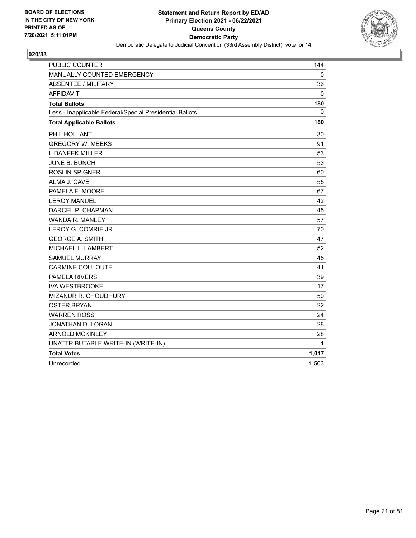

| <b>PUBLIC COUNTER</b>                                    | 144      |
|----------------------------------------------------------|----------|
| MANUALLY COUNTED EMERGENCY                               | 0        |
| <b>ABSENTEE / MILITARY</b>                               | 36       |
| <b>AFFIDAVIT</b>                                         | 0        |
| <b>Total Ballots</b>                                     | 180      |
| Less - Inapplicable Federal/Special Presidential Ballots | $\Omega$ |
| <b>Total Applicable Ballots</b>                          | 180      |
| PHIL HOLLANT                                             | 30       |
| <b>GREGORY W. MEEKS</b>                                  | 91       |
| I. DANEEK MILLER                                         | 53       |
| <b>JUNE B. BUNCH</b>                                     | 53       |
| <b>ROSLIN SPIGNER</b>                                    | 60       |
| ALMA J. CAVE                                             | 55       |
| PAMELA F. MOORE                                          | 67       |
| <b>LEROY MANUEL</b>                                      | 42       |
| DARCEL P. CHAPMAN                                        | 45       |
| WANDA R. MANLEY                                          | 57       |
| LEROY G. COMRIE JR.                                      | 70       |
| <b>GEORGE A. SMITH</b>                                   | 47       |
| MICHAEL L. LAMBERT                                       | 52       |
| <b>SAMUEL MURRAY</b>                                     | 45       |
| <b>CARMINE COULOUTE</b>                                  | 41       |
| PAMELA RIVERS                                            | 39       |
| <b>IVA WESTBROOKE</b>                                    | 17       |
| MIZANUR R. CHOUDHURY                                     | 50       |
| <b>OSTER BRYAN</b>                                       | 22       |
| <b>WARREN ROSS</b>                                       | 24       |
| JONATHAN D. LOGAN                                        | 28       |
| <b>ARNOLD MCKINLEY</b>                                   | 28       |
| UNATTRIBUTABLE WRITE-IN (WRITE-IN)                       | 1        |
| <b>Total Votes</b>                                       | 1,017    |
| Unrecorded                                               | 1,503    |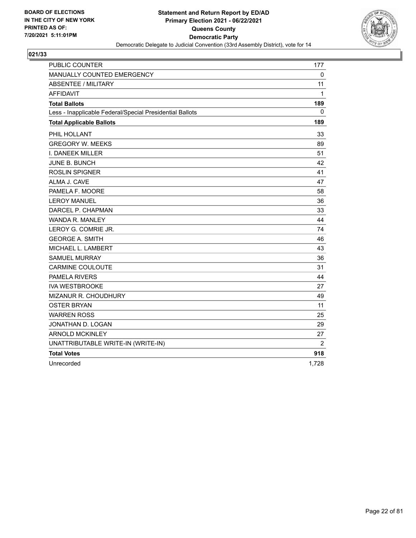

| <b>PUBLIC COUNTER</b>                                    | 177          |
|----------------------------------------------------------|--------------|
| MANUALLY COUNTED EMERGENCY                               | 0            |
| <b>ABSENTEE / MILITARY</b>                               | 11           |
| <b>AFFIDAVIT</b>                                         | $\mathbf{1}$ |
| <b>Total Ballots</b>                                     | 189          |
| Less - Inapplicable Federal/Special Presidential Ballots | 0            |
| <b>Total Applicable Ballots</b>                          | 189          |
| PHIL HOLLANT                                             | 33           |
| <b>GREGORY W. MEEKS</b>                                  | 89           |
| I. DANEEK MILLER                                         | 51           |
| <b>JUNE B. BUNCH</b>                                     | 42           |
| <b>ROSLIN SPIGNER</b>                                    | 41           |
| ALMA J. CAVE                                             | 47           |
| PAMELA F. MOORE                                          | 58           |
| <b>LEROY MANUEL</b>                                      | 36           |
| DARCEL P. CHAPMAN                                        | 33           |
| WANDA R. MANLEY                                          | 44           |
| LEROY G. COMRIE JR.                                      | 74           |
| <b>GEORGE A. SMITH</b>                                   | 46           |
| MICHAEL L. LAMBERT                                       | 43           |
| <b>SAMUEL MURRAY</b>                                     | 36           |
| <b>CARMINE COULOUTE</b>                                  | 31           |
| <b>PAMELA RIVERS</b>                                     | 44           |
| <b>IVA WESTBROOKE</b>                                    | 27           |
| <b>MIZANUR R. CHOUDHURY</b>                              | 49           |
| <b>OSTER BRYAN</b>                                       | 11           |
| <b>WARREN ROSS</b>                                       | 25           |
| JONATHAN D. LOGAN                                        | 29           |
| <b>ARNOLD MCKINLEY</b>                                   | 27           |
| UNATTRIBUTABLE WRITE-IN (WRITE-IN)                       | 2            |
| <b>Total Votes</b>                                       | 918          |
| Unrecorded                                               | 1,728        |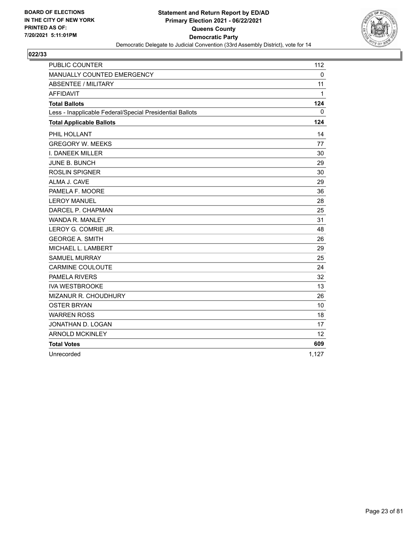

| <b>PUBLIC COUNTER</b>                                    | 112   |
|----------------------------------------------------------|-------|
| MANUALLY COUNTED EMERGENCY                               | 0     |
| <b>ABSENTEE / MILITARY</b>                               | 11    |
| <b>AFFIDAVIT</b>                                         | 1     |
| <b>Total Ballots</b>                                     | 124   |
| Less - Inapplicable Federal/Special Presidential Ballots | 0     |
| <b>Total Applicable Ballots</b>                          | 124   |
| PHIL HOLLANT                                             | 14    |
| <b>GREGORY W. MEEKS</b>                                  | 77    |
| I. DANEEK MILLER                                         | 30    |
| <b>JUNE B. BUNCH</b>                                     | 29    |
| <b>ROSLIN SPIGNER</b>                                    | 30    |
| ALMA J. CAVE                                             | 29    |
| PAMELA F. MOORE                                          | 36    |
| <b>LEROY MANUEL</b>                                      | 28    |
| DARCEL P. CHAPMAN                                        | 25    |
| <b>WANDA R. MANLEY</b>                                   | 31    |
| LEROY G. COMRIE JR.                                      | 48    |
| <b>GEORGE A. SMITH</b>                                   | 26    |
| MICHAEL L. LAMBERT                                       | 29    |
| <b>SAMUEL MURRAY</b>                                     | 25    |
| <b>CARMINE COULOUTE</b>                                  | 24    |
| PAMELA RIVERS                                            | 32    |
| <b>IVA WESTBROOKE</b>                                    | 13    |
| MIZANUR R. CHOUDHURY                                     | 26    |
| <b>OSTER BRYAN</b>                                       | 10    |
| <b>WARREN ROSS</b>                                       | 18    |
| JONATHAN D. LOGAN                                        | 17    |
| <b>ARNOLD MCKINLEY</b>                                   | 12    |
| <b>Total Votes</b>                                       | 609   |
| Unrecorded                                               | 1,127 |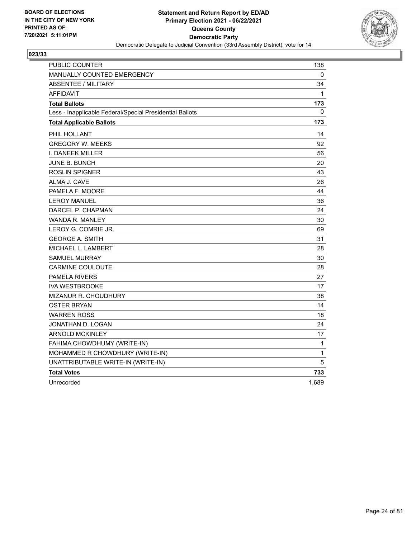

| <b>PUBLIC COUNTER</b>                                    | 138         |
|----------------------------------------------------------|-------------|
| MANUALLY COUNTED EMERGENCY                               | 0           |
| <b>ABSENTEE / MILITARY</b>                               | 34          |
| <b>AFFIDAVIT</b>                                         | 1           |
| <b>Total Ballots</b>                                     | 173         |
| Less - Inapplicable Federal/Special Presidential Ballots | 0           |
| <b>Total Applicable Ballots</b>                          | 173         |
| PHIL HOLLANT                                             | 14          |
| <b>GREGORY W. MEEKS</b>                                  | 92          |
| I. DANEEK MILLER                                         | 56          |
| <b>JUNE B. BUNCH</b>                                     | 20          |
| <b>ROSLIN SPIGNER</b>                                    | 43          |
| ALMA J. CAVE                                             | 26          |
| PAMELA F. MOORE                                          | 44          |
| <b>LEROY MANUEL</b>                                      | 36          |
| DARCEL P. CHAPMAN                                        | 24          |
| <b>WANDA R. MANLEY</b>                                   | 30          |
| LEROY G. COMRIE JR.                                      | 69          |
| <b>GEORGE A. SMITH</b>                                   | 31          |
| MICHAEL L. LAMBERT                                       | 28          |
| <b>SAMUEL MURRAY</b>                                     | 30          |
| <b>CARMINE COULOUTE</b>                                  | 28          |
| <b>PAMELA RIVERS</b>                                     | 27          |
| <b>IVA WESTBROOKE</b>                                    | 17          |
| MIZANUR R. CHOUDHURY                                     | 38          |
| <b>OSTER BRYAN</b>                                       | 14          |
| <b>WARREN ROSS</b>                                       | 18          |
| JONATHAN D. LOGAN                                        | 24          |
| <b>ARNOLD MCKINLEY</b>                                   | 17          |
| FAHIMA CHOWDHUMY (WRITE-IN)                              | $\mathbf 1$ |
| MOHAMMED R CHOWDHURY (WRITE-IN)                          | 1           |
| UNATTRIBUTABLE WRITE-IN (WRITE-IN)                       | 5           |
| <b>Total Votes</b>                                       | 733         |
| Unrecorded                                               | 1,689       |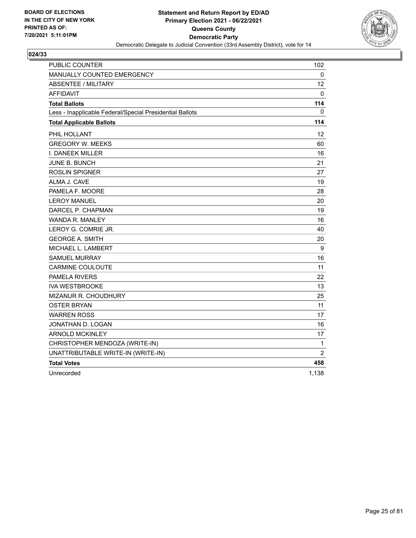

| <b>PUBLIC COUNTER</b>                                    | 102               |
|----------------------------------------------------------|-------------------|
| MANUALLY COUNTED EMERGENCY                               | 0                 |
| <b>ABSENTEE / MILITARY</b>                               | $12 \overline{ }$ |
| <b>AFFIDAVIT</b>                                         | 0                 |
| <b>Total Ballots</b>                                     | 114               |
| Less - Inapplicable Federal/Special Presidential Ballots | 0                 |
| <b>Total Applicable Ballots</b>                          | 114               |
| PHIL HOLLANT                                             | 12                |
| <b>GREGORY W. MEEKS</b>                                  | 60                |
| I. DANEEK MILLER                                         | 16                |
| JUNE B. BUNCH                                            | 21                |
| <b>ROSLIN SPIGNER</b>                                    | 27                |
| ALMA J. CAVE                                             | 19                |
| PAMELA F. MOORE                                          | 28                |
| <b>LEROY MANUEL</b>                                      | 20                |
| DARCEL P. CHAPMAN                                        | 19                |
| <b>WANDA R. MANLEY</b>                                   | 16                |
| LEROY G. COMRIE JR.                                      | 40                |
| <b>GEORGE A. SMITH</b>                                   | 20                |
| MICHAEL L. LAMBERT                                       | 9                 |
| <b>SAMUEL MURRAY</b>                                     | 16                |
| <b>CARMINE COULOUTE</b>                                  | 11                |
| <b>PAMELA RIVERS</b>                                     | 22                |
| <b>IVA WESTBROOKE</b>                                    | 13                |
| MIZANUR R. CHOUDHURY                                     | 25                |
| <b>OSTER BRYAN</b>                                       | 11                |
| <b>WARREN ROSS</b>                                       | 17                |
| JONATHAN D. LOGAN                                        | 16                |
| <b>ARNOLD MCKINLEY</b>                                   | 17                |
| CHRISTOPHER MENDOZA (WRITE-IN)                           | 1                 |
| UNATTRIBUTABLE WRITE-IN (WRITE-IN)                       | $\overline{2}$    |
| <b>Total Votes</b>                                       | 458               |
| Unrecorded                                               | 1,138             |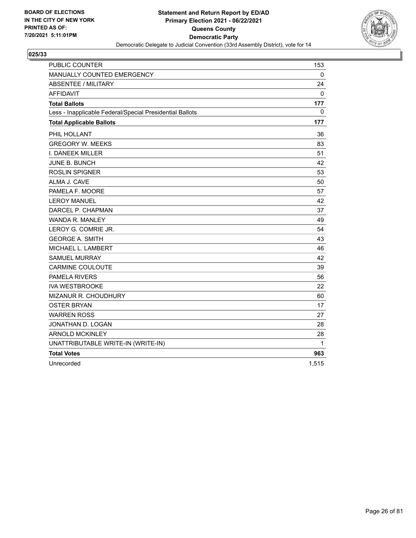

| PUBLIC COUNTER                                           | 153          |
|----------------------------------------------------------|--------------|
| MANUALLY COUNTED EMERGENCY                               | 0            |
| <b>ABSENTEE / MILITARY</b>                               | 24           |
| <b>AFFIDAVIT</b>                                         | $\mathbf{0}$ |
| <b>Total Ballots</b>                                     | 177          |
| Less - Inapplicable Federal/Special Presidential Ballots | $\mathbf{0}$ |
| <b>Total Applicable Ballots</b>                          | 177          |
| PHIL HOLLANT                                             | 36           |
| <b>GREGORY W. MEEKS</b>                                  | 83           |
| I. DANEEK MILLER                                         | 51           |
| <b>JUNE B. BUNCH</b>                                     | 42           |
| <b>ROSLIN SPIGNER</b>                                    | 53           |
| ALMA J. CAVE                                             | 50           |
| PAMELA F. MOORE                                          | 57           |
| <b>LEROY MANUEL</b>                                      | 42           |
| DARCEL P. CHAPMAN                                        | 37           |
| <b>WANDA R. MANLEY</b>                                   | 49           |
| LEROY G. COMRIE JR.                                      | 54           |
| <b>GEORGE A. SMITH</b>                                   | 43           |
| MICHAEL L. LAMBERT                                       | 46           |
| <b>SAMUEL MURRAY</b>                                     | 42           |
| <b>CARMINE COULOUTE</b>                                  | 39           |
| <b>PAMELA RIVERS</b>                                     | 56           |
| <b>IVA WESTBROOKE</b>                                    | 22           |
| <b>MIZANUR R. CHOUDHURY</b>                              | 60           |
| <b>OSTER BRYAN</b>                                       | 17           |
| <b>WARREN ROSS</b>                                       | 27           |
| JONATHAN D. LOGAN                                        | 28           |
| <b>ARNOLD MCKINLEY</b>                                   | 28           |
| UNATTRIBUTABLE WRITE-IN (WRITE-IN)                       | 1            |
| <b>Total Votes</b>                                       | 963          |
| Unrecorded                                               | 1,515        |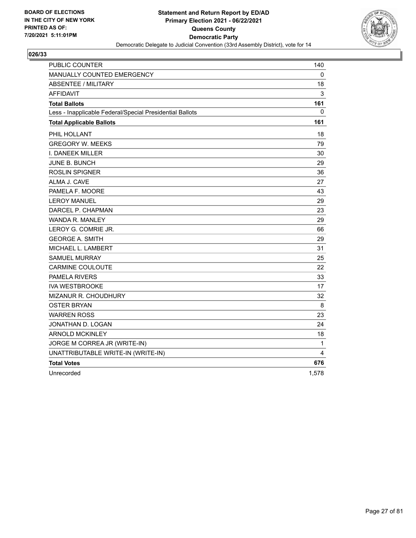

| <b>PUBLIC COUNTER</b>                                    | 140   |
|----------------------------------------------------------|-------|
| <b>MANUALLY COUNTED EMERGENCY</b>                        | 0     |
| <b>ABSENTEE / MILITARY</b>                               | 18    |
| AFFIDAVIT                                                | 3     |
| <b>Total Ballots</b>                                     | 161   |
| Less - Inapplicable Federal/Special Presidential Ballots | 0     |
| <b>Total Applicable Ballots</b>                          | 161   |
| PHIL HOLLANT                                             | 18    |
| <b>GREGORY W. MEEKS</b>                                  | 79    |
| I. DANEEK MILLER                                         | 30    |
| <b>JUNE B. BUNCH</b>                                     | 29    |
| <b>ROSLIN SPIGNER</b>                                    | 36    |
| ALMA J. CAVE                                             | 27    |
| PAMELA F. MOORE                                          | 43    |
| <b>LEROY MANUEL</b>                                      | 29    |
| DARCEL P. CHAPMAN                                        | 23    |
| WANDA R. MANLEY                                          | 29    |
| LEROY G. COMRIE JR.                                      | 66    |
| <b>GEORGE A. SMITH</b>                                   | 29    |
| MICHAEL L. LAMBERT                                       | 31    |
| <b>SAMUEL MURRAY</b>                                     | 25    |
| <b>CARMINE COULOUTE</b>                                  | 22    |
| <b>PAMELA RIVERS</b>                                     | 33    |
| <b>IVA WESTBROOKE</b>                                    | 17    |
| MIZANUR R. CHOUDHURY                                     | 32    |
| <b>OSTER BRYAN</b>                                       | 8     |
| <b>WARREN ROSS</b>                                       | 23    |
| JONATHAN D. LOGAN                                        | 24    |
| <b>ARNOLD MCKINLEY</b>                                   | 18    |
| JORGE M CORREA JR (WRITE-IN)                             | 1     |
| UNATTRIBUTABLE WRITE-IN (WRITE-IN)                       | 4     |
| <b>Total Votes</b>                                       | 676   |
| Unrecorded                                               | 1,578 |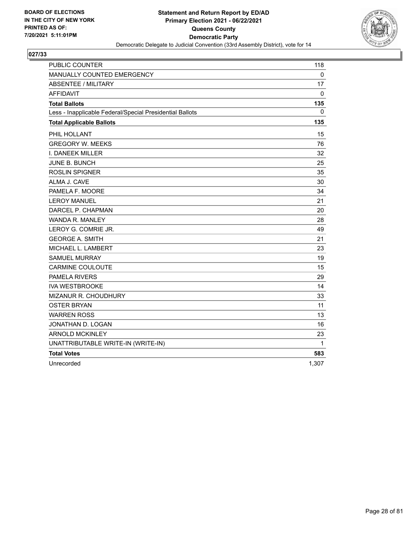

| PUBLIC COUNTER                                           | 118   |
|----------------------------------------------------------|-------|
| MANUALLY COUNTED EMERGENCY                               | 0     |
| <b>ABSENTEE / MILITARY</b>                               | 17    |
| <b>AFFIDAVIT</b>                                         | 0     |
| <b>Total Ballots</b>                                     | 135   |
| Less - Inapplicable Federal/Special Presidential Ballots | 0     |
| <b>Total Applicable Ballots</b>                          | 135   |
| PHIL HOLLANT                                             | 15    |
| <b>GREGORY W. MEEKS</b>                                  | 76    |
| <b>I. DANEEK MILLER</b>                                  | 32    |
| JUNE B. BUNCH                                            | 25    |
| <b>ROSLIN SPIGNER</b>                                    | 35    |
| ALMA J. CAVE                                             | 30    |
| PAMELA F. MOORE                                          | 34    |
| <b>LEROY MANUEL</b>                                      | 21    |
| DARCEL P. CHAPMAN                                        | 20    |
| <b>WANDA R. MANLEY</b>                                   | 28    |
| LEROY G. COMRIE JR.                                      | 49    |
| <b>GEORGE A. SMITH</b>                                   | 21    |
| MICHAEL L. LAMBERT                                       | 23    |
| <b>SAMUEL MURRAY</b>                                     | 19    |
| <b>CARMINE COULOUTE</b>                                  | 15    |
| <b>PAMELA RIVERS</b>                                     | 29    |
| <b>IVA WESTBROOKE</b>                                    | 14    |
| MIZANUR R. CHOUDHURY                                     | 33    |
| <b>OSTER BRYAN</b>                                       | 11    |
| <b>WARREN ROSS</b>                                       | 13    |
| JONATHAN D. LOGAN                                        | 16    |
| <b>ARNOLD MCKINLEY</b>                                   | 23    |
| UNATTRIBUTABLE WRITE-IN (WRITE-IN)                       | 1     |
| <b>Total Votes</b>                                       | 583   |
| Unrecorded                                               | 1.307 |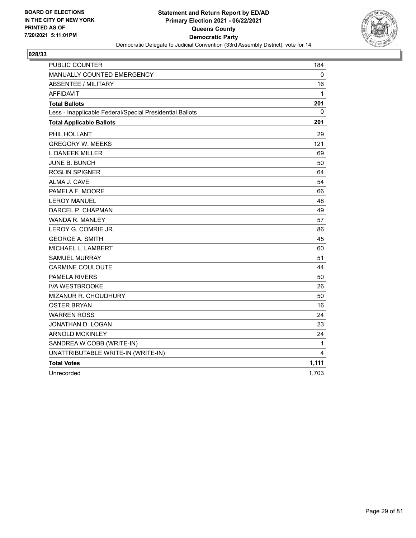

| PUBLIC COUNTER                                           | 184   |
|----------------------------------------------------------|-------|
| MANUALLY COUNTED EMERGENCY                               | 0     |
| <b>ABSENTEE / MILITARY</b>                               | 16    |
| <b>AFFIDAVIT</b>                                         | 1     |
| <b>Total Ballots</b>                                     | 201   |
| Less - Inapplicable Federal/Special Presidential Ballots | 0     |
| <b>Total Applicable Ballots</b>                          | 201   |
| PHIL HOLLANT                                             | 29    |
| <b>GREGORY W. MEEKS</b>                                  | 121   |
| I. DANEEK MILLER                                         | 69    |
| JUNE B. BUNCH                                            | 50    |
| <b>ROSLIN SPIGNER</b>                                    | 64    |
| ALMA J. CAVE                                             | 54    |
| PAMELA F. MOORE                                          | 66    |
| <b>LEROY MANUEL</b>                                      | 48    |
| DARCEL P. CHAPMAN                                        | 49    |
| WANDA R. MANLEY                                          | 57    |
| LEROY G. COMRIE JR.                                      | 86    |
| <b>GEORGE A. SMITH</b>                                   | 45    |
| MICHAEL L. LAMBERT                                       | 60    |
| <b>SAMUEL MURRAY</b>                                     | 51    |
| <b>CARMINE COULOUTE</b>                                  | 44    |
| <b>PAMELA RIVERS</b>                                     | 50    |
| <b>IVA WESTBROOKE</b>                                    | 26    |
| MIZANUR R. CHOUDHURY                                     | 50    |
| <b>OSTER BRYAN</b>                                       | 16    |
| <b>WARREN ROSS</b>                                       | 24    |
| JONATHAN D. LOGAN                                        | 23    |
| <b>ARNOLD MCKINLEY</b>                                   | 24    |
| SANDREA W COBB (WRITE-IN)                                | 1     |
| UNATTRIBUTABLE WRITE-IN (WRITE-IN)                       | 4     |
| <b>Total Votes</b>                                       | 1,111 |
| Unrecorded                                               | 1,703 |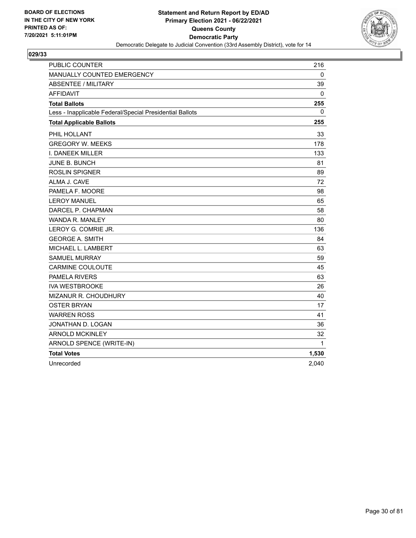

| <b>PUBLIC COUNTER</b>                                    | 216          |
|----------------------------------------------------------|--------------|
| <b>MANUALLY COUNTED EMERGENCY</b>                        | 0            |
| <b>ABSENTEE / MILITARY</b>                               | 39           |
| <b>AFFIDAVIT</b>                                         | 0            |
| <b>Total Ballots</b>                                     | 255          |
| Less - Inapplicable Federal/Special Presidential Ballots | $\mathbf{0}$ |
| <b>Total Applicable Ballots</b>                          | 255          |
| PHIL HOLLANT                                             | 33           |
| <b>GREGORY W. MEEKS</b>                                  | 178          |
| I. DANEEK MILLER                                         | 133          |
| <b>JUNE B. BUNCH</b>                                     | 81           |
| <b>ROSLIN SPIGNER</b>                                    | 89           |
| ALMA J. CAVE                                             | 72           |
| PAMELA F. MOORE                                          | 98           |
| <b>LEROY MANUEL</b>                                      | 65           |
| DARCEL P. CHAPMAN                                        | 58           |
| <b>WANDA R. MANLEY</b>                                   | 80           |
| LEROY G. COMRIE JR.                                      | 136          |
| <b>GEORGE A. SMITH</b>                                   | 84           |
| MICHAEL L. LAMBERT                                       | 63           |
| <b>SAMUEL MURRAY</b>                                     | 59           |
| <b>CARMINE COULOUTE</b>                                  | 45           |
| <b>PAMELA RIVERS</b>                                     | 63           |
| <b>IVA WESTBROOKE</b>                                    | 26           |
| <b>MIZANUR R. CHOUDHURY</b>                              | 40           |
| <b>OSTER BRYAN</b>                                       | 17           |
| <b>WARREN ROSS</b>                                       | 41           |
| JONATHAN D. LOGAN                                        | 36           |
| <b>ARNOLD MCKINLEY</b>                                   | 32           |
| ARNOLD SPENCE (WRITE-IN)                                 | 1            |
| <b>Total Votes</b>                                       | 1,530        |
| Unrecorded                                               | 2,040        |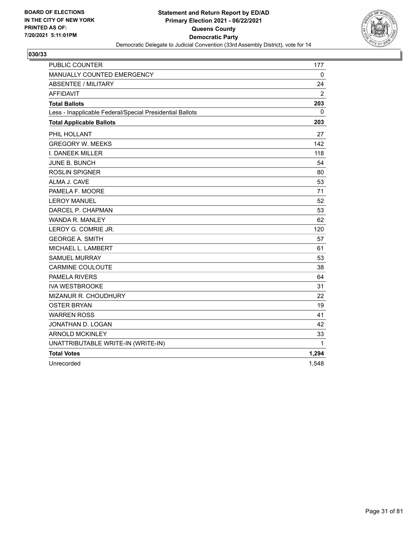

| <b>PUBLIC COUNTER</b>                                    | 177            |
|----------------------------------------------------------|----------------|
| MANUALLY COUNTED EMERGENCY                               | $\mathbf 0$    |
| <b>ABSENTEE / MILITARY</b>                               | 24             |
| <b>AFFIDAVIT</b>                                         | $\overline{2}$ |
| <b>Total Ballots</b>                                     | 203            |
| Less - Inapplicable Federal/Special Presidential Ballots | 0              |
| <b>Total Applicable Ballots</b>                          | 203            |
| PHIL HOLLANT                                             | 27             |
| <b>GREGORY W. MEEKS</b>                                  | 142            |
| I. DANEEK MILLER                                         | 118            |
| JUNE B. BUNCH                                            | 54             |
| <b>ROSLIN SPIGNER</b>                                    | 80             |
| ALMA J. CAVE                                             | 53             |
| PAMELA F. MOORE                                          | 71             |
| <b>LEROY MANUEL</b>                                      | 52             |
| DARCEL P. CHAPMAN                                        | 53             |
| <b>WANDA R. MANLEY</b>                                   | 62             |
| LEROY G. COMRIE JR.                                      | 120            |
| <b>GEORGE A. SMITH</b>                                   | 57             |
| MICHAEL L. LAMBERT                                       | 61             |
| <b>SAMUEL MURRAY</b>                                     | 53             |
| <b>CARMINE COULOUTE</b>                                  | 38             |
| <b>PAMELA RIVERS</b>                                     | 64             |
| <b>IVA WESTBROOKE</b>                                    | 31             |
| <b>MIZANUR R. CHOUDHURY</b>                              | 22             |
| <b>OSTER BRYAN</b>                                       | 19             |
| <b>WARREN ROSS</b>                                       | 41             |
| JONATHAN D. LOGAN                                        | 42             |
| <b>ARNOLD MCKINLEY</b>                                   | 33             |
| UNATTRIBUTABLE WRITE-IN (WRITE-IN)                       | $\mathbf{1}$   |
| <b>Total Votes</b>                                       | 1,294          |
| Unrecorded                                               | 1,548          |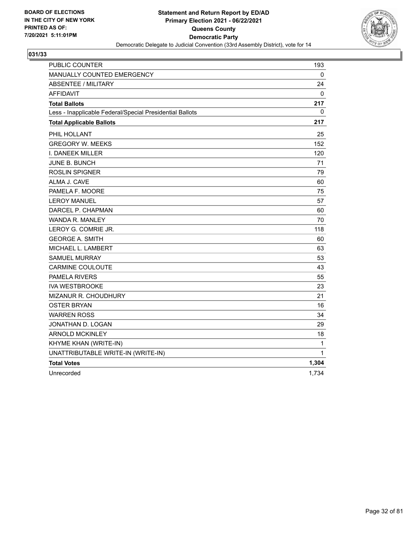

| PUBLIC COUNTER                                           | 193      |
|----------------------------------------------------------|----------|
| MANUALLY COUNTED EMERGENCY                               | 0        |
| <b>ABSENTEE / MILITARY</b>                               | 24       |
| <b>AFFIDAVIT</b>                                         | $\Omega$ |
| <b>Total Ballots</b>                                     | 217      |
| Less - Inapplicable Federal/Special Presidential Ballots | 0        |
| <b>Total Applicable Ballots</b>                          | 217      |
| PHIL HOLLANT                                             | 25       |
| <b>GREGORY W. MEEKS</b>                                  | 152      |
| I. DANEEK MILLER                                         | 120      |
| JUNE B. BUNCH                                            | 71       |
| <b>ROSLIN SPIGNER</b>                                    | 79       |
| ALMA J. CAVE                                             | 60       |
| PAMELA F. MOORE                                          | 75       |
| <b>LEROY MANUEL</b>                                      | 57       |
| DARCEL P. CHAPMAN                                        | 60       |
| <b>WANDA R. MANLEY</b>                                   | 70       |
| LEROY G. COMRIE JR.                                      | 118      |
| <b>GEORGE A. SMITH</b>                                   | 60       |
| MICHAEL L. LAMBERT                                       | 63       |
| <b>SAMUEL MURRAY</b>                                     | 53       |
| <b>CARMINE COULOUTE</b>                                  | 43       |
| <b>PAMELA RIVERS</b>                                     | 55       |
| <b>IVA WESTBROOKE</b>                                    | 23       |
| MIZANUR R. CHOUDHURY                                     | 21       |
| <b>OSTER BRYAN</b>                                       | 16       |
| <b>WARREN ROSS</b>                                       | 34       |
| JONATHAN D. LOGAN                                        | 29       |
| <b>ARNOLD MCKINLEY</b>                                   | 18       |
| KHYME KHAN (WRITE-IN)                                    | 1        |
| UNATTRIBUTABLE WRITE-IN (WRITE-IN)                       | 1        |
| <b>Total Votes</b>                                       | 1,304    |
| Unrecorded                                               | 1,734    |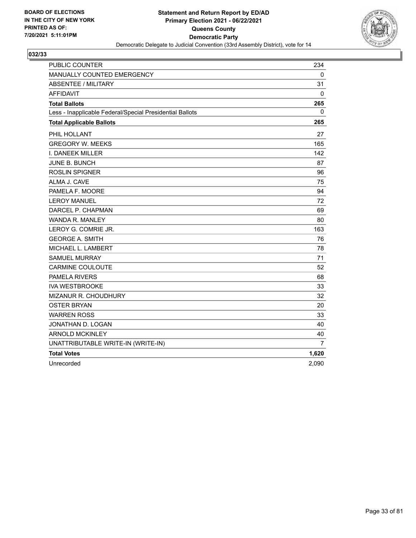

| <b>PUBLIC COUNTER</b>                                    | 234   |
|----------------------------------------------------------|-------|
| MANUALLY COUNTED EMERGENCY                               | 0     |
| <b>ABSENTEE / MILITARY</b>                               | 31    |
| <b>AFFIDAVIT</b>                                         | 0     |
| <b>Total Ballots</b>                                     | 265   |
| Less - Inapplicable Federal/Special Presidential Ballots | 0     |
| <b>Total Applicable Ballots</b>                          | 265   |
| PHIL HOLLANT                                             | 27    |
| <b>GREGORY W. MEEKS</b>                                  | 165   |
| <b>I. DANEEK MILLER</b>                                  | 142   |
| JUNE B. BUNCH                                            | 87    |
| <b>ROSLIN SPIGNER</b>                                    | 96    |
| ALMA J. CAVE                                             | 75    |
| PAMELA F. MOORE                                          | 94    |
| <b>LEROY MANUEL</b>                                      | 72    |
| DARCEL P. CHAPMAN                                        | 69    |
| <b>WANDA R. MANLEY</b>                                   | 80    |
| LEROY G. COMRIE JR.                                      | 163   |
| <b>GEORGE A. SMITH</b>                                   | 76    |
| MICHAEL L. LAMBERT                                       | 78    |
| <b>SAMUEL MURRAY</b>                                     | 71    |
| <b>CARMINE COULOUTE</b>                                  | 52    |
| <b>PAMELA RIVERS</b>                                     | 68    |
| <b>IVA WESTBROOKE</b>                                    | 33    |
| <b>MIZANUR R. CHOUDHURY</b>                              | 32    |
| <b>OSTER BRYAN</b>                                       | 20    |
| <b>WARREN ROSS</b>                                       | 33    |
| JONATHAN D. LOGAN                                        | 40    |
| <b>ARNOLD MCKINLEY</b>                                   | 40    |
| UNATTRIBUTABLE WRITE-IN (WRITE-IN)                       | 7     |
| <b>Total Votes</b>                                       | 1,620 |
| Unrecorded                                               | 2,090 |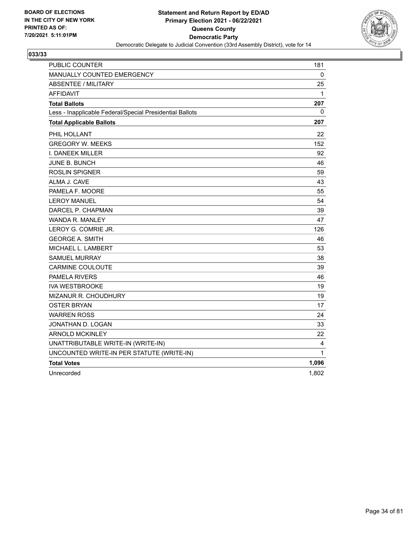

| PUBLIC COUNTER                                           | 181   |
|----------------------------------------------------------|-------|
| MANUALLY COUNTED EMERGENCY                               | 0     |
| <b>ABSENTEE / MILITARY</b>                               | 25    |
| <b>AFFIDAVIT</b>                                         | 1     |
| <b>Total Ballots</b>                                     | 207   |
| Less - Inapplicable Federal/Special Presidential Ballots | 0     |
| <b>Total Applicable Ballots</b>                          | 207   |
| PHIL HOLLANT                                             | 22    |
| <b>GREGORY W. MEEKS</b>                                  | 152   |
| I. DANEEK MILLER                                         | 92    |
| <b>JUNE B. BUNCH</b>                                     | 46    |
| <b>ROSLIN SPIGNER</b>                                    | 59    |
| ALMA J. CAVE                                             | 43    |
| PAMELA F. MOORE                                          | 55    |
| <b>LEROY MANUEL</b>                                      | 54    |
| DARCEL P. CHAPMAN                                        | 39    |
| <b>WANDA R. MANLEY</b>                                   | 47    |
| LEROY G. COMRIE JR.                                      | 126   |
| <b>GEORGE A. SMITH</b>                                   | 46    |
| MICHAEL L. LAMBERT                                       | 53    |
| <b>SAMUEL MURRAY</b>                                     | 38    |
| <b>CARMINE COULOUTE</b>                                  | 39    |
| <b>PAMELA RIVERS</b>                                     | 46    |
| <b>IVA WESTBROOKE</b>                                    | 19    |
| MIZANUR R. CHOUDHURY                                     | 19    |
| <b>OSTER BRYAN</b>                                       | 17    |
| <b>WARREN ROSS</b>                                       | 24    |
| JONATHAN D. LOGAN                                        | 33    |
| <b>ARNOLD MCKINLEY</b>                                   | 22    |
| UNATTRIBUTABLE WRITE-IN (WRITE-IN)                       | 4     |
| UNCOUNTED WRITE-IN PER STATUTE (WRITE-IN)                | 1     |
| <b>Total Votes</b>                                       | 1,096 |
| Unrecorded                                               | 1,802 |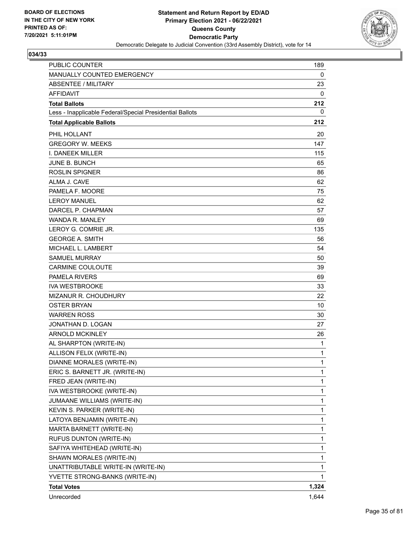

| <b>PUBLIC COUNTER</b>                                    | 189   |
|----------------------------------------------------------|-------|
| MANUALLY COUNTED EMERGENCY                               | 0     |
| <b>ABSENTEE / MILITARY</b>                               | 23    |
| <b>AFFIDAVIT</b>                                         | 0     |
| <b>Total Ballots</b>                                     | 212   |
| Less - Inapplicable Federal/Special Presidential Ballots | 0     |
| <b>Total Applicable Ballots</b>                          | 212   |
| PHIL HOLLANT                                             | 20    |
| <b>GREGORY W. MEEKS</b>                                  | 147   |
| <b>I. DANEEK MILLER</b>                                  | 115   |
| <b>JUNE B. BUNCH</b>                                     | 65    |
| <b>ROSLIN SPIGNER</b>                                    | 86    |
| ALMA J. CAVE                                             | 62    |
| PAMELA F. MOORE                                          | 75    |
| <b>LEROY MANUEL</b>                                      | 62    |
| DARCEL P. CHAPMAN                                        | 57    |
| <b>WANDA R. MANLEY</b>                                   | 69    |
| LEROY G. COMRIE JR.                                      | 135   |
| <b>GEORGE A. SMITH</b>                                   | 56    |
| MICHAEL L. LAMBERT                                       | 54    |
| <b>SAMUEL MURRAY</b>                                     | 50    |
| <b>CARMINE COULOUTE</b>                                  | 39    |
| <b>PAMELA RIVERS</b>                                     | 69    |
| <b>IVA WESTBROOKE</b>                                    | 33    |
| MIZANUR R. CHOUDHURY                                     | 22    |
| <b>OSTER BRYAN</b>                                       | 10    |
| <b>WARREN ROSS</b>                                       | 30    |
| JONATHAN D. LOGAN                                        | 27    |
| <b>ARNOLD MCKINLEY</b>                                   | 26    |
| AL SHARPTON (WRITE-IN)                                   | 1     |
| ALLISON FELIX (WRITE-IN)                                 | 1     |
| DIANNE MORALES (WRITE-IN)                                | 1     |
| ERIC S. BARNETT JR. (WRITE-IN)                           | 1     |
| FRED JEAN (WRITE-IN)                                     | 1     |
| IVA WESTBROOKE (WRITE-IN)                                | 1     |
| JUMAANE WILLIAMS (WRITE-IN)                              | 1     |
| KEVIN S. PARKER (WRITE-IN)                               | 1     |
| LATOYA BENJAMIN (WRITE-IN)                               | 1     |
| MARTA BARNETT (WRITE-IN)                                 | 1     |
| RUFUS DUNTON (WRITE-IN)                                  | 1     |
| SAFIYA WHITEHEAD (WRITE-IN)                              | 1     |
| SHAWN MORALES (WRITE-IN)                                 | 1     |
| UNATTRIBUTABLE WRITE-IN (WRITE-IN)                       | 1     |
| YVETTE STRONG-BANKS (WRITE-IN)                           | 1.    |
| <b>Total Votes</b>                                       | 1,324 |
| Unrecorded                                               | 1,644 |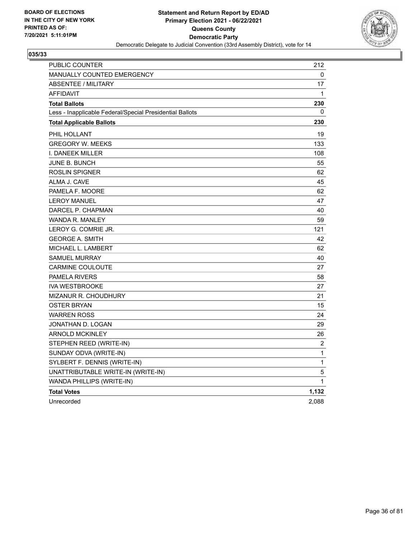

| PUBLIC COUNTER                                           | 212          |
|----------------------------------------------------------|--------------|
| <b>MANUALLY COUNTED EMERGENCY</b>                        | 0            |
| <b>ABSENTEE / MILITARY</b>                               | 17           |
| <b>AFFIDAVIT</b>                                         | 1            |
| <b>Total Ballots</b>                                     | 230          |
| Less - Inapplicable Federal/Special Presidential Ballots | 0            |
| <b>Total Applicable Ballots</b>                          | 230          |
| PHIL HOLLANT                                             | 19           |
| <b>GREGORY W. MEEKS</b>                                  | 133          |
| <b>I. DANEEK MILLER</b>                                  | 108          |
| JUNE B. BUNCH                                            | 55           |
| ROSLIN SPIGNER                                           | 62           |
| ALMA J. CAVE                                             | 45           |
| PAMELA F. MOORE                                          | 62           |
| <b>LEROY MANUEL</b>                                      | 47           |
| DARCEL P. CHAPMAN                                        | 40           |
| <b>WANDA R. MANLEY</b>                                   | 59           |
| LEROY G. COMRIE JR.                                      | 121          |
| <b>GEORGE A. SMITH</b>                                   | 42           |
| MICHAEL L. LAMBERT                                       | 62           |
| <b>SAMUEL MURRAY</b>                                     | 40           |
| <b>CARMINE COULOUTE</b>                                  | 27           |
| <b>PAMELA RIVERS</b>                                     | 58           |
| <b>IVA WESTBROOKE</b>                                    | 27           |
| MIZANUR R. CHOUDHURY                                     | 21           |
| OSTER BRYAN                                              | 15           |
| <b>WARREN ROSS</b>                                       | 24           |
| JONATHAN D. LOGAN                                        | 29           |
| <b>ARNOLD MCKINLEY</b>                                   | 26           |
| STEPHEN REED (WRITE-IN)                                  | 2            |
| SUNDAY ODVA (WRITE-IN)                                   | $\mathbf{1}$ |
| SYLBERT F. DENNIS (WRITE-IN)                             | $\mathbf{1}$ |
| UNATTRIBUTABLE WRITE-IN (WRITE-IN)                       | 5            |
| WANDA PHILLIPS (WRITE-IN)                                | $\mathbf 1$  |
| <b>Total Votes</b>                                       | 1,132        |
| Unrecorded                                               | 2,088        |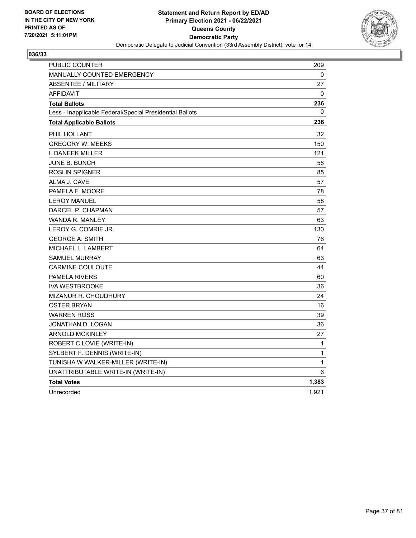

| PUBLIC COUNTER                                           | 209   |
|----------------------------------------------------------|-------|
| MANUALLY COUNTED EMERGENCY                               | 0     |
| ABSENTEE / MILITARY                                      | 27    |
| <b>AFFIDAVIT</b>                                         | 0     |
| <b>Total Ballots</b>                                     | 236   |
| Less - Inapplicable Federal/Special Presidential Ballots | 0     |
| <b>Total Applicable Ballots</b>                          | 236   |
| PHIL HOLLANT                                             | 32    |
| <b>GREGORY W. MEEKS</b>                                  | 150   |
| I. DANEEK MILLER                                         | 121   |
| <b>JUNE B. BUNCH</b>                                     | 58    |
| <b>ROSLIN SPIGNER</b>                                    | 85    |
| ALMA J. CAVE                                             | 57    |
| PAMELA F. MOORE                                          | 78    |
| <b>LEROY MANUEL</b>                                      | 58    |
| DARCEL P. CHAPMAN                                        | 57    |
| <b>WANDA R. MANLEY</b>                                   | 63    |
| LEROY G. COMRIE JR.                                      | 130   |
| <b>GEORGE A. SMITH</b>                                   | 76    |
| MICHAEL L. LAMBERT                                       | 64    |
| <b>SAMUEL MURRAY</b>                                     | 63    |
| <b>CARMINE COULOUTE</b>                                  | 44    |
| <b>PAMELA RIVERS</b>                                     | 60    |
| <b>IVA WESTBROOKE</b>                                    | 36    |
| MIZANUR R. CHOUDHURY                                     | 24    |
| <b>OSTER BRYAN</b>                                       | 16    |
| <b>WARREN ROSS</b>                                       | 39    |
| JONATHAN D. LOGAN                                        | 36    |
| <b>ARNOLD MCKINLEY</b>                                   | 27    |
| ROBERT C LOVIE (WRITE-IN)                                | 1     |
| SYLBERT F. DENNIS (WRITE-IN)                             | 1     |
| TUNISHA W WALKER-MILLER (WRITE-IN)                       | 1     |
| UNATTRIBUTABLE WRITE-IN (WRITE-IN)                       | 6     |
| <b>Total Votes</b>                                       | 1,383 |
| Unrecorded                                               | 1,921 |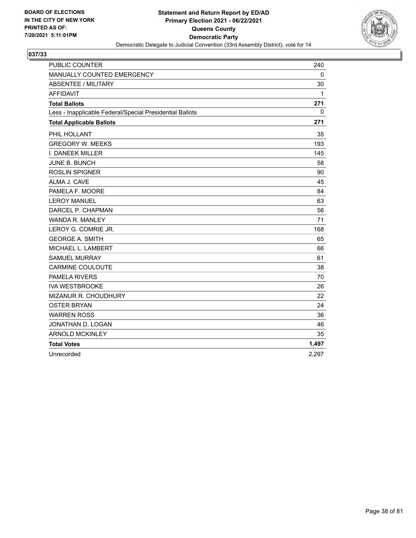

| <b>PUBLIC COUNTER</b>                                    | 240   |
|----------------------------------------------------------|-------|
| MANUALLY COUNTED EMERGENCY                               | 0     |
| ABSENTEE / MILITARY                                      | 30    |
| <b>AFFIDAVIT</b>                                         | 1     |
| <b>Total Ballots</b>                                     | 271   |
| Less - Inapplicable Federal/Special Presidential Ballots | 0     |
| <b>Total Applicable Ballots</b>                          | 271   |
| PHIL HOLLANT                                             | 35    |
| <b>GREGORY W. MEEKS</b>                                  | 193   |
| I. DANEEK MILLER                                         | 145   |
| JUNE B. BUNCH                                            | 58    |
| <b>ROSLIN SPIGNER</b>                                    | 90    |
| ALMA J. CAVE                                             | 45    |
| PAMELA F. MOORE                                          | 84    |
| <b>LEROY MANUEL</b>                                      | 63    |
| DARCEL P. CHAPMAN                                        | 56    |
| <b>WANDA R. MANLEY</b>                                   | 71    |
| LEROY G. COMRIE JR.                                      | 168   |
| <b>GEORGE A. SMITH</b>                                   | 65    |
| MICHAEL L. LAMBERT                                       | 66    |
| <b>SAMUEL MURRAY</b>                                     | 61    |
| <b>CARMINE COULOUTE</b>                                  | 38    |
| PAMELA RIVERS                                            | 70    |
| <b>IVA WESTBROOKE</b>                                    | 26    |
| MIZANUR R. CHOUDHURY                                     | 22    |
| <b>OSTER BRYAN</b>                                       | 24    |
| <b>WARREN ROSS</b>                                       | 36    |
| JONATHAN D. LOGAN                                        | 46    |
| <b>ARNOLD MCKINLEY</b>                                   | 35    |
| <b>Total Votes</b>                                       | 1,497 |
| Unrecorded                                               | 2,297 |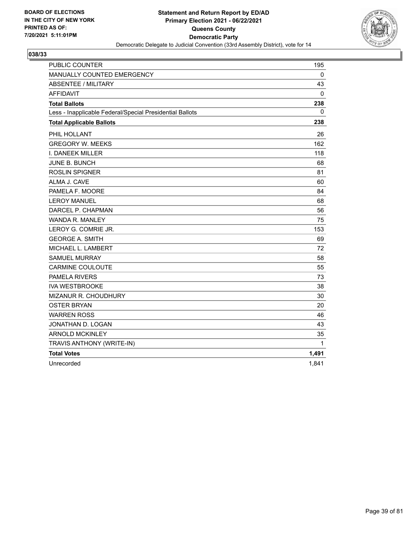

| PUBLIC COUNTER                                           | 195          |
|----------------------------------------------------------|--------------|
| MANUALLY COUNTED EMERGENCY                               | 0            |
| <b>ABSENTEE / MILITARY</b>                               | 43           |
| AFFIDAVIT                                                | 0            |
| <b>Total Ballots</b>                                     | 238          |
| Less - Inapplicable Federal/Special Presidential Ballots | $\mathbf{0}$ |
| <b>Total Applicable Ballots</b>                          | 238          |
| PHIL HOLLANT                                             | 26           |
| <b>GREGORY W. MEEKS</b>                                  | 162          |
| I. DANEEK MILLER                                         | 118          |
| <b>JUNE B. BUNCH</b>                                     | 68           |
| <b>ROSLIN SPIGNER</b>                                    | 81           |
| ALMA J. CAVE                                             | 60           |
| PAMELA F. MOORE                                          | 84           |
| <b>LEROY MANUEL</b>                                      | 68           |
| DARCEL P. CHAPMAN                                        | 56           |
| WANDA R. MANLEY                                          | 75           |
| LEROY G. COMRIE JR.                                      | 153          |
| <b>GEORGE A. SMITH</b>                                   | 69           |
| MICHAEL L. LAMBERT                                       | 72           |
| <b>SAMUEL MURRAY</b>                                     | 58           |
| <b>CARMINE COULOUTE</b>                                  | 55           |
| PAMELA RIVERS                                            | 73           |
| <b>IVA WESTBROOKE</b>                                    | 38           |
| MIZANUR R. CHOUDHURY                                     | 30           |
| <b>OSTER BRYAN</b>                                       | 20           |
| <b>WARREN ROSS</b>                                       | 46           |
| JONATHAN D. LOGAN                                        | 43           |
| <b>ARNOLD MCKINLEY</b>                                   | 35           |
| TRAVIS ANTHONY (WRITE-IN)                                | 1            |
| <b>Total Votes</b>                                       | 1,491        |
| Unrecorded                                               | 1,841        |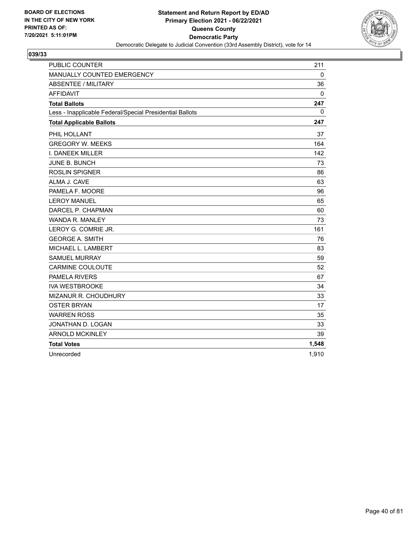

| <b>PUBLIC COUNTER</b>                                    | 211   |
|----------------------------------------------------------|-------|
| MANUALLY COUNTED EMERGENCY                               | 0     |
| <b>ABSENTEE / MILITARY</b>                               | 36    |
| <b>AFFIDAVIT</b>                                         | 0     |
| <b>Total Ballots</b>                                     | 247   |
| Less - Inapplicable Federal/Special Presidential Ballots | 0     |
| <b>Total Applicable Ballots</b>                          | 247   |
| PHIL HOLLANT                                             | 37    |
| <b>GREGORY W. MEEKS</b>                                  | 164   |
| <b>I. DANEEK MILLER</b>                                  | 142   |
| <b>JUNE B. BUNCH</b>                                     | 73    |
| <b>ROSLIN SPIGNER</b>                                    | 86    |
| ALMA J. CAVE                                             | 63    |
| PAMELA F. MOORE                                          | 96    |
| <b>LEROY MANUEL</b>                                      | 65    |
| DARCEL P. CHAPMAN                                        | 60    |
| <b>WANDA R. MANLEY</b>                                   | 73    |
| LEROY G. COMRIE JR.                                      | 161   |
| <b>GEORGE A. SMITH</b>                                   | 76    |
| MICHAEL L. LAMBERT                                       | 83    |
| <b>SAMUEL MURRAY</b>                                     | 59    |
| <b>CARMINE COULOUTE</b>                                  | 52    |
| <b>PAMELA RIVERS</b>                                     | 67    |
| <b>IVA WESTBROOKE</b>                                    | 34    |
| MIZANUR R. CHOUDHURY                                     | 33    |
| <b>OSTER BRYAN</b>                                       | 17    |
| <b>WARREN ROSS</b>                                       | 35    |
| JONATHAN D. LOGAN                                        | 33    |
| <b>ARNOLD MCKINLEY</b>                                   | 39    |
| <b>Total Votes</b>                                       | 1,548 |
| Unrecorded                                               | 1,910 |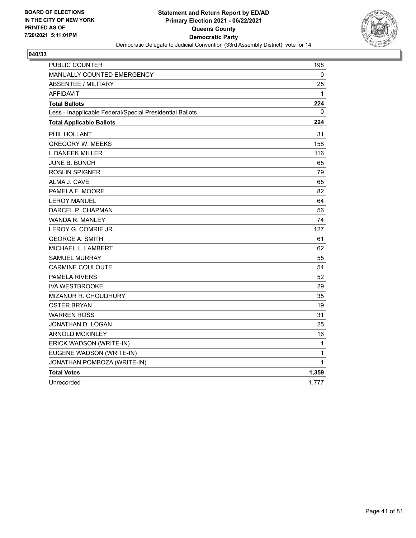

| PUBLIC COUNTER                                           | 198   |
|----------------------------------------------------------|-------|
| MANUALLY COUNTED EMERGENCY                               | 0     |
| <b>ABSENTEE / MILITARY</b>                               | 25    |
| <b>AFFIDAVIT</b>                                         | 1     |
| <b>Total Ballots</b>                                     | 224   |
| Less - Inapplicable Federal/Special Presidential Ballots | 0     |
| <b>Total Applicable Ballots</b>                          | 224   |
| PHIL HOLLANT                                             | 31    |
| <b>GREGORY W. MEEKS</b>                                  | 158   |
| I. DANEEK MILLER                                         | 116   |
| JUNE B. BUNCH                                            | 65    |
| <b>ROSLIN SPIGNER</b>                                    | 79    |
| ALMA J. CAVE                                             | 65    |
| PAMELA F. MOORE                                          | 82    |
| <b>LEROY MANUEL</b>                                      | 64    |
| DARCEL P. CHAPMAN                                        | 56    |
| WANDA R. MANLEY                                          | 74    |
| LEROY G. COMRIE JR.                                      | 127   |
| <b>GEORGE A. SMITH</b>                                   | 61    |
| MICHAEL L. LAMBERT                                       | 62    |
| <b>SAMUEL MURRAY</b>                                     | 55    |
| <b>CARMINE COULOUTE</b>                                  | 54    |
| <b>PAMELA RIVERS</b>                                     | 52    |
| <b>IVA WESTBROOKE</b>                                    | 29    |
| MIZANUR R. CHOUDHURY                                     | 35    |
| <b>OSTER BRYAN</b>                                       | 19    |
| <b>WARREN ROSS</b>                                       | 31    |
| JONATHAN D. LOGAN                                        | 25    |
| <b>ARNOLD MCKINLEY</b>                                   | 16    |
| ERICK WADSON (WRITE-IN)                                  | 1     |
| EUGENE WADSON (WRITE-IN)                                 | 1     |
| JONATHAN POMBOZA (WRITE-IN)                              | 1     |
| <b>Total Votes</b>                                       | 1,359 |
| Unrecorded                                               | 1,777 |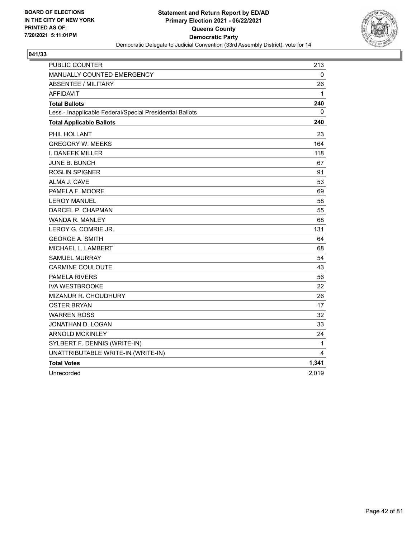

| PUBLIC COUNTER                                           | 213   |
|----------------------------------------------------------|-------|
| MANUALLY COUNTED EMERGENCY                               | 0     |
| <b>ABSENTEE / MILITARY</b>                               | 26    |
| <b>AFFIDAVIT</b>                                         | 1     |
| <b>Total Ballots</b>                                     | 240   |
| Less - Inapplicable Federal/Special Presidential Ballots | 0     |
| <b>Total Applicable Ballots</b>                          | 240   |
| PHIL HOLLANT                                             | 23    |
| <b>GREGORY W. MEEKS</b>                                  | 164   |
| I. DANEEK MILLER                                         | 118   |
| JUNE B. BUNCH                                            | 67    |
| ROSLIN SPIGNER                                           | 91    |
| ALMA J. CAVE                                             | 53    |
| PAMELA F. MOORE                                          | 69    |
| <b>LEROY MANUEL</b>                                      | 58    |
| DARCEL P. CHAPMAN                                        | 55    |
| <b>WANDA R. MANLEY</b>                                   | 68    |
| LEROY G. COMRIE JR.                                      | 131   |
| <b>GEORGE A. SMITH</b>                                   | 64    |
| MICHAEL L. LAMBERT                                       | 68    |
| <b>SAMUEL MURRAY</b>                                     | 54    |
| <b>CARMINE COULOUTE</b>                                  | 43    |
| <b>PAMELA RIVERS</b>                                     | 56    |
| <b>IVA WESTBROOKE</b>                                    | 22    |
| MIZANUR R. CHOUDHURY                                     | 26    |
| <b>OSTER BRYAN</b>                                       | 17    |
| <b>WARREN ROSS</b>                                       | 32    |
| JONATHAN D. LOGAN                                        | 33    |
| <b>ARNOLD MCKINLEY</b>                                   | 24    |
| SYLBERT F. DENNIS (WRITE-IN)                             | 1     |
| UNATTRIBUTABLE WRITE-IN (WRITE-IN)                       | 4     |
| <b>Total Votes</b>                                       | 1,341 |
| Unrecorded                                               | 2,019 |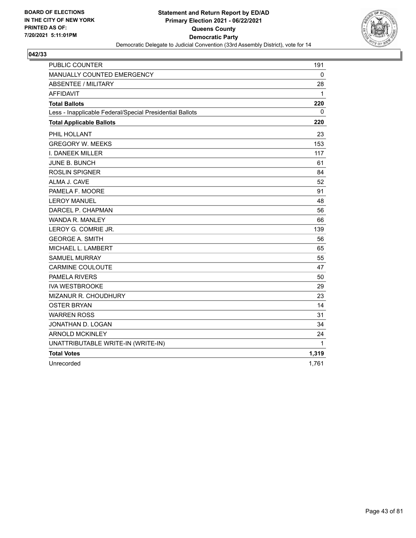

| <b>PUBLIC COUNTER</b>                                    | 191          |
|----------------------------------------------------------|--------------|
| MANUALLY COUNTED EMERGENCY                               | $\mathbf{0}$ |
| <b>ABSENTEE / MILITARY</b>                               | 28           |
| <b>AFFIDAVIT</b>                                         | 1            |
| <b>Total Ballots</b>                                     | 220          |
| Less - Inapplicable Federal/Special Presidential Ballots | $\Omega$     |
| <b>Total Applicable Ballots</b>                          | 220          |
| PHIL HOLLANT                                             | 23           |
| <b>GREGORY W. MEEKS</b>                                  | 153          |
| I. DANEEK MILLER                                         | 117          |
| <b>JUNE B. BUNCH</b>                                     | 61           |
| <b>ROSLIN SPIGNER</b>                                    | 84           |
| ALMA J. CAVE                                             | 52           |
| PAMELA F. MOORE                                          | 91           |
| <b>LEROY MANUEL</b>                                      | 48           |
| DARCEL P. CHAPMAN                                        | 56           |
| WANDA R. MANLEY                                          | 66           |
| LEROY G. COMRIE JR.                                      | 139          |
| <b>GEORGE A. SMITH</b>                                   | 56           |
| MICHAEL L. LAMBERT                                       | 65           |
| <b>SAMUEL MURRAY</b>                                     | 55           |
| <b>CARMINE COULOUTE</b>                                  | 47           |
| <b>PAMELA RIVERS</b>                                     | 50           |
| <b>IVA WESTBROOKE</b>                                    | 29           |
| MIZANUR R. CHOUDHURY                                     | 23           |
| <b>OSTER BRYAN</b>                                       | 14           |
| <b>WARREN ROSS</b>                                       | 31           |
| JONATHAN D. LOGAN                                        | 34           |
| <b>ARNOLD MCKINLEY</b>                                   | 24           |
| UNATTRIBUTABLE WRITE-IN (WRITE-IN)                       | 1            |
| <b>Total Votes</b>                                       | 1,319        |
| Unrecorded                                               | 1,761        |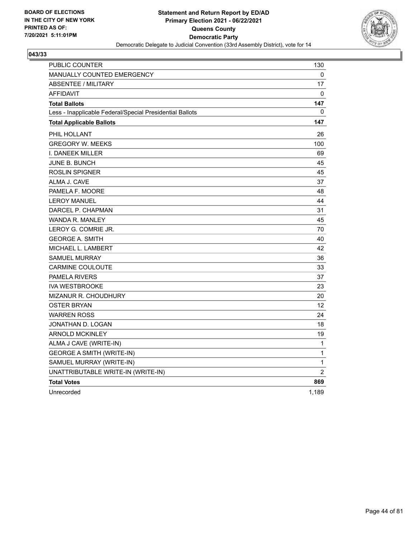

| PUBLIC COUNTER                                           | 130            |
|----------------------------------------------------------|----------------|
| MANUALLY COUNTED EMERGENCY                               | 0              |
| ABSENTEE / MILITARY                                      | 17             |
| <b>AFFIDAVIT</b>                                         | $\mathbf{0}$   |
| <b>Total Ballots</b>                                     | 147            |
| Less - Inapplicable Federal/Special Presidential Ballots | $\mathbf{0}$   |
| <b>Total Applicable Ballots</b>                          | 147            |
| PHIL HOLLANT                                             | 26             |
| <b>GREGORY W. MEEKS</b>                                  | 100            |
| <b>I. DANEEK MILLER</b>                                  | 69             |
| <b>JUNE B. BUNCH</b>                                     | 45             |
| <b>ROSLIN SPIGNER</b>                                    | 45             |
| ALMA J. CAVE                                             | 37             |
| PAMELA F. MOORE                                          | 48             |
| <b>LEROY MANUEL</b>                                      | 44             |
| DARCEL P. CHAPMAN                                        | 31             |
| <b>WANDA R. MANLEY</b>                                   | 45             |
| LEROY G. COMRIE JR.                                      | 70             |
| <b>GEORGE A. SMITH</b>                                   | 40             |
| MICHAEL L. LAMBERT                                       | 42             |
| <b>SAMUEL MURRAY</b>                                     | 36             |
| <b>CARMINE COULOUTE</b>                                  | 33             |
| <b>PAMELA RIVERS</b>                                     | 37             |
| <b>IVA WESTBROOKE</b>                                    | 23             |
| <b>MIZANUR R. CHOUDHURY</b>                              | 20             |
| <b>OSTER BRYAN</b>                                       | 12             |
| <b>WARREN ROSS</b>                                       | 24             |
| JONATHAN D. LOGAN                                        | 18             |
| <b>ARNOLD MCKINLEY</b>                                   | 19             |
| ALMA J CAVE (WRITE-IN)                                   | 1              |
| <b>GEORGE A SMITH (WRITE-IN)</b>                         | $\mathbf 1$    |
| SAMUEL MURRAY (WRITE-IN)                                 | 1              |
| UNATTRIBUTABLE WRITE-IN (WRITE-IN)                       | $\overline{2}$ |
| <b>Total Votes</b>                                       | 869            |
| Unrecorded                                               | 1,189          |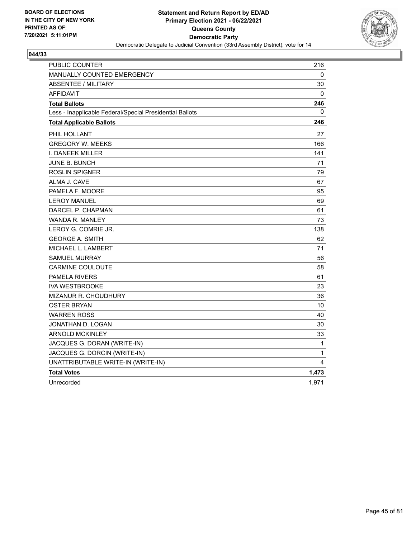

| PUBLIC COUNTER                                           | 216          |
|----------------------------------------------------------|--------------|
| MANUALLY COUNTED EMERGENCY                               | 0            |
| <b>ABSENTEE / MILITARY</b>                               | 30           |
| <b>AFFIDAVIT</b>                                         | $\mathbf{0}$ |
| <b>Total Ballots</b>                                     | 246          |
| Less - Inapplicable Federal/Special Presidential Ballots | 0            |
| <b>Total Applicable Ballots</b>                          | 246          |
| PHIL HOLLANT                                             | 27           |
| <b>GREGORY W. MEEKS</b>                                  | 166          |
| I. DANEEK MILLER                                         | 141          |
| JUNE B. BUNCH                                            | 71           |
| <b>ROSLIN SPIGNER</b>                                    | 79           |
| ALMA J. CAVE                                             | 67           |
| PAMELA F. MOORE                                          | 95           |
| <b>LEROY MANUEL</b>                                      | 69           |
| DARCEL P. CHAPMAN                                        | 61           |
| WANDA R. MANLEY                                          | 73           |
| LEROY G. COMRIE JR.                                      | 138          |
| <b>GEORGE A. SMITH</b>                                   | 62           |
| MICHAEL L. LAMBERT                                       | 71           |
| <b>SAMUEL MURRAY</b>                                     | 56           |
| <b>CARMINE COULOUTE</b>                                  | 58           |
| <b>PAMELA RIVERS</b>                                     | 61           |
| <b>IVA WESTBROOKE</b>                                    | 23           |
| <b>MIZANUR R. CHOUDHURY</b>                              | 36           |
| <b>OSTER BRYAN</b>                                       | 10           |
| <b>WARREN ROSS</b>                                       | 40           |
| JONATHAN D. LOGAN                                        | 30           |
| <b>ARNOLD MCKINLEY</b>                                   | 33           |
| JACQUES G. DORAN (WRITE-IN)                              | $\mathbf{1}$ |
| JACQUES G. DORCIN (WRITE-IN)                             | 1            |
| UNATTRIBUTABLE WRITE-IN (WRITE-IN)                       | 4            |
| <b>Total Votes</b>                                       | 1,473        |
| Unrecorded                                               | 1,971        |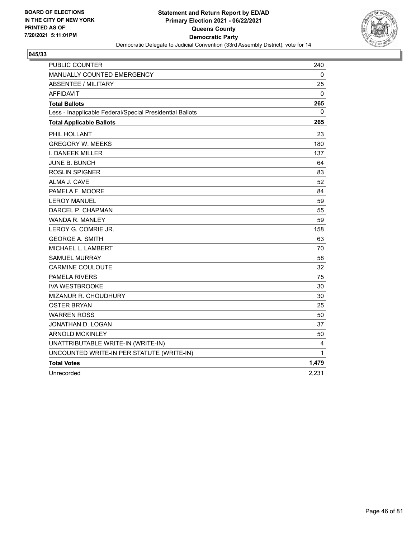

| PUBLIC COUNTER                                           | 240   |
|----------------------------------------------------------|-------|
| MANUALLY COUNTED EMERGENCY                               | 0     |
| <b>ABSENTEE / MILITARY</b>                               | 25    |
| <b>AFFIDAVIT</b>                                         | 0     |
| <b>Total Ballots</b>                                     | 265   |
| Less - Inapplicable Federal/Special Presidential Ballots | 0     |
| <b>Total Applicable Ballots</b>                          | 265   |
| PHIL HOLLANT                                             | 23    |
| <b>GREGORY W. MEEKS</b>                                  | 180   |
| I. DANEEK MILLER                                         | 137   |
| JUNE B. BUNCH                                            | 64    |
| ROSLIN SPIGNER                                           | 83    |
| ALMA J. CAVE                                             | 52    |
| PAMELA F. MOORE                                          | 84    |
| <b>LEROY MANUEL</b>                                      | 59    |
| DARCEL P. CHAPMAN                                        | 55    |
| <b>WANDA R. MANLEY</b>                                   | 59    |
| LEROY G. COMRIE JR.                                      | 158   |
| <b>GEORGE A. SMITH</b>                                   | 63    |
| MICHAEL L. LAMBERT                                       | 70    |
| <b>SAMUEL MURRAY</b>                                     | 58    |
| <b>CARMINE COULOUTE</b>                                  | 32    |
| <b>PAMELA RIVERS</b>                                     | 75    |
| <b>IVA WESTBROOKE</b>                                    | 30    |
| MIZANUR R. CHOUDHURY                                     | 30    |
| <b>OSTER BRYAN</b>                                       | 25    |
| <b>WARREN ROSS</b>                                       | 50    |
| JONATHAN D. LOGAN                                        | 37    |
| <b>ARNOLD MCKINLEY</b>                                   | 50    |
| UNATTRIBUTABLE WRITE-IN (WRITE-IN)                       | 4     |
| UNCOUNTED WRITE-IN PER STATUTE (WRITE-IN)                | 1     |
| <b>Total Votes</b>                                       | 1,479 |
| Unrecorded                                               | 2,231 |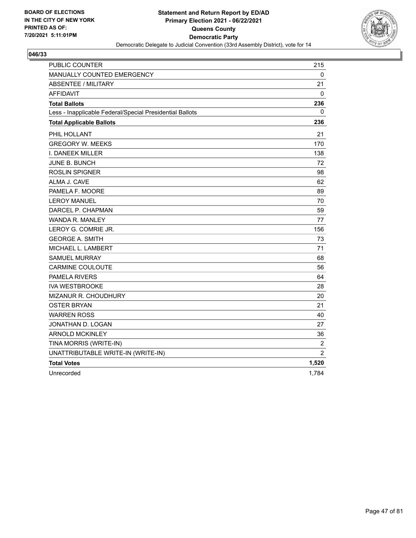

| PUBLIC COUNTER                                           | 215            |
|----------------------------------------------------------|----------------|
| MANUALLY COUNTED EMERGENCY                               | 0              |
| <b>ABSENTEE / MILITARY</b>                               | 21             |
| <b>AFFIDAVIT</b>                                         | 0              |
| <b>Total Ballots</b>                                     | 236            |
| Less - Inapplicable Federal/Special Presidential Ballots | 0              |
| <b>Total Applicable Ballots</b>                          | 236            |
| PHIL HOLLANT                                             | 21             |
| <b>GREGORY W. MEEKS</b>                                  | 170            |
| I. DANEEK MILLER                                         | 138            |
| <b>JUNE B. BUNCH</b>                                     | 72             |
| <b>ROSLIN SPIGNER</b>                                    | 98             |
| ALMA J. CAVE                                             | 62             |
| PAMELA F. MOORE                                          | 89             |
| <b>LEROY MANUEL</b>                                      | 70             |
| DARCEL P. CHAPMAN                                        | 59             |
| <b>WANDA R. MANLEY</b>                                   | 77             |
| LEROY G. COMRIE JR.                                      | 156            |
| <b>GEORGE A. SMITH</b>                                   | 73             |
| MICHAEL L. LAMBERT                                       | 71             |
| <b>SAMUEL MURRAY</b>                                     | 68             |
| <b>CARMINE COULOUTE</b>                                  | 56             |
| <b>PAMELA RIVERS</b>                                     | 64             |
| <b>IVA WESTBROOKE</b>                                    | 28             |
| MIZANUR R. CHOUDHURY                                     | 20             |
| <b>OSTER BRYAN</b>                                       | 21             |
| <b>WARREN ROSS</b>                                       | 40             |
| JONATHAN D. LOGAN                                        | 27             |
| <b>ARNOLD MCKINLEY</b>                                   | 36             |
| TINA MORRIS (WRITE-IN)                                   | $\overline{c}$ |
| UNATTRIBUTABLE WRITE-IN (WRITE-IN)                       | $\overline{2}$ |
| <b>Total Votes</b>                                       | 1,520          |
| Unrecorded                                               | 1,784          |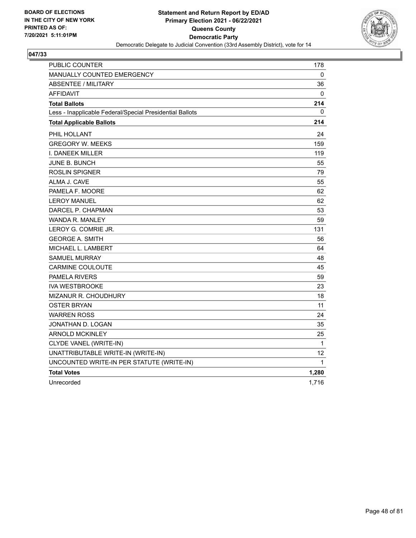

| PUBLIC COUNTER                                           | 178          |
|----------------------------------------------------------|--------------|
| <b>MANUALLY COUNTED EMERGENCY</b>                        | 0            |
| <b>ABSENTEE / MILITARY</b>                               | 36           |
| <b>AFFIDAVIT</b>                                         | $\mathbf{0}$ |
| <b>Total Ballots</b>                                     | 214          |
| Less - Inapplicable Federal/Special Presidential Ballots | 0            |
| <b>Total Applicable Ballots</b>                          | 214          |
| PHIL HOLLANT                                             | 24           |
| <b>GREGORY W. MEEKS</b>                                  | 159          |
| I. DANEEK MILLER                                         | 119          |
| <b>JUNE B. BUNCH</b>                                     | 55           |
| <b>ROSLIN SPIGNER</b>                                    | 79           |
| ALMA J. CAVE                                             | 55           |
| PAMELA F. MOORE                                          | 62           |
| <b>LEROY MANUEL</b>                                      | 62           |
| DARCEL P. CHAPMAN                                        | 53           |
| WANDA R. MANLEY                                          | 59           |
| LEROY G. COMRIE JR.                                      | 131          |
| <b>GEORGE A. SMITH</b>                                   | 56           |
| MICHAEL L. LAMBERT                                       | 64           |
| <b>SAMUEL MURRAY</b>                                     | 48           |
| <b>CARMINE COULOUTE</b>                                  | 45           |
| <b>PAMELA RIVERS</b>                                     | 59           |
| <b>IVA WESTBROOKE</b>                                    | 23           |
| MIZANUR R. CHOUDHURY                                     | 18           |
| <b>OSTER BRYAN</b>                                       | 11           |
| <b>WARREN ROSS</b>                                       | 24           |
| JONATHAN D. LOGAN                                        | 35           |
| <b>ARNOLD MCKINLEY</b>                                   | 25           |
| CLYDE VANEL (WRITE-IN)                                   | $\mathbf{1}$ |
| UNATTRIBUTABLE WRITE-IN (WRITE-IN)                       | 12           |
| UNCOUNTED WRITE-IN PER STATUTE (WRITE-IN)                | 1            |
| <b>Total Votes</b>                                       | 1,280        |
| Unrecorded                                               | 1,716        |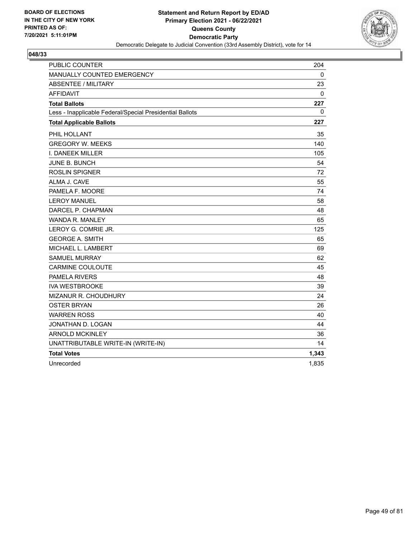

| <b>PUBLIC COUNTER</b>                                    | 204          |
|----------------------------------------------------------|--------------|
| MANUALLY COUNTED EMERGENCY                               | $\mathbf{0}$ |
| <b>ABSENTEE / MILITARY</b>                               | 23           |
| <b>AFFIDAVIT</b>                                         | 0            |
| <b>Total Ballots</b>                                     | 227          |
| Less - Inapplicable Federal/Special Presidential Ballots | $\Omega$     |
| <b>Total Applicable Ballots</b>                          | 227          |
| PHIL HOLLANT                                             | 35           |
| <b>GREGORY W. MEEKS</b>                                  | 140          |
| I. DANEEK MILLER                                         | 105          |
| <b>JUNE B. BUNCH</b>                                     | 54           |
| <b>ROSLIN SPIGNER</b>                                    | 72           |
| ALMA J. CAVE                                             | 55           |
| PAMELA F. MOORE                                          | 74           |
| <b>LEROY MANUEL</b>                                      | 58           |
| DARCEL P. CHAPMAN                                        | 48           |
| WANDA R. MANLEY                                          | 65           |
| LEROY G. COMRIE JR.                                      | 125          |
| <b>GEORGE A. SMITH</b>                                   | 65           |
| MICHAEL L. LAMBERT                                       | 69           |
| <b>SAMUEL MURRAY</b>                                     | 62           |
| <b>CARMINE COULOUTE</b>                                  | 45           |
| <b>PAMELA RIVERS</b>                                     | 48           |
| <b>IVA WESTBROOKE</b>                                    | 39           |
| MIZANUR R. CHOUDHURY                                     | 24           |
| <b>OSTER BRYAN</b>                                       | 26           |
| <b>WARREN ROSS</b>                                       | 40           |
| JONATHAN D. LOGAN                                        | 44           |
| <b>ARNOLD MCKINLEY</b>                                   | 36           |
| UNATTRIBUTABLE WRITE-IN (WRITE-IN)                       | 14           |
| <b>Total Votes</b>                                       | 1,343        |
| Unrecorded                                               | 1,835        |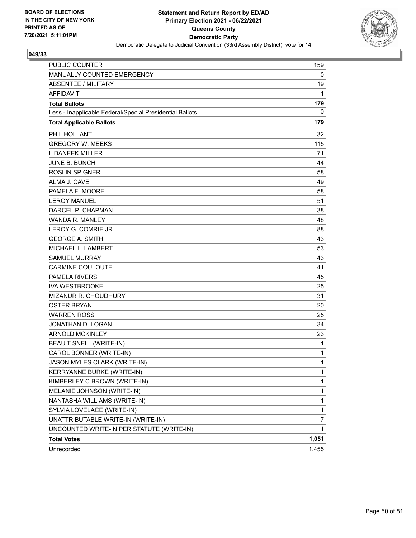

| <b>PUBLIC COUNTER</b>                                    | 159          |
|----------------------------------------------------------|--------------|
| MANUALLY COUNTED EMERGENCY                               | 0            |
| ABSENTEE / MILITARY                                      | 19           |
| <b>AFFIDAVIT</b>                                         | 1            |
| <b>Total Ballots</b>                                     | 179          |
| Less - Inapplicable Federal/Special Presidential Ballots | 0            |
| <b>Total Applicable Ballots</b>                          | 179          |
| PHIL HOLLANT                                             | 32           |
| <b>GREGORY W. MEEKS</b>                                  | 115          |
| <b>I. DANEEK MILLER</b>                                  | 71           |
| <b>JUNE B. BUNCH</b>                                     | 44           |
| <b>ROSLIN SPIGNER</b>                                    | 58           |
| ALMA J. CAVE                                             | 49           |
| PAMELA F. MOORE                                          | 58           |
| <b>LEROY MANUEL</b>                                      | 51           |
| DARCEL P. CHAPMAN                                        | 38           |
| <b>WANDA R. MANLEY</b>                                   | 48           |
| LEROY G. COMRIE JR.                                      | 88           |
| <b>GEORGE A. SMITH</b>                                   | 43           |
| MICHAEL L. LAMBERT                                       | 53           |
| SAMUEL MURRAY                                            | 43           |
| <b>CARMINE COULOUTE</b>                                  | 41           |
| <b>PAMELA RIVERS</b>                                     | 45           |
| <b>IVA WESTBROOKE</b>                                    | 25           |
| <b>MIZANUR R. CHOUDHURY</b>                              | 31           |
| <b>OSTER BRYAN</b>                                       | 20           |
| <b>WARREN ROSS</b>                                       | 25           |
| JONATHAN D. LOGAN                                        | 34           |
| <b>ARNOLD MCKINLEY</b>                                   | 23           |
| BEAU T SNELL (WRITE-IN)                                  | 1            |
| CAROL BONNER (WRITE-IN)                                  | 1            |
| JASON MYLES CLARK (WRITE-IN)                             | 1            |
| KERRYANNE BURKE (WRITE-IN)                               | $\mathbf{1}$ |
| KIMBERLEY C BROWN (WRITE-IN)                             | $\mathbf{1}$ |
| MELANIE JOHNSON (WRITE-IN)                               | 1            |
| NANTASHA WILLIAMS (WRITE-IN)                             | 1            |
| SYLVIA LOVELACE (WRITE-IN)                               | $\mathbf{1}$ |
| UNATTRIBUTABLE WRITE-IN (WRITE-IN)                       | 7            |
| UNCOUNTED WRITE-IN PER STATUTE (WRITE-IN)                | 1            |
| <b>Total Votes</b>                                       | 1,051        |
| Unrecorded                                               | 1,455        |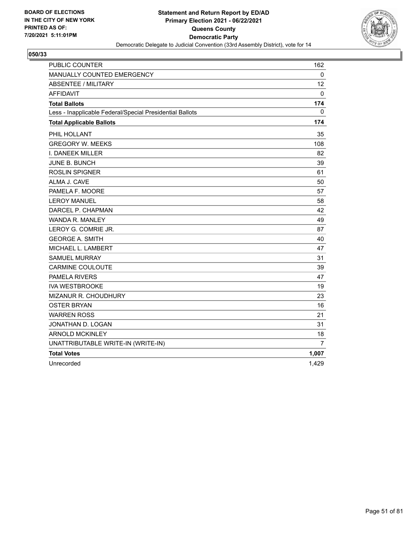

| <b>PUBLIC COUNTER</b>                                    | 162             |
|----------------------------------------------------------|-----------------|
| MANUALLY COUNTED EMERGENCY                               | $\mathbf{0}$    |
| <b>ABSENTEE / MILITARY</b>                               | 12 <sup>2</sup> |
| <b>AFFIDAVIT</b>                                         | 0               |
| <b>Total Ballots</b>                                     | 174             |
| Less - Inapplicable Federal/Special Presidential Ballots | 0               |
| <b>Total Applicable Ballots</b>                          | 174             |
| PHIL HOLLANT                                             | 35              |
| <b>GREGORY W. MEEKS</b>                                  | 108             |
| I. DANEEK MILLER                                         | 82              |
| <b>JUNE B. BUNCH</b>                                     | 39              |
| <b>ROSLIN SPIGNER</b>                                    | 61              |
| ALMA J. CAVE                                             | 50              |
| PAMELA F. MOORE                                          | 57              |
| <b>LEROY MANUEL</b>                                      | 58              |
| DARCEL P. CHAPMAN                                        | 42              |
| WANDA R. MANLEY                                          | 49              |
| LEROY G. COMRIE JR.                                      | 87              |
| <b>GEORGE A. SMITH</b>                                   | 40              |
| MICHAEL L. LAMBERT                                       | 47              |
| <b>SAMUEL MURRAY</b>                                     | 31              |
| <b>CARMINE COULOUTE</b>                                  | 39              |
| <b>PAMELA RIVERS</b>                                     | 47              |
| <b>IVA WESTBROOKE</b>                                    | 19              |
| MIZANUR R. CHOUDHURY                                     | 23              |
| <b>OSTER BRYAN</b>                                       | 16              |
| <b>WARREN ROSS</b>                                       | 21              |
| JONATHAN D. LOGAN                                        | 31              |
| <b>ARNOLD MCKINLEY</b>                                   | 18              |
| UNATTRIBUTABLE WRITE-IN (WRITE-IN)                       | 7               |
| <b>Total Votes</b>                                       | 1,007           |
| Unrecorded                                               | 1,429           |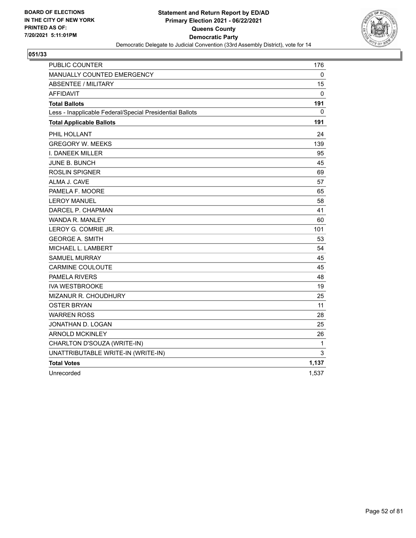

| <b>PUBLIC COUNTER</b>                                    | 176   |
|----------------------------------------------------------|-------|
| MANUALLY COUNTED EMERGENCY                               | 0     |
| <b>ABSENTEE / MILITARY</b>                               | 15    |
| <b>AFFIDAVIT</b>                                         | 0     |
| <b>Total Ballots</b>                                     | 191   |
| Less - Inapplicable Federal/Special Presidential Ballots | 0     |
| <b>Total Applicable Ballots</b>                          | 191   |
| PHIL HOLLANT                                             | 24    |
| <b>GREGORY W. MEEKS</b>                                  | 139   |
| <b>I. DANEEK MILLER</b>                                  | 95    |
| <b>JUNE B. BUNCH</b>                                     | 45    |
| <b>ROSLIN SPIGNER</b>                                    | 69    |
| ALMA J. CAVE                                             | 57    |
| PAMELA F. MOORE                                          | 65    |
| <b>LEROY MANUEL</b>                                      | 58    |
| DARCEL P. CHAPMAN                                        | 41    |
| <b>WANDA R. MANLEY</b>                                   | 60    |
| LEROY G. COMRIE JR.                                      | 101   |
| <b>GEORGE A. SMITH</b>                                   | 53    |
| MICHAEL L. LAMBERT                                       | 54    |
| <b>SAMUEL MURRAY</b>                                     | 45    |
| <b>CARMINE COULOUTE</b>                                  | 45    |
| <b>PAMELA RIVERS</b>                                     | 48    |
| <b>IVA WESTBROOKE</b>                                    | 19    |
| MIZANUR R. CHOUDHURY                                     | 25    |
| <b>OSTER BRYAN</b>                                       | 11    |
| <b>WARREN ROSS</b>                                       | 28    |
| JONATHAN D. LOGAN                                        | 25    |
| <b>ARNOLD MCKINLEY</b>                                   | 26    |
| CHARLTON D'SOUZA (WRITE-IN)                              | 1     |
| UNATTRIBUTABLE WRITE-IN (WRITE-IN)                       | 3     |
| <b>Total Votes</b>                                       | 1,137 |
| Unrecorded                                               | 1,537 |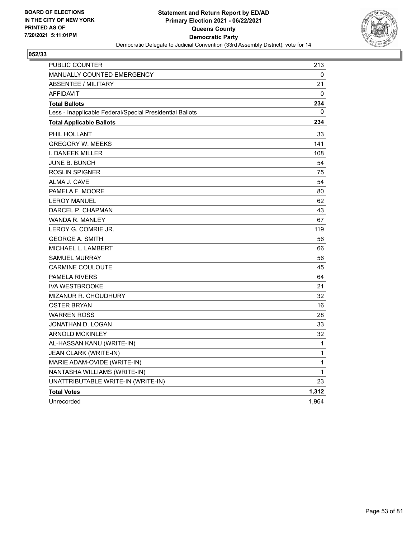

| PUBLIC COUNTER                                           | 213   |
|----------------------------------------------------------|-------|
| MANUALLY COUNTED EMERGENCY                               | 0     |
| <b>ABSENTEE / MILITARY</b>                               | 21    |
| <b>AFFIDAVIT</b>                                         | 0     |
| <b>Total Ballots</b>                                     | 234   |
| Less - Inapplicable Federal/Special Presidential Ballots | 0     |
| <b>Total Applicable Ballots</b>                          | 234   |
| PHIL HOLLANT                                             | 33    |
| <b>GREGORY W. MEEKS</b>                                  | 141   |
| I. DANEEK MILLER                                         | 108   |
| JUNE B. BUNCH                                            | 54    |
| <b>ROSLIN SPIGNER</b>                                    | 75    |
| ALMA J. CAVE                                             | 54    |
| PAMELA F. MOORE                                          | 80    |
| <b>LEROY MANUEL</b>                                      | 62    |
| DARCEL P. CHAPMAN                                        | 43    |
| <b>WANDA R. MANLEY</b>                                   | 67    |
| LEROY G. COMRIE JR.                                      | 119   |
| <b>GEORGE A. SMITH</b>                                   | 56    |
| <b>MICHAEL L. LAMBERT</b>                                | 66    |
| <b>SAMUEL MURRAY</b>                                     | 56    |
| <b>CARMINE COULOUTE</b>                                  | 45    |
| <b>PAMELA RIVERS</b>                                     | 64    |
| <b>IVA WESTBROOKE</b>                                    | 21    |
| <b>MIZANUR R. CHOUDHURY</b>                              | 32    |
| <b>OSTER BRYAN</b>                                       | 16    |
| <b>WARREN ROSS</b>                                       | 28    |
| JONATHAN D. LOGAN                                        | 33    |
| <b>ARNOLD MCKINLEY</b>                                   | 32    |
| AL-HASSAN KANU (WRITE-IN)                                | 1     |
| JEAN CLARK (WRITE-IN)                                    | 1     |
| MARIE ADAM-OVIDE (WRITE-IN)                              | 1     |
| NANTASHA WILLIAMS (WRITE-IN)                             | 1     |
| UNATTRIBUTABLE WRITE-IN (WRITE-IN)                       | 23    |
| <b>Total Votes</b>                                       | 1,312 |
| Unrecorded                                               | 1,964 |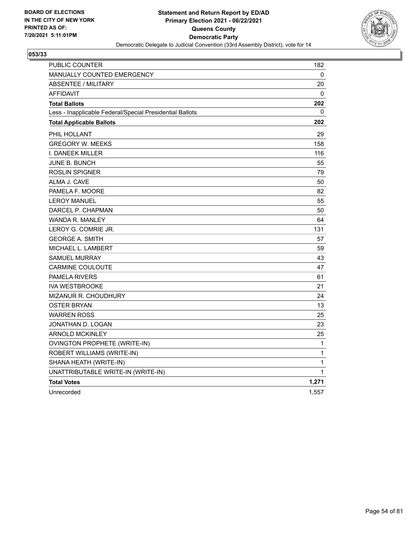

| PUBLIC COUNTER                                           | 182   |
|----------------------------------------------------------|-------|
| <b>MANUALLY COUNTED EMERGENCY</b>                        | 0     |
| <b>ABSENTEE / MILITARY</b>                               | 20    |
| <b>AFFIDAVIT</b>                                         | 0     |
| <b>Total Ballots</b>                                     | 202   |
| Less - Inapplicable Federal/Special Presidential Ballots | 0     |
| <b>Total Applicable Ballots</b>                          | 202   |
| PHIL HOLLANT                                             | 29    |
| <b>GREGORY W. MEEKS</b>                                  | 158   |
| I. DANEEK MILLER                                         | 116   |
| <b>JUNE B. BUNCH</b>                                     | 55    |
| <b>ROSLIN SPIGNER</b>                                    | 79    |
| ALMA J. CAVE                                             | 50    |
| PAMELA F. MOORE                                          | 82    |
| <b>LEROY MANUEL</b>                                      | 55    |
| DARCEL P. CHAPMAN                                        | 50    |
| <b>WANDA R. MANLEY</b>                                   | 64    |
| LEROY G. COMRIE JR.                                      | 131   |
| <b>GEORGE A. SMITH</b>                                   | 57    |
| MICHAEL L. LAMBERT                                       | 59    |
| <b>SAMUEL MURRAY</b>                                     | 43    |
| <b>CARMINE COULOUTE</b>                                  | 47    |
| <b>PAMELA RIVERS</b>                                     | 61    |
| <b>IVA WESTBROOKE</b>                                    | 21    |
| MIZANUR R. CHOUDHURY                                     | 24    |
| <b>OSTER BRYAN</b>                                       | 13    |
| <b>WARREN ROSS</b>                                       | 25    |
| JONATHAN D. LOGAN                                        | 23    |
| <b>ARNOLD MCKINLEY</b>                                   | 25    |
| OVINGTON PROPHETE (WRITE-IN)                             | 1     |
| ROBERT WILLIAMS (WRITE-IN)                               | 1     |
| SHANA HEATH (WRITE-IN)                                   | 1     |
| UNATTRIBUTABLE WRITE-IN (WRITE-IN)                       | 1     |
| <b>Total Votes</b>                                       | 1,271 |
| Unrecorded                                               | 1,557 |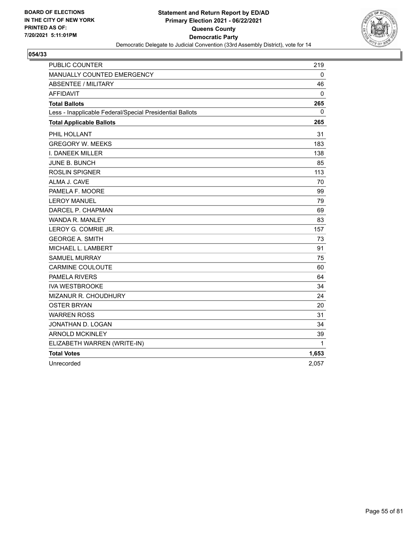

| <b>PUBLIC COUNTER</b>                                    | 219          |
|----------------------------------------------------------|--------------|
| MANUALLY COUNTED EMERGENCY                               | 0            |
| ABSENTEE / MILITARY                                      | 46           |
| <b>AFFIDAVIT</b>                                         | $\mathbf 0$  |
| <b>Total Ballots</b>                                     | 265          |
| Less - Inapplicable Federal/Special Presidential Ballots | 0            |
| <b>Total Applicable Ballots</b>                          | 265          |
| PHIL HOLLANT                                             | 31           |
| <b>GREGORY W. MEEKS</b>                                  | 183          |
| <b>I. DANEEK MILLER</b>                                  | 138          |
| JUNE B. BUNCH                                            | 85           |
| <b>ROSLIN SPIGNER</b>                                    | 113          |
| ALMA J. CAVE                                             | 70           |
| PAMELA F. MOORE                                          | 99           |
| <b>LEROY MANUEL</b>                                      | 79           |
| DARCEL P. CHAPMAN                                        | 69           |
| <b>WANDA R. MANLEY</b>                                   | 83           |
| LEROY G. COMRIE JR.                                      | 157          |
| <b>GEORGE A. SMITH</b>                                   | 73           |
| MICHAEL L. LAMBERT                                       | 91           |
| <b>SAMUEL MURRAY</b>                                     | 75           |
| <b>CARMINE COULOUTE</b>                                  | 60           |
| <b>PAMELA RIVERS</b>                                     | 64           |
| <b>IVA WESTBROOKE</b>                                    | 34           |
| MIZANUR R. CHOUDHURY                                     | 24           |
| <b>OSTER BRYAN</b>                                       | 20           |
| <b>WARREN ROSS</b>                                       | 31           |
| JONATHAN D. LOGAN                                        | 34           |
| <b>ARNOLD MCKINLEY</b>                                   | 39           |
| ELIZABETH WARREN (WRITE-IN)                              | $\mathbf{1}$ |
| <b>Total Votes</b>                                       | 1,653        |
| Unrecorded                                               | 2,057        |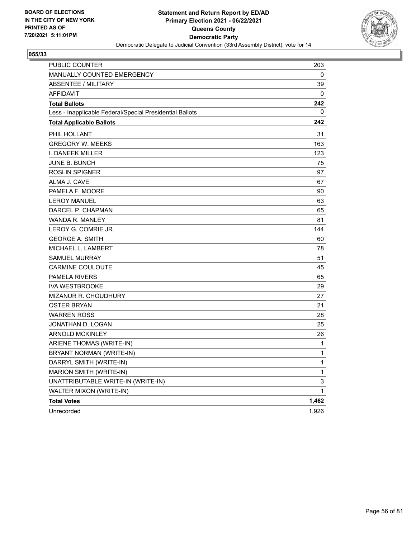

| PUBLIC COUNTER                                           | 203          |
|----------------------------------------------------------|--------------|
| MANUALLY COUNTED EMERGENCY                               | 0            |
| <b>ABSENTEE / MILITARY</b>                               | 39           |
| <b>AFFIDAVIT</b>                                         | $\mathbf{0}$ |
| <b>Total Ballots</b>                                     | 242          |
| Less - Inapplicable Federal/Special Presidential Ballots | 0            |
| <b>Total Applicable Ballots</b>                          | 242          |
| PHIL HOLLANT                                             | 31           |
| <b>GREGORY W. MEEKS</b>                                  | 163          |
| I. DANEEK MILLER                                         | 123          |
| JUNE B. BUNCH                                            | 75           |
| <b>ROSLIN SPIGNER</b>                                    | 97           |
| ALMA J. CAVE                                             | 67           |
| PAMELA F. MOORE                                          | 90           |
| <b>LEROY MANUEL</b>                                      | 63           |
| DARCEL P. CHAPMAN                                        | 65           |
| <b>WANDA R. MANLEY</b>                                   | 81           |
| LEROY G. COMRIE JR.                                      | 144          |
| <b>GEORGE A. SMITH</b>                                   | 60           |
| MICHAEL L. LAMBERT                                       | 78           |
| <b>SAMUEL MURRAY</b>                                     | 51           |
| <b>CARMINE COULOUTE</b>                                  | 45           |
| <b>PAMELA RIVERS</b>                                     | 65           |
| <b>IVA WESTBROOKE</b>                                    | 29           |
| <b>MIZANUR R. CHOUDHURY</b>                              | 27           |
| OSTER BRYAN                                              | 21           |
| <b>WARREN ROSS</b>                                       | 28           |
| JONATHAN D. LOGAN                                        | 25           |
| <b>ARNOLD MCKINLEY</b>                                   | 26           |
| ARIENE THOMAS (WRITE-IN)                                 | 1            |
| BRYANT NORMAN (WRITE-IN)                                 | 1            |
| DARRYL SMITH (WRITE-IN)                                  | 1            |
| MARION SMITH (WRITE-IN)                                  | 1            |
| UNATTRIBUTABLE WRITE-IN (WRITE-IN)                       | 3            |
| WALTER MIXON (WRITE-IN)                                  | 1            |
| <b>Total Votes</b>                                       | 1,462        |
| Unrecorded                                               | 1,926        |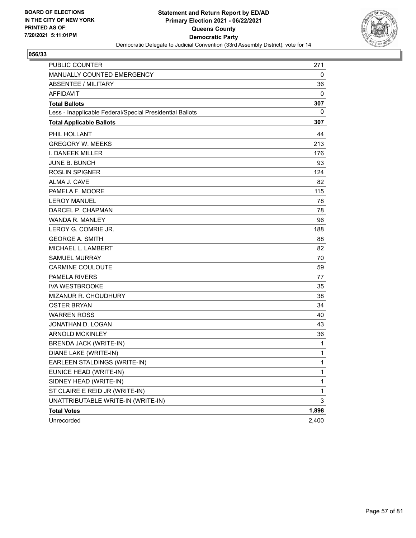

| <b>PUBLIC COUNTER</b>                                    | 271          |
|----------------------------------------------------------|--------------|
| MANUALLY COUNTED EMERGENCY                               | 0            |
| ABSENTEE / MILITARY                                      | 36           |
| <b>AFFIDAVIT</b>                                         | 0            |
| <b>Total Ballots</b>                                     | 307          |
| Less - Inapplicable Federal/Special Presidential Ballots | 0            |
| <b>Total Applicable Ballots</b>                          | 307          |
| PHIL HOLLANT                                             | 44           |
| <b>GREGORY W. MEEKS</b>                                  | 213          |
| <b>I. DANEEK MILLER</b>                                  | 176          |
| JUNE B. BUNCH                                            | 93           |
| <b>ROSLIN SPIGNER</b>                                    | 124          |
| ALMA J. CAVE                                             | 82           |
| PAMELA F. MOORE                                          | 115          |
| <b>LEROY MANUEL</b>                                      | 78           |
| DARCEL P. CHAPMAN                                        | 78           |
| <b>WANDA R. MANLEY</b>                                   | 96           |
| LEROY G. COMRIE JR.                                      | 188          |
| <b>GEORGE A. SMITH</b>                                   | 88           |
| MICHAEL L. LAMBERT                                       | 82           |
| SAMUEL MURRAY                                            | 70           |
| CARMINE COULOUTE                                         | 59           |
| <b>PAMELA RIVERS</b>                                     | 77           |
| <b>IVA WESTBROOKE</b>                                    | 35           |
| MIZANUR R. CHOUDHURY                                     | 38           |
| <b>OSTER BRYAN</b>                                       | 34           |
| <b>WARREN ROSS</b>                                       | 40           |
| JONATHAN D. LOGAN                                        | 43           |
| <b>ARNOLD MCKINLEY</b>                                   | 36           |
| <b>BRENDA JACK (WRITE-IN)</b>                            | $\mathbf 1$  |
| DIANE LAKE (WRITE-IN)                                    | $\mathbf 1$  |
| EARLEEN STALDINGS (WRITE-IN)                             | 1            |
| EUNICE HEAD (WRITE-IN)                                   | $\mathbf{1}$ |
| SIDNEY HEAD (WRITE-IN)                                   | $\mathbf{1}$ |
| ST CLAIRE E REID JR (WRITE-IN)                           | $\mathbf{1}$ |
| UNATTRIBUTABLE WRITE-IN (WRITE-IN)                       | 3            |
| <b>Total Votes</b>                                       | 1,898        |
| Unrecorded                                               | 2,400        |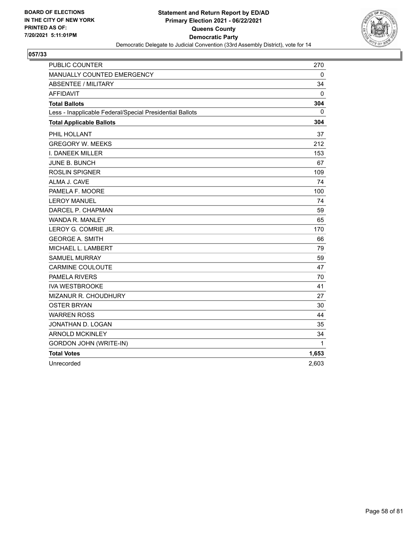

| <b>PUBLIC COUNTER</b>                                    | 270   |
|----------------------------------------------------------|-------|
| MANUALLY COUNTED EMERGENCY                               | 0     |
| ABSENTEE / MILITARY                                      | 34    |
| <b>AFFIDAVIT</b>                                         | 0     |
| <b>Total Ballots</b>                                     | 304   |
| Less - Inapplicable Federal/Special Presidential Ballots | 0     |
| <b>Total Applicable Ballots</b>                          | 304   |
| PHIL HOLLANT                                             | 37    |
| <b>GREGORY W. MEEKS</b>                                  | 212   |
| I. DANEEK MILLER                                         | 153   |
| <b>JUNE B. BUNCH</b>                                     | 67    |
| <b>ROSLIN SPIGNER</b>                                    | 109   |
| ALMA J. CAVE                                             | 74    |
| PAMELA F. MOORE                                          | 100   |
| <b>LEROY MANUEL</b>                                      | 74    |
| DARCEL P. CHAPMAN                                        | 59    |
| <b>WANDA R. MANLEY</b>                                   | 65    |
| LEROY G. COMRIE JR.                                      | 170   |
| <b>GEORGE A. SMITH</b>                                   | 66    |
| MICHAEL L. LAMBERT                                       | 79    |
| <b>SAMUEL MURRAY</b>                                     | 59    |
| <b>CARMINE COULOUTE</b>                                  | 47    |
| <b>PAMELA RIVERS</b>                                     | 70    |
| <b>IVA WESTBROOKE</b>                                    | 41    |
| MIZANUR R. CHOUDHURY                                     | 27    |
| <b>OSTER BRYAN</b>                                       | 30    |
| <b>WARREN ROSS</b>                                       | 44    |
| JONATHAN D. LOGAN                                        | 35    |
| <b>ARNOLD MCKINLEY</b>                                   | 34    |
| GORDON JOHN (WRITE-IN)                                   | 1     |
| <b>Total Votes</b>                                       | 1,653 |
| Unrecorded                                               | 2.603 |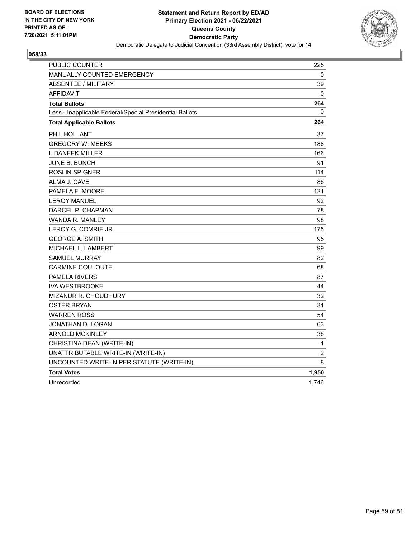

| PUBLIC COUNTER                                           | 225            |
|----------------------------------------------------------|----------------|
| MANUALLY COUNTED EMERGENCY                               | 0              |
| <b>ABSENTEE / MILITARY</b>                               | 39             |
| <b>AFFIDAVIT</b>                                         | 0              |
| <b>Total Ballots</b>                                     | 264            |
| Less - Inapplicable Federal/Special Presidential Ballots | 0              |
| <b>Total Applicable Ballots</b>                          | 264            |
| PHIL HOLLANT                                             | 37             |
| <b>GREGORY W. MEEKS</b>                                  | 188            |
| I. DANEEK MILLER                                         | 166            |
| JUNE B. BUNCH                                            | 91             |
| <b>ROSLIN SPIGNER</b>                                    | 114            |
| ALMA J. CAVE                                             | 86             |
| PAMELA F. MOORE                                          | 121            |
| <b>LEROY MANUEL</b>                                      | 92             |
| DARCEL P. CHAPMAN                                        | 78             |
| WANDA R. MANLEY                                          | 98             |
| LEROY G. COMRIE JR.                                      | 175            |
| <b>GEORGE A. SMITH</b>                                   | 95             |
| MICHAEL L. LAMBERT                                       | 99             |
| <b>SAMUEL MURRAY</b>                                     | 82             |
| <b>CARMINE COULOUTE</b>                                  | 68             |
| <b>PAMELA RIVERS</b>                                     | 87             |
| <b>IVA WESTBROOKE</b>                                    | 44             |
| MIZANUR R. CHOUDHURY                                     | 32             |
| <b>OSTER BRYAN</b>                                       | 31             |
| <b>WARREN ROSS</b>                                       | 54             |
| JONATHAN D. LOGAN                                        | 63             |
| <b>ARNOLD MCKINLEY</b>                                   | 38             |
| CHRISTINA DEAN (WRITE-IN)                                | $\mathbf{1}$   |
| UNATTRIBUTABLE WRITE-IN (WRITE-IN)                       | $\overline{2}$ |
| UNCOUNTED WRITE-IN PER STATUTE (WRITE-IN)                | 8              |
| <b>Total Votes</b>                                       | 1,950          |
| Unrecorded                                               | 1,746          |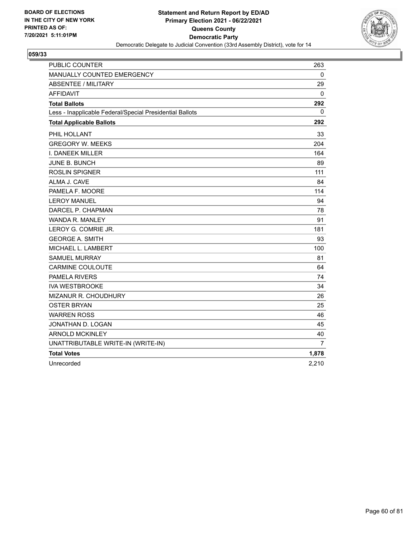

| <b>PUBLIC COUNTER</b>                                    | 263   |
|----------------------------------------------------------|-------|
| MANUALLY COUNTED EMERGENCY                               | 0     |
| <b>ABSENTEE / MILITARY</b>                               | 29    |
| <b>AFFIDAVIT</b>                                         | 0     |
| <b>Total Ballots</b>                                     | 292   |
| Less - Inapplicable Federal/Special Presidential Ballots | 0     |
| <b>Total Applicable Ballots</b>                          | 292   |
| PHIL HOLLANT                                             | 33    |
| <b>GREGORY W. MEEKS</b>                                  | 204   |
| I. DANEEK MILLER                                         | 164   |
| <b>JUNE B. BUNCH</b>                                     | 89    |
| <b>ROSLIN SPIGNER</b>                                    | 111   |
| ALMA J. CAVE                                             | 84    |
| PAMELA F. MOORE                                          | 114   |
| <b>LEROY MANUEL</b>                                      | 94    |
| DARCEL P. CHAPMAN                                        | 78    |
| WANDA R. MANLEY                                          | 91    |
| LEROY G. COMRIE JR.                                      | 181   |
| <b>GEORGE A. SMITH</b>                                   | 93    |
| MICHAEL L. LAMBERT                                       | 100   |
| <b>SAMUEL MURRAY</b>                                     | 81    |
| <b>CARMINE COULOUTE</b>                                  | 64    |
| <b>PAMELA RIVERS</b>                                     | 74    |
| <b>IVA WESTBROOKE</b>                                    | 34    |
| <b>MIZANUR R. CHOUDHURY</b>                              | 26    |
| <b>OSTER BRYAN</b>                                       | 25    |
| <b>WARREN ROSS</b>                                       | 46    |
| JONATHAN D. LOGAN                                        | 45    |
| <b>ARNOLD MCKINLEY</b>                                   | 40    |
| UNATTRIBUTABLE WRITE-IN (WRITE-IN)                       | 7     |
| <b>Total Votes</b>                                       | 1,878 |
| Unrecorded                                               | 2,210 |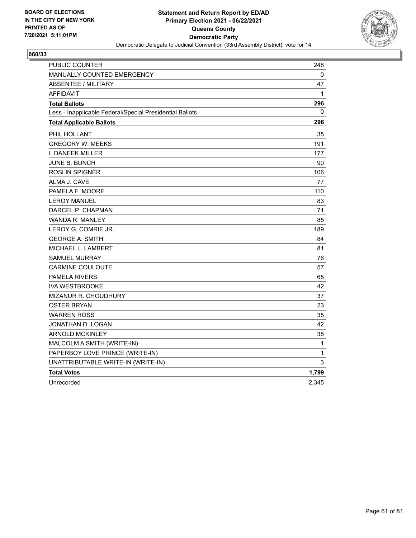

| PUBLIC COUNTER                                           | 248          |
|----------------------------------------------------------|--------------|
| <b>MANUALLY COUNTED EMERGENCY</b>                        | 0            |
| <b>ABSENTEE / MILITARY</b>                               | 47           |
| <b>AFFIDAVIT</b>                                         | $\mathbf{1}$ |
| <b>Total Ballots</b>                                     | 296          |
| Less - Inapplicable Federal/Special Presidential Ballots | 0            |
| <b>Total Applicable Ballots</b>                          | 296          |
| PHIL HOLLANT                                             | 35           |
| <b>GREGORY W. MEEKS</b>                                  | 191          |
| I. DANEEK MILLER                                         | 177          |
| <b>JUNE B. BUNCH</b>                                     | 90           |
| <b>ROSLIN SPIGNER</b>                                    | 106          |
| ALMA J. CAVE                                             | 77           |
| PAMELA F. MOORE                                          | 110          |
| <b>LEROY MANUEL</b>                                      | 83           |
| DARCEL P. CHAPMAN                                        | 71           |
| WANDA R. MANLEY                                          | 85           |
| LEROY G. COMRIE JR.                                      | 189          |
| <b>GEORGE A. SMITH</b>                                   | 84           |
| MICHAEL L. LAMBERT                                       | 81           |
| <b>SAMUEL MURRAY</b>                                     | 76           |
| <b>CARMINE COULOUTE</b>                                  | 57           |
| <b>PAMELA RIVERS</b>                                     | 65           |
| <b>IVA WESTBROOKE</b>                                    | 42           |
| MIZANUR R. CHOUDHURY                                     | 37           |
| <b>OSTER BRYAN</b>                                       | 23           |
| <b>WARREN ROSS</b>                                       | 35           |
| JONATHAN D. LOGAN                                        | 42           |
| <b>ARNOLD MCKINLEY</b>                                   | 38           |
| MALCOLM A SMITH (WRITE-IN)                               | 1            |
| PAPERBOY LOVE PRINCE (WRITE-IN)                          | 1            |
| UNATTRIBUTABLE WRITE-IN (WRITE-IN)                       | 3            |
| <b>Total Votes</b>                                       | 1,799        |
| Unrecorded                                               | 2,345        |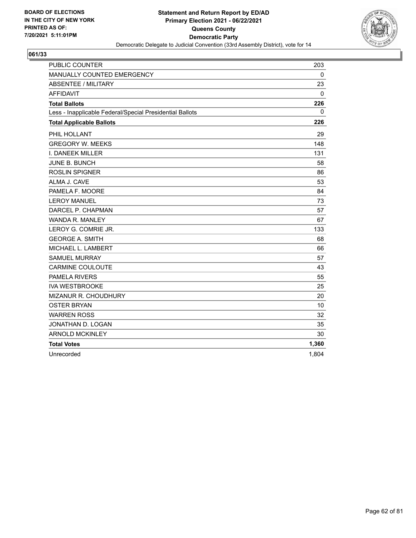

| <b>PUBLIC COUNTER</b>                                    | 203   |
|----------------------------------------------------------|-------|
| MANUALLY COUNTED EMERGENCY                               | 0     |
| <b>ABSENTEE / MILITARY</b>                               | 23    |
| <b>AFFIDAVIT</b>                                         | 0     |
| <b>Total Ballots</b>                                     | 226   |
| Less - Inapplicable Federal/Special Presidential Ballots | 0     |
| <b>Total Applicable Ballots</b>                          | 226   |
| PHIL HOLLANT                                             | 29    |
| <b>GREGORY W. MEEKS</b>                                  | 148   |
| I. DANEEK MILLER                                         | 131   |
| JUNE B. BUNCH                                            | 58    |
| <b>ROSLIN SPIGNER</b>                                    | 86    |
| ALMA J. CAVE                                             | 53    |
| PAMELA F. MOORE                                          | 84    |
| <b>LEROY MANUEL</b>                                      | 73    |
| DARCEL P. CHAPMAN                                        | 57    |
| <b>WANDA R. MANLEY</b>                                   | 67    |
| LEROY G. COMRIE JR.                                      | 133   |
| <b>GEORGE A. SMITH</b>                                   | 68    |
| MICHAEL L. LAMBERT                                       | 66    |
| <b>SAMUEL MURRAY</b>                                     | 57    |
| <b>CARMINE COULOUTE</b>                                  | 43    |
| PAMELA RIVERS                                            | 55    |
| <b>IVA WESTBROOKE</b>                                    | 25    |
| MIZANUR R. CHOUDHURY                                     | 20    |
| <b>OSTER BRYAN</b>                                       | 10    |
| <b>WARREN ROSS</b>                                       | 32    |
| JONATHAN D. LOGAN                                        | 35    |
| <b>ARNOLD MCKINLEY</b>                                   | 30    |
| <b>Total Votes</b>                                       | 1,360 |
| Unrecorded                                               | 1,804 |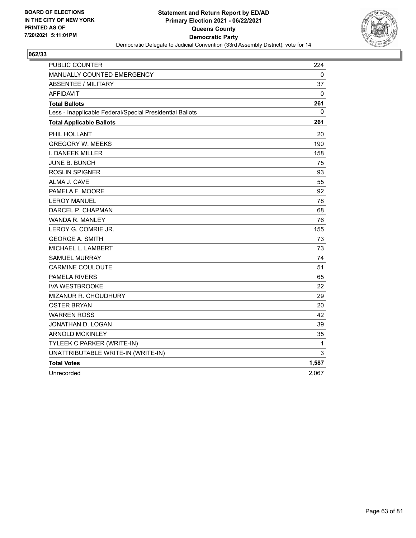

| PUBLIC COUNTER                                           | 224   |
|----------------------------------------------------------|-------|
| MANUALLY COUNTED EMERGENCY                               | 0     |
| <b>ABSENTEE / MILITARY</b>                               | 37    |
| <b>AFFIDAVIT</b>                                         | 0     |
| <b>Total Ballots</b>                                     | 261   |
| Less - Inapplicable Federal/Special Presidential Ballots | 0     |
| <b>Total Applicable Ballots</b>                          | 261   |
| PHIL HOLLANT                                             | 20    |
| <b>GREGORY W. MEEKS</b>                                  | 190   |
| I. DANEEK MILLER                                         | 158   |
| JUNE B. BUNCH                                            | 75    |
| <b>ROSLIN SPIGNER</b>                                    | 93    |
| ALMA J. CAVE                                             | 55    |
| PAMELA F. MOORE                                          | 92    |
| <b>LEROY MANUEL</b>                                      | 78    |
| DARCEL P. CHAPMAN                                        | 68    |
| WANDA R. MANLEY                                          | 76    |
| LEROY G. COMRIE JR.                                      | 155   |
| <b>GEORGE A. SMITH</b>                                   | 73    |
| MICHAEL L. LAMBERT                                       | 73    |
| <b>SAMUEL MURRAY</b>                                     | 74    |
| <b>CARMINE COULOUTE</b>                                  | 51    |
| <b>PAMELA RIVERS</b>                                     | 65    |
| <b>IVA WESTBROOKE</b>                                    | 22    |
| MIZANUR R. CHOUDHURY                                     | 29    |
| <b>OSTER BRYAN</b>                                       | 20    |
| <b>WARREN ROSS</b>                                       | 42    |
| JONATHAN D. LOGAN                                        | 39    |
| <b>ARNOLD MCKINLEY</b>                                   | 35    |
| TYLEEK C PARKER (WRITE-IN)                               | 1     |
| UNATTRIBUTABLE WRITE-IN (WRITE-IN)                       | 3     |
| <b>Total Votes</b>                                       | 1,587 |
| Unrecorded                                               | 2,067 |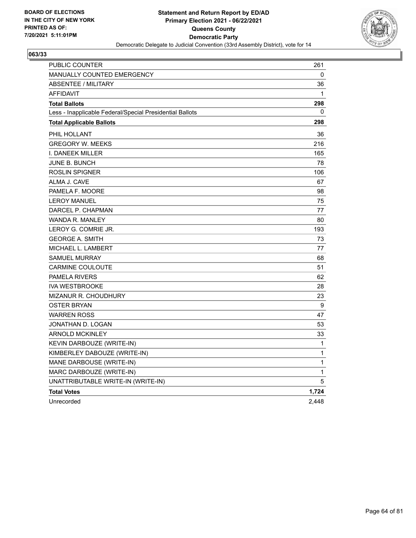

| PUBLIC COUNTER                                           | 261   |
|----------------------------------------------------------|-------|
| <b>MANUALLY COUNTED EMERGENCY</b>                        | 0     |
| <b>ABSENTEE / MILITARY</b>                               | 36    |
| <b>AFFIDAVIT</b>                                         | 1     |
| <b>Total Ballots</b>                                     | 298   |
| Less - Inapplicable Federal/Special Presidential Ballots | 0     |
| <b>Total Applicable Ballots</b>                          | 298   |
| PHIL HOLLANT                                             | 36    |
| <b>GREGORY W. MEEKS</b>                                  | 216   |
| <b>I. DANEEK MILLER</b>                                  | 165   |
| JUNE B. BUNCH                                            | 78    |
| <b>ROSLIN SPIGNER</b>                                    | 106   |
| ALMA J. CAVE                                             | 67    |
| PAMELA F. MOORE                                          | 98    |
| <b>LEROY MANUEL</b>                                      | 75    |
| DARCEL P. CHAPMAN                                        | 77    |
| WANDA R. MANLEY                                          | 80    |
| LEROY G. COMRIE JR.                                      | 193   |
| <b>GEORGE A. SMITH</b>                                   | 73    |
| MICHAEL L. LAMBERT                                       | 77    |
| <b>SAMUEL MURRAY</b>                                     | 68    |
| <b>CARMINE COULOUTE</b>                                  | 51    |
| <b>PAMELA RIVERS</b>                                     | 62    |
| <b>IVA WESTBROOKE</b>                                    | 28    |
| MIZANUR R. CHOUDHURY                                     | 23    |
| <b>OSTER BRYAN</b>                                       | 9     |
| <b>WARREN ROSS</b>                                       | 47    |
| JONATHAN D. LOGAN                                        | 53    |
| <b>ARNOLD MCKINLEY</b>                                   | 33    |
| KEVIN DARBOUZE (WRITE-IN)                                | 1     |
| KIMBERLEY DABOUZE (WRITE-IN)                             | 1     |
| MANE DARBOUSE (WRITE-IN)                                 | 1     |
| MARC DARBOUZE (WRITE-IN)                                 | 1     |
| UNATTRIBUTABLE WRITE-IN (WRITE-IN)                       | 5     |
| <b>Total Votes</b>                                       | 1,724 |
| Unrecorded                                               | 2,448 |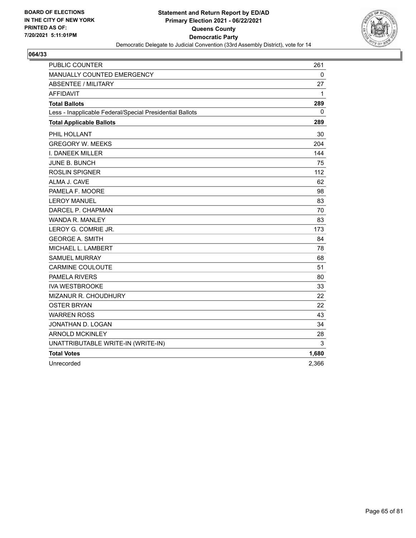

| <b>PUBLIC COUNTER</b>                                    | 261      |
|----------------------------------------------------------|----------|
| MANUALLY COUNTED EMERGENCY                               | 0        |
| <b>ABSENTEE / MILITARY</b>                               | 27       |
| <b>AFFIDAVIT</b>                                         | 1        |
| <b>Total Ballots</b>                                     | 289      |
| Less - Inapplicable Federal/Special Presidential Ballots | $\Omega$ |
| <b>Total Applicable Ballots</b>                          | 289      |
| PHIL HOLLANT                                             | 30       |
| <b>GREGORY W. MEEKS</b>                                  | 204      |
| I. DANEEK MILLER                                         | 144      |
| <b>JUNE B. BUNCH</b>                                     | 75       |
| ROSLIN SPIGNER                                           | 112      |
| ALMA J. CAVE                                             | 62       |
| PAMELA F. MOORE                                          | 98       |
| <b>LEROY MANUEL</b>                                      | 83       |
| DARCEL P. CHAPMAN                                        | 70       |
| WANDA R. MANLEY                                          | 83       |
| LEROY G. COMRIE JR.                                      | 173      |
| <b>GEORGE A. SMITH</b>                                   | 84       |
| MICHAEL L. LAMBERT                                       | 78       |
| <b>SAMUEL MURRAY</b>                                     | 68       |
| <b>CARMINE COULOUTE</b>                                  | 51       |
| <b>PAMELA RIVERS</b>                                     | 80       |
| <b>IVA WESTBROOKE</b>                                    | 33       |
| MIZANUR R. CHOUDHURY                                     | 22       |
| <b>OSTER BRYAN</b>                                       | 22       |
| <b>WARREN ROSS</b>                                       | 43       |
| JONATHAN D. LOGAN                                        | 34       |
| <b>ARNOLD MCKINLEY</b>                                   | 28       |
| UNATTRIBUTABLE WRITE-IN (WRITE-IN)                       | 3        |
| <b>Total Votes</b>                                       | 1,680    |
| Unrecorded                                               | 2,366    |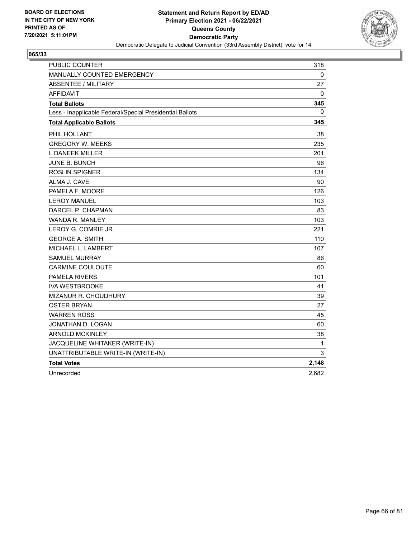

| <b>PUBLIC COUNTER</b>                                    | 318          |
|----------------------------------------------------------|--------------|
| <b>MANUALLY COUNTED EMERGENCY</b>                        | 0            |
| <b>ABSENTEE / MILITARY</b>                               | 27           |
| <b>AFFIDAVIT</b>                                         | 0            |
| <b>Total Ballots</b>                                     | 345          |
| Less - Inapplicable Federal/Special Presidential Ballots | 0            |
| <b>Total Applicable Ballots</b>                          | 345          |
| PHIL HOLLANT                                             | 38           |
| <b>GREGORY W. MEEKS</b>                                  | 235          |
| I. DANEEK MILLER                                         | 201          |
| <b>JUNE B. BUNCH</b>                                     | 96           |
| <b>ROSLIN SPIGNER</b>                                    | 134          |
| ALMA J. CAVE                                             | 90           |
| PAMELA F. MOORE                                          | 126          |
| <b>LEROY MANUEL</b>                                      | 103          |
| DARCEL P. CHAPMAN                                        | 83           |
| WANDA R. MANLEY                                          | 103          |
| LEROY G. COMRIE JR.                                      | 221          |
| <b>GEORGE A. SMITH</b>                                   | 110          |
| MICHAEL L. LAMBERT                                       | 107          |
| <b>SAMUEL MURRAY</b>                                     | 86           |
| <b>CARMINE COULOUTE</b>                                  | 60           |
| <b>PAMELA RIVERS</b>                                     | 101          |
| <b>IVA WESTBROOKE</b>                                    | 41           |
| MIZANUR R. CHOUDHURY                                     | 39           |
| <b>OSTER BRYAN</b>                                       | 27           |
| <b>WARREN ROSS</b>                                       | 45           |
| JONATHAN D. LOGAN                                        | 60           |
| <b>ARNOLD MCKINLEY</b>                                   | 38           |
| JACQUELINE WHITAKER (WRITE-IN)                           | $\mathbf{1}$ |
| UNATTRIBUTABLE WRITE-IN (WRITE-IN)                       | 3            |
| <b>Total Votes</b>                                       | 2,148        |
| Unrecorded                                               | 2,682        |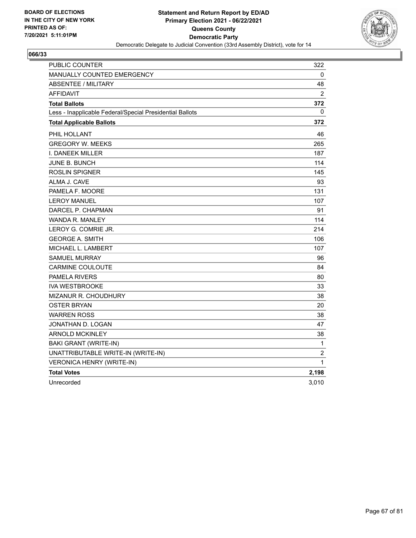

| <b>PUBLIC COUNTER</b>                                    | 322            |
|----------------------------------------------------------|----------------|
| <b>MANUALLY COUNTED EMERGENCY</b>                        | 0              |
| <b>ABSENTEE / MILITARY</b>                               | 48             |
| <b>AFFIDAVIT</b>                                         | 2              |
| <b>Total Ballots</b>                                     | 372            |
| Less - Inapplicable Federal/Special Presidential Ballots | 0              |
| <b>Total Applicable Ballots</b>                          | 372            |
| PHIL HOLLANT                                             | 46             |
| <b>GREGORY W. MEEKS</b>                                  | 265            |
| <b>I. DANEEK MILLER</b>                                  | 187            |
| JUNE B. BUNCH                                            | 114            |
| ROSLIN SPIGNER                                           | 145            |
| ALMA J. CAVE                                             | 93             |
| PAMELA F. MOORE                                          | 131            |
| <b>LEROY MANUEL</b>                                      | 107            |
| DARCEL P. CHAPMAN                                        | 91             |
| WANDA R. MANLEY                                          | 114            |
| LEROY G. COMRIE JR.                                      | 214            |
| <b>GEORGE A. SMITH</b>                                   | 106            |
| MICHAEL L. LAMBERT                                       | 107            |
| <b>SAMUEL MURRAY</b>                                     | 96             |
| <b>CARMINE COULOUTE</b>                                  | 84             |
| <b>PAMELA RIVERS</b>                                     | 80             |
| <b>IVA WESTBROOKE</b>                                    | 33             |
| <b>MIZANUR R. CHOUDHURY</b>                              | 38             |
| <b>OSTER BRYAN</b>                                       | 20             |
| <b>WARREN ROSS</b>                                       | 38             |
| JONATHAN D. LOGAN                                        | 47             |
| <b>ARNOLD MCKINLEY</b>                                   | 38             |
| <b>BAKI GRANT (WRITE-IN)</b>                             | $\mathbf{1}$   |
| UNATTRIBUTABLE WRITE-IN (WRITE-IN)                       | $\overline{c}$ |
| VERONICA HENRY (WRITE-IN)                                | $\mathbf 1$    |
| <b>Total Votes</b>                                       | 2,198          |
| Unrecorded                                               | 3,010          |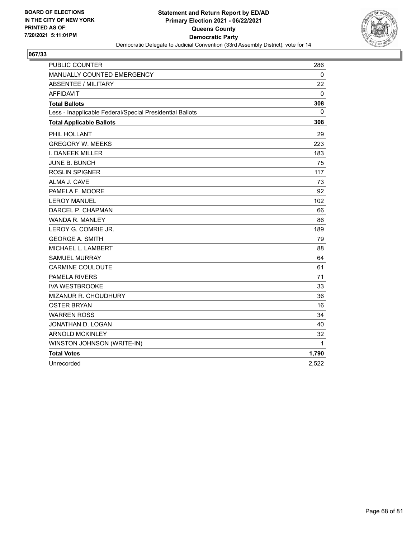

| <b>PUBLIC COUNTER</b>                                    | 286          |
|----------------------------------------------------------|--------------|
| MANUALLY COUNTED EMERGENCY                               | $\mathbf{0}$ |
| <b>ABSENTEE / MILITARY</b>                               | 22           |
| <b>AFFIDAVIT</b>                                         | 0            |
| <b>Total Ballots</b>                                     | 308          |
| Less - Inapplicable Federal/Special Presidential Ballots | $\mathbf{0}$ |
| <b>Total Applicable Ballots</b>                          | 308          |
| PHIL HOLLANT                                             | 29           |
| <b>GREGORY W. MEEKS</b>                                  | 223          |
| I. DANEEK MILLER                                         | 183          |
| <b>JUNE B. BUNCH</b>                                     | 75           |
| <b>ROSLIN SPIGNER</b>                                    | 117          |
| ALMA J. CAVE                                             | 73           |
| PAMELA F. MOORE                                          | 92           |
| <b>LEROY MANUEL</b>                                      | 102          |
| DARCEL P. CHAPMAN                                        | 66           |
| WANDA R. MANLEY                                          | 86           |
| LEROY G. COMRIE JR.                                      | 189          |
| <b>GEORGE A. SMITH</b>                                   | 79           |
| MICHAEL L. LAMBERT                                       | 88           |
| <b>SAMUEL MURRAY</b>                                     | 64           |
| <b>CARMINE COULOUTE</b>                                  | 61           |
| <b>PAMELA RIVERS</b>                                     | 71           |
| <b>IVA WESTBROOKE</b>                                    | 33           |
| MIZANUR R. CHOUDHURY                                     | 36           |
| <b>OSTER BRYAN</b>                                       | 16           |
| <b>WARREN ROSS</b>                                       | 34           |
| JONATHAN D. LOGAN                                        | 40           |
| <b>ARNOLD MCKINLEY</b>                                   | 32           |
| WINSTON JOHNSON (WRITE-IN)                               | 1            |
| <b>Total Votes</b>                                       | 1,790        |
| Unrecorded                                               | 2,522        |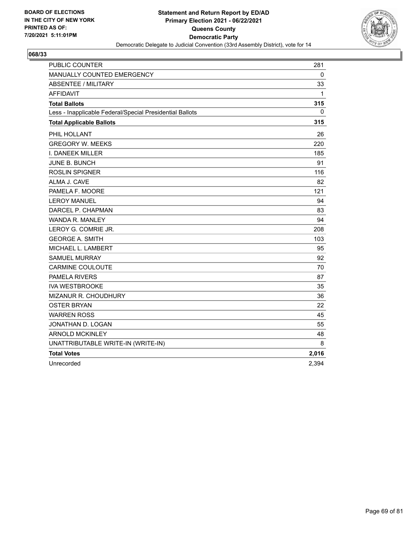

| <b>PUBLIC COUNTER</b>                                    | 281   |
|----------------------------------------------------------|-------|
| MANUALLY COUNTED EMERGENCY                               | 0     |
| <b>ABSENTEE / MILITARY</b>                               | 33    |
| <b>AFFIDAVIT</b>                                         | 1     |
| <b>Total Ballots</b>                                     | 315   |
| Less - Inapplicable Federal/Special Presidential Ballots | 0     |
| <b>Total Applicable Ballots</b>                          | 315   |
| PHIL HOLLANT                                             | 26    |
| <b>GREGORY W. MEEKS</b>                                  | 220   |
| I. DANEEK MILLER                                         | 185   |
| JUNE B. BUNCH                                            | 91    |
| <b>ROSLIN SPIGNER</b>                                    | 116   |
| ALMA J. CAVE                                             | 82    |
| PAMELA F. MOORE                                          | 121   |
| <b>LEROY MANUEL</b>                                      | 94    |
| DARCEL P. CHAPMAN                                        | 83    |
| <b>WANDA R. MANLEY</b>                                   | 94    |
| LEROY G. COMRIE JR.                                      | 208   |
| <b>GEORGE A. SMITH</b>                                   | 103   |
| MICHAEL L. LAMBERT                                       | 95    |
| <b>SAMUEL MURRAY</b>                                     | 92    |
| <b>CARMINE COULOUTE</b>                                  | 70    |
| <b>PAMELA RIVERS</b>                                     | 87    |
| <b>IVA WESTBROOKE</b>                                    | 35    |
| MIZANUR R. CHOUDHURY                                     | 36    |
| <b>OSTER BRYAN</b>                                       | 22    |
| <b>WARREN ROSS</b>                                       | 45    |
| JONATHAN D. LOGAN                                        | 55    |
| <b>ARNOLD MCKINLEY</b>                                   | 48    |
| UNATTRIBUTABLE WRITE-IN (WRITE-IN)                       | 8     |
| <b>Total Votes</b>                                       | 2,016 |
| Unrecorded                                               | 2,394 |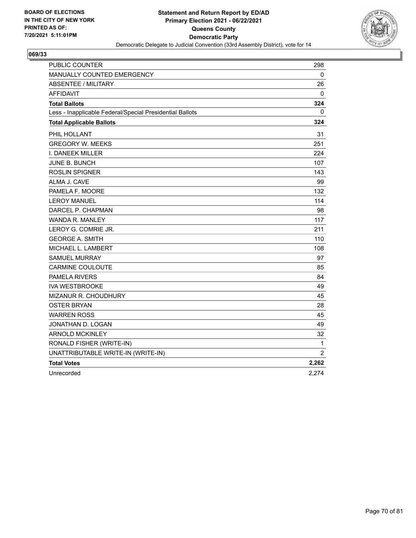

| <b>PUBLIC COUNTER</b>                                    | 298            |
|----------------------------------------------------------|----------------|
| MANUALLY COUNTED EMERGENCY                               | 0              |
| <b>ABSENTEE / MILITARY</b>                               | 26             |
| <b>AFFIDAVIT</b>                                         | 0              |
| <b>Total Ballots</b>                                     | 324            |
| Less - Inapplicable Federal/Special Presidential Ballots | 0              |
| <b>Total Applicable Ballots</b>                          | 324            |
| PHIL HOLLANT                                             | 31             |
| <b>GREGORY W. MEEKS</b>                                  | 251            |
| <b>I. DANEEK MILLER</b>                                  | 224            |
| JUNE B. BUNCH                                            | 107            |
| <b>ROSLIN SPIGNER</b>                                    | 143            |
| ALMA J. CAVE                                             | 99             |
| PAMELA F. MOORE                                          | 132            |
| <b>LEROY MANUEL</b>                                      | 114            |
| DARCEL P. CHAPMAN                                        | 98             |
| WANDA R. MANLEY                                          | 117            |
| LEROY G. COMRIE JR.                                      | 211            |
| <b>GEORGE A. SMITH</b>                                   | 110            |
| MICHAEL L. LAMBERT                                       | 108            |
| <b>SAMUEL MURRAY</b>                                     | 97             |
| <b>CARMINE COULOUTE</b>                                  | 85             |
| <b>PAMELA RIVERS</b>                                     | 84             |
| <b>IVA WESTBROOKE</b>                                    | 49             |
| MIZANUR R. CHOUDHURY                                     | 45             |
| <b>OSTER BRYAN</b>                                       | 28             |
| <b>WARREN ROSS</b>                                       | 45             |
| JONATHAN D. LOGAN                                        | 49             |
| <b>ARNOLD MCKINLEY</b>                                   | 32             |
| RONALD FISHER (WRITE-IN)                                 | $\mathbf{1}$   |
| UNATTRIBUTABLE WRITE-IN (WRITE-IN)                       | $\overline{2}$ |
| <b>Total Votes</b>                                       | 2,262          |
| Unrecorded                                               | 2,274          |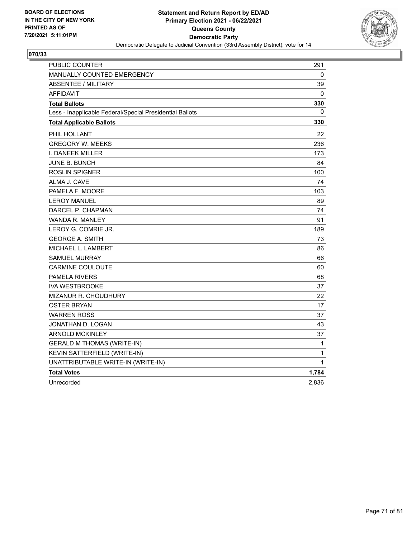

| PUBLIC COUNTER                                           | 291          |
|----------------------------------------------------------|--------------|
| <b>MANUALLY COUNTED EMERGENCY</b>                        | 0            |
| <b>ABSENTEE / MILITARY</b>                               | 39           |
| <b>AFFIDAVIT</b>                                         | 0            |
| <b>Total Ballots</b>                                     | 330          |
| Less - Inapplicable Federal/Special Presidential Ballots | 0            |
| <b>Total Applicable Ballots</b>                          | 330          |
| PHIL HOLLANT                                             | 22           |
| <b>GREGORY W. MEEKS</b>                                  | 236          |
| I. DANEEK MILLER                                         | 173          |
| <b>JUNE B. BUNCH</b>                                     | 84           |
| <b>ROSLIN SPIGNER</b>                                    | 100          |
| ALMA J. CAVE                                             | 74           |
| PAMELA F. MOORE                                          | 103          |
| <b>LEROY MANUEL</b>                                      | 89           |
| DARCEL P. CHAPMAN                                        | 74           |
| WANDA R. MANLEY                                          | 91           |
| LEROY G. COMRIE JR.                                      | 189          |
| <b>GEORGE A. SMITH</b>                                   | 73           |
| MICHAEL L. LAMBERT                                       | 86           |
| <b>SAMUEL MURRAY</b>                                     | 66           |
| <b>CARMINE COULOUTE</b>                                  | 60           |
| PAMELA RIVERS                                            | 68           |
| <b>IVA WESTBROOKE</b>                                    | 37           |
| <b>MIZANUR R. CHOUDHURY</b>                              | 22           |
| <b>OSTER BRYAN</b>                                       | 17           |
| <b>WARREN ROSS</b>                                       | 37           |
| JONATHAN D. LOGAN                                        | 43           |
| <b>ARNOLD MCKINLEY</b>                                   | 37           |
| <b>GERALD M THOMAS (WRITE-IN)</b>                        | $\mathbf{1}$ |
| KEVIN SATTERFIELD (WRITE-IN)                             | 1            |
| UNATTRIBUTABLE WRITE-IN (WRITE-IN)                       | $\mathbf 1$  |
| <b>Total Votes</b>                                       | 1,784        |
| Unrecorded                                               | 2,836        |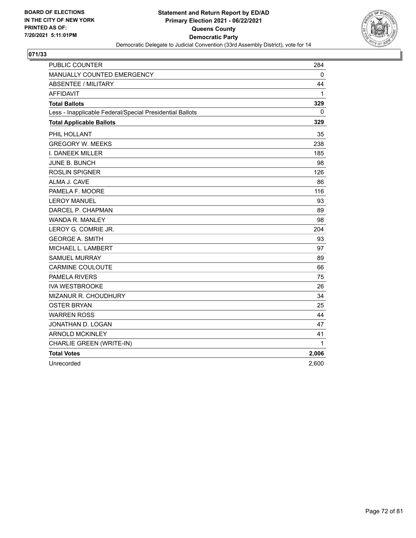

| <b>PUBLIC COUNTER</b>                                    | 284      |
|----------------------------------------------------------|----------|
| MANUALLY COUNTED EMERGENCY                               | 0        |
| <b>ABSENTEE / MILITARY</b>                               | 44       |
| <b>AFFIDAVIT</b>                                         | 1        |
| <b>Total Ballots</b>                                     | 329      |
| Less - Inapplicable Federal/Special Presidential Ballots | $\Omega$ |
| <b>Total Applicable Ballots</b>                          | 329      |
| PHIL HOLLANT                                             | 35       |
| <b>GREGORY W. MEEKS</b>                                  | 238      |
| I. DANEEK MILLER                                         | 185      |
| <b>JUNE B. BUNCH</b>                                     | 98       |
| <b>ROSLIN SPIGNER</b>                                    | 126      |
| ALMA J. CAVE                                             | 86       |
| PAMELA F. MOORE                                          | 116      |
| <b>LEROY MANUEL</b>                                      | 93       |
| DARCEL P. CHAPMAN                                        | 89       |
| WANDA R. MANLEY                                          | 98       |
| LEROY G. COMRIE JR.                                      | 204      |
| <b>GEORGE A. SMITH</b>                                   | 93       |
| MICHAEL L. LAMBERT                                       | 97       |
| <b>SAMUEL MURRAY</b>                                     | 89       |
| <b>CARMINE COULOUTE</b>                                  | 66       |
| <b>PAMELA RIVERS</b>                                     | 75       |
| <b>IVA WESTBROOKE</b>                                    | 26       |
| <b>MIZANUR R. CHOUDHURY</b>                              | 34       |
| <b>OSTER BRYAN</b>                                       | 25       |
| <b>WARREN ROSS</b>                                       | 44       |
| JONATHAN D. LOGAN                                        | 47       |
| <b>ARNOLD MCKINLEY</b>                                   | 41       |
| CHARLIE GREEN (WRITE-IN)                                 | 1        |
| <b>Total Votes</b>                                       | 2,006    |
| Unrecorded                                               | 2,600    |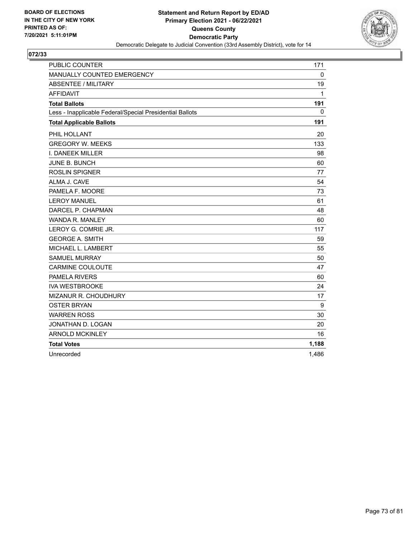

| <b>PUBLIC COUNTER</b>                                    | 171   |
|----------------------------------------------------------|-------|
| MANUALLY COUNTED EMERGENCY                               | 0     |
| <b>ABSENTEE / MILITARY</b>                               | 19    |
| <b>AFFIDAVIT</b>                                         | 1     |
| <b>Total Ballots</b>                                     | 191   |
| Less - Inapplicable Federal/Special Presidential Ballots | 0     |
| <b>Total Applicable Ballots</b>                          | 191   |
| PHIL HOLLANT                                             | 20    |
| <b>GREGORY W. MEEKS</b>                                  | 133   |
| I. DANEEK MILLER                                         | 98    |
| JUNE B. BUNCH                                            | 60    |
| <b>ROSLIN SPIGNER</b>                                    | 77    |
| ALMA J. CAVE                                             | 54    |
| PAMELA F. MOORE                                          | 73    |
| <b>LEROY MANUEL</b>                                      | 61    |
| DARCEL P. CHAPMAN                                        | 48    |
| <b>WANDA R. MANLEY</b>                                   | 60    |
| LEROY G. COMRIE JR.                                      | 117   |
| <b>GEORGE A. SMITH</b>                                   | 59    |
| MICHAEL L. LAMBERT                                       | 55    |
| <b>SAMUEL MURRAY</b>                                     | 50    |
| <b>CARMINE COULOUTE</b>                                  | 47    |
| <b>PAMELA RIVERS</b>                                     | 60    |
| <b>IVA WESTBROOKE</b>                                    | 24    |
| MIZANUR R. CHOUDHURY                                     | 17    |
| <b>OSTER BRYAN</b>                                       | 9     |
| <b>WARREN ROSS</b>                                       | 30    |
| JONATHAN D. LOGAN                                        | 20    |
| <b>ARNOLD MCKINLEY</b>                                   | 16    |
| <b>Total Votes</b>                                       | 1,188 |
| Unrecorded                                               | 1,486 |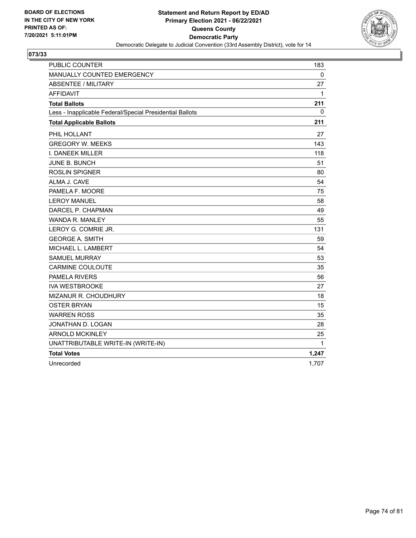

| PUBLIC COUNTER                                           | 183          |
|----------------------------------------------------------|--------------|
| MANUALLY COUNTED EMERGENCY                               | 0            |
| <b>ABSENTEE / MILITARY</b>                               | 27           |
| <b>AFFIDAVIT</b>                                         | 1            |
| <b>Total Ballots</b>                                     | 211          |
| Less - Inapplicable Federal/Special Presidential Ballots | 0            |
| <b>Total Applicable Ballots</b>                          | 211          |
| PHIL HOLLANT                                             | 27           |
| <b>GREGORY W. MEEKS</b>                                  | 143          |
| I. DANEEK MILLER                                         | 118          |
| <b>JUNE B. BUNCH</b>                                     | 51           |
| <b>ROSLIN SPIGNER</b>                                    | 80           |
| ALMA J. CAVE                                             | 54           |
| PAMELA F. MOORE                                          | 75           |
| <b>LEROY MANUEL</b>                                      | 58           |
| DARCEL P. CHAPMAN                                        | 49           |
| <b>WANDA R. MANLEY</b>                                   | 55           |
| LEROY G. COMRIE JR.                                      | 131          |
| <b>GEORGE A. SMITH</b>                                   | 59           |
| MICHAEL L. LAMBERT                                       | 54           |
| <b>SAMUEL MURRAY</b>                                     | 53           |
| <b>CARMINE COULOUTE</b>                                  | 35           |
| <b>PAMELA RIVERS</b>                                     | 56           |
| <b>IVA WESTBROOKE</b>                                    | 27           |
| <b>MIZANUR R. CHOUDHURY</b>                              | 18           |
| <b>OSTER BRYAN</b>                                       | 15           |
| <b>WARREN ROSS</b>                                       | 35           |
| JONATHAN D. LOGAN                                        | 28           |
| <b>ARNOLD MCKINLEY</b>                                   | 25           |
| UNATTRIBUTABLE WRITE-IN (WRITE-IN)                       | $\mathbf{1}$ |
| <b>Total Votes</b>                                       | 1,247        |
| Unrecorded                                               | 1,707        |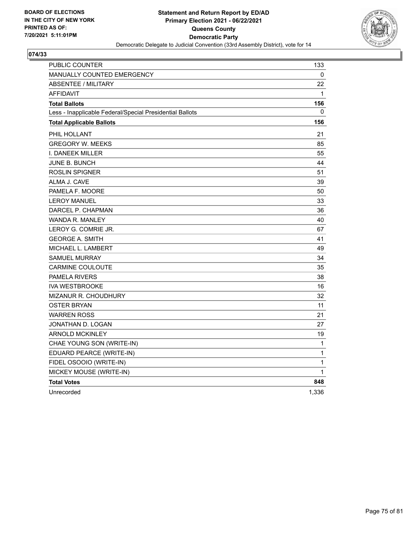

| PUBLIC COUNTER                                           | 133   |
|----------------------------------------------------------|-------|
| <b>MANUALLY COUNTED EMERGENCY</b>                        | 0     |
| <b>ABSENTEE / MILITARY</b>                               | 22    |
| <b>AFFIDAVIT</b>                                         | 1     |
| <b>Total Ballots</b>                                     | 156   |
| Less - Inapplicable Federal/Special Presidential Ballots | 0     |
| <b>Total Applicable Ballots</b>                          | 156   |
| PHIL HOLLANT                                             | 21    |
| <b>GREGORY W. MEEKS</b>                                  | 85    |
| <b>I. DANEEK MILLER</b>                                  | 55    |
| <b>JUNE B. BUNCH</b>                                     | 44    |
| <b>ROSLIN SPIGNER</b>                                    | 51    |
| ALMA J. CAVE                                             | 39    |
| PAMELA F. MOORE                                          | 50    |
| <b>LEROY MANUEL</b>                                      | 33    |
| DARCEL P. CHAPMAN                                        | 36    |
| <b>WANDA R. MANLEY</b>                                   | 40    |
| LEROY G. COMRIE JR.                                      | 67    |
| <b>GEORGE A. SMITH</b>                                   | 41    |
| MICHAEL L. LAMBERT                                       | 49    |
| <b>SAMUEL MURRAY</b>                                     | 34    |
| <b>CARMINE COULOUTE</b>                                  | 35    |
| <b>PAMELA RIVERS</b>                                     | 38    |
| <b>IVA WESTBROOKE</b>                                    | 16    |
| <b>MIZANUR R. CHOUDHURY</b>                              | 32    |
| <b>OSTER BRYAN</b>                                       | 11    |
| <b>WARREN ROSS</b>                                       | 21    |
| JONATHAN D. LOGAN                                        | 27    |
| <b>ARNOLD MCKINLEY</b>                                   | 19    |
| CHAE YOUNG SON (WRITE-IN)                                | 1     |
| EDUARD PEARCE (WRITE-IN)                                 | 1     |
| FIDEL OSOOIO (WRITE-IN)                                  | 1     |
| MICKEY MOUSE (WRITE-IN)                                  | 1     |
| <b>Total Votes</b>                                       | 848   |
| Unrecorded                                               | 1,336 |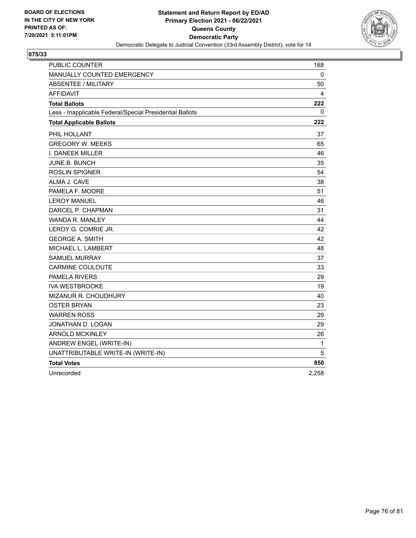

| PUBLIC COUNTER                                           | 168   |
|----------------------------------------------------------|-------|
| MANUALLY COUNTED EMERGENCY                               | 0     |
| <b>ABSENTEE / MILITARY</b>                               | 50    |
| <b>AFFIDAVIT</b>                                         | 4     |
| <b>Total Ballots</b>                                     | 222   |
| Less - Inapplicable Federal/Special Presidential Ballots | 0     |
| <b>Total Applicable Ballots</b>                          | 222   |
| PHIL HOLLANT                                             | 37    |
| <b>GREGORY W. MEEKS</b>                                  | 65    |
| <b>I. DANEEK MILLER</b>                                  | 46    |
| <b>JUNE B. BUNCH</b>                                     | 35    |
| <b>ROSLIN SPIGNER</b>                                    | 54    |
| ALMA J. CAVE                                             | 38    |
| PAMELA F. MOORE                                          | 51    |
| <b>LEROY MANUEL</b>                                      | 46    |
| DARCEL P. CHAPMAN                                        | 31    |
| WANDA R. MANLEY                                          | 44    |
| LEROY G. COMRIE JR.                                      | 42    |
| <b>GEORGE A. SMITH</b>                                   | 42    |
| MICHAEL L. LAMBERT                                       | 48    |
| <b>SAMUEL MURRAY</b>                                     | 37    |
| <b>CARMINE COULOUTE</b>                                  | 33    |
| <b>PAMELA RIVERS</b>                                     | 29    |
| <b>IVA WESTBROOKE</b>                                    | 19    |
| MIZANUR R. CHOUDHURY                                     | 40    |
| OSTER BRYAN                                              | 23    |
| <b>WARREN ROSS</b>                                       | 29    |
| JONATHAN D. LOGAN                                        | 29    |
| <b>ARNOLD MCKINLEY</b>                                   | 26    |
| ANDREW ENGEL (WRITE-IN)                                  | 1     |
| UNATTRIBUTABLE WRITE-IN (WRITE-IN)                       | 5     |
| <b>Total Votes</b>                                       | 850   |
| Unrecorded                                               | 2,258 |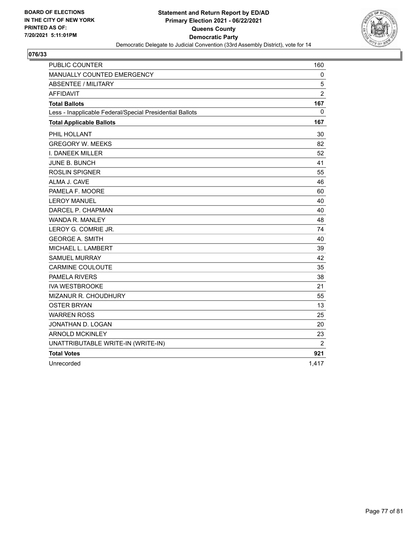

| <b>PUBLIC COUNTER</b>                                    | 160            |
|----------------------------------------------------------|----------------|
| MANUALLY COUNTED EMERGENCY                               | 0              |
| <b>ABSENTEE / MILITARY</b>                               | 5              |
| <b>AFFIDAVIT</b>                                         | $\overline{2}$ |
| <b>Total Ballots</b>                                     | 167            |
| Less - Inapplicable Federal/Special Presidential Ballots | $\Omega$       |
| <b>Total Applicable Ballots</b>                          | 167            |
| PHIL HOLLANT                                             | 30             |
| <b>GREGORY W. MEEKS</b>                                  | 82             |
| I. DANEEK MILLER                                         | 52             |
| <b>JUNE B. BUNCH</b>                                     | 41             |
| <b>ROSLIN SPIGNER</b>                                    | 55             |
| ALMA J. CAVE                                             | 46             |
| PAMELA F. MOORE                                          | 60             |
| <b>LEROY MANUEL</b>                                      | 40             |
| DARCEL P. CHAPMAN                                        | 40             |
| WANDA R. MANLEY                                          | 48             |
| LEROY G. COMRIE JR.                                      | 74             |
| <b>GEORGE A. SMITH</b>                                   | 40             |
| MICHAEL L. LAMBERT                                       | 39             |
| <b>SAMUEL MURRAY</b>                                     | 42             |
| <b>CARMINE COULOUTE</b>                                  | 35             |
| <b>PAMELA RIVERS</b>                                     | 38             |
| <b>IVA WESTBROOKE</b>                                    | 21             |
| MIZANUR R. CHOUDHURY                                     | 55             |
| <b>OSTER BRYAN</b>                                       | 13             |
| <b>WARREN ROSS</b>                                       | 25             |
| JONATHAN D. LOGAN                                        | 20             |
| <b>ARNOLD MCKINLEY</b>                                   | 23             |
| UNATTRIBUTABLE WRITE-IN (WRITE-IN)                       | 2              |
| <b>Total Votes</b>                                       | 921            |
| Unrecorded                                               | 1.417          |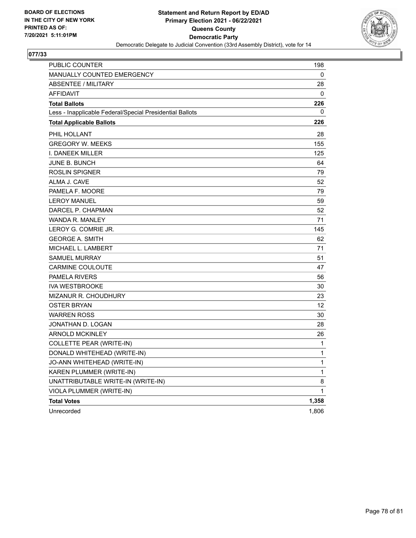

| <b>PUBLIC COUNTER</b>                                    | 198          |
|----------------------------------------------------------|--------------|
| MANUALLY COUNTED EMERGENCY                               | 0            |
| <b>ABSENTEE / MILITARY</b>                               | 28           |
| <b>AFFIDAVIT</b>                                         | $\mathbf{0}$ |
| <b>Total Ballots</b>                                     | 226          |
| Less - Inapplicable Federal/Special Presidential Ballots | 0            |
| <b>Total Applicable Ballots</b>                          | 226          |
| PHIL HOLLANT                                             | 28           |
| <b>GREGORY W. MEEKS</b>                                  | 155          |
| I. DANEEK MILLER                                         | 125          |
| <b>JUNE B. BUNCH</b>                                     | 64           |
| <b>ROSLIN SPIGNER</b>                                    | 79           |
| ALMA J. CAVE                                             | 52           |
| PAMELA F. MOORE                                          | 79           |
| <b>LEROY MANUEL</b>                                      | 59           |
| DARCEL P. CHAPMAN                                        | 52           |
| <b>WANDA R. MANLEY</b>                                   | 71           |
| LEROY G. COMRIE JR.                                      | 145          |
| <b>GEORGE A. SMITH</b>                                   | 62           |
| MICHAEL L. LAMBERT                                       | 71           |
| <b>SAMUEL MURRAY</b>                                     | 51           |
| <b>CARMINE COULOUTE</b>                                  | 47           |
| <b>PAMELA RIVERS</b>                                     | 56           |
| <b>IVA WESTBROOKE</b>                                    | 30           |
| MIZANUR R. CHOUDHURY                                     | 23           |
| <b>OSTER BRYAN</b>                                       | 12           |
| <b>WARREN ROSS</b>                                       | 30           |
| JONATHAN D. LOGAN                                        | 28           |
| <b>ARNOLD MCKINLEY</b>                                   | 26           |
| COLLETTE PEAR (WRITE-IN)                                 | 1            |
| DONALD WHITEHEAD (WRITE-IN)                              | 1            |
| JO-ANN WHITEHEAD (WRITE-IN)                              | 1            |
| KAREN PLUMMER (WRITE-IN)                                 | 1            |
| UNATTRIBUTABLE WRITE-IN (WRITE-IN)                       | 8            |
| VIOLA PLUMMER (WRITE-IN)                                 | 1            |
| <b>Total Votes</b>                                       | 1,358        |
| Unrecorded                                               | 1,806        |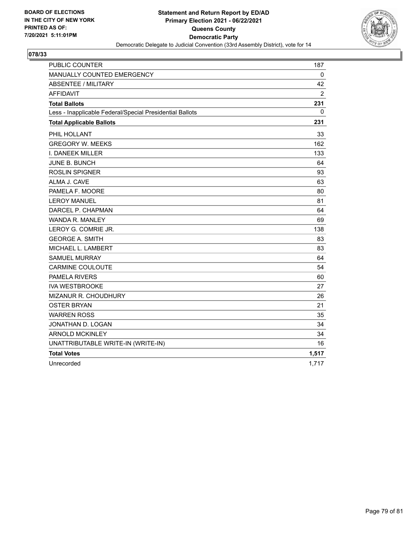

| <b>PUBLIC COUNTER</b>                                    | 187            |
|----------------------------------------------------------|----------------|
| MANUALLY COUNTED EMERGENCY                               | $\mathbf 0$    |
| <b>ABSENTEE / MILITARY</b>                               | 42             |
| <b>AFFIDAVIT</b>                                         | $\overline{2}$ |
| <b>Total Ballots</b>                                     | 231            |
| Less - Inapplicable Federal/Special Presidential Ballots | 0              |
| <b>Total Applicable Ballots</b>                          | 231            |
| PHIL HOLLANT                                             | 33             |
| <b>GREGORY W. MEEKS</b>                                  | 162            |
| I. DANEEK MILLER                                         | 133            |
| <b>JUNE B. BUNCH</b>                                     | 64             |
| <b>ROSLIN SPIGNER</b>                                    | 93             |
| ALMA J. CAVE                                             | 63             |
| PAMELA F. MOORE                                          | 80             |
| <b>LEROY MANUEL</b>                                      | 81             |
| DARCEL P. CHAPMAN                                        | 64             |
| WANDA R. MANLEY                                          | 69             |
| LEROY G. COMRIE JR.                                      | 138            |
| <b>GEORGE A. SMITH</b>                                   | 83             |
| MICHAEL L. LAMBERT                                       | 83             |
| <b>SAMUEL MURRAY</b>                                     | 64             |
| <b>CARMINE COULOUTE</b>                                  | 54             |
| <b>PAMELA RIVERS</b>                                     | 60             |
| <b>IVA WESTBROOKE</b>                                    | 27             |
| MIZANUR R. CHOUDHURY                                     | 26             |
| <b>OSTER BRYAN</b>                                       | 21             |
| <b>WARREN ROSS</b>                                       | 35             |
| JONATHAN D. LOGAN                                        | 34             |
| <b>ARNOLD MCKINLEY</b>                                   | 34             |
| UNATTRIBUTABLE WRITE-IN (WRITE-IN)                       | 16             |
| <b>Total Votes</b>                                       | 1,517          |
| Unrecorded                                               | 1,717          |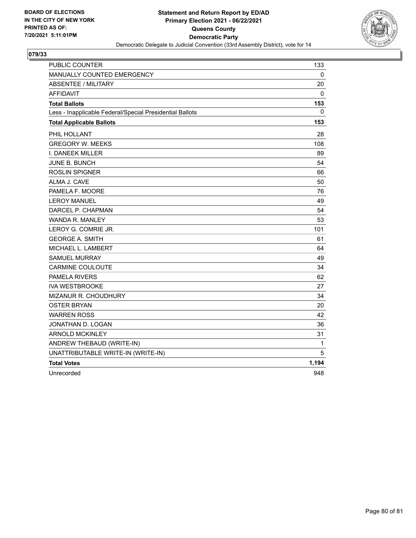

| PUBLIC COUNTER                                           | 133          |
|----------------------------------------------------------|--------------|
| MANUALLY COUNTED EMERGENCY                               | 0            |
| <b>ABSENTEE / MILITARY</b>                               | 20           |
| <b>AFFIDAVIT</b>                                         | 0            |
| <b>Total Ballots</b>                                     | 153          |
| Less - Inapplicable Federal/Special Presidential Ballots | 0            |
| <b>Total Applicable Ballots</b>                          | 153          |
| PHIL HOLLANT                                             | 28           |
| <b>GREGORY W. MEEKS</b>                                  | 108          |
| I. DANEEK MILLER                                         | 89           |
| JUNE B. BUNCH                                            | 54           |
| <b>ROSLIN SPIGNER</b>                                    | 66           |
| ALMA J. CAVE                                             | 50           |
| PAMELA F. MOORE                                          | 76           |
| <b>LEROY MANUEL</b>                                      | 49           |
| DARCEL P. CHAPMAN                                        | 54           |
| WANDA R. MANLEY                                          | 53           |
| LEROY G. COMRIE JR.                                      | 101          |
| <b>GEORGE A. SMITH</b>                                   | 61           |
| MICHAEL L. LAMBERT                                       | 64           |
| <b>SAMUEL MURRAY</b>                                     | 49           |
| <b>CARMINE COULOUTE</b>                                  | 34           |
| <b>PAMELA RIVERS</b>                                     | 62           |
| <b>IVA WESTBROOKE</b>                                    | 27           |
| MIZANUR R. CHOUDHURY                                     | 34           |
| <b>OSTER BRYAN</b>                                       | 20           |
| <b>WARREN ROSS</b>                                       | 42           |
| JONATHAN D. LOGAN                                        | 36           |
| <b>ARNOLD MCKINLEY</b>                                   | 31           |
| ANDREW THEBAUD (WRITE-IN)                                | $\mathbf{1}$ |
| UNATTRIBUTABLE WRITE-IN (WRITE-IN)                       | 5            |
| <b>Total Votes</b>                                       | 1,194        |
| Unrecorded                                               | 948          |